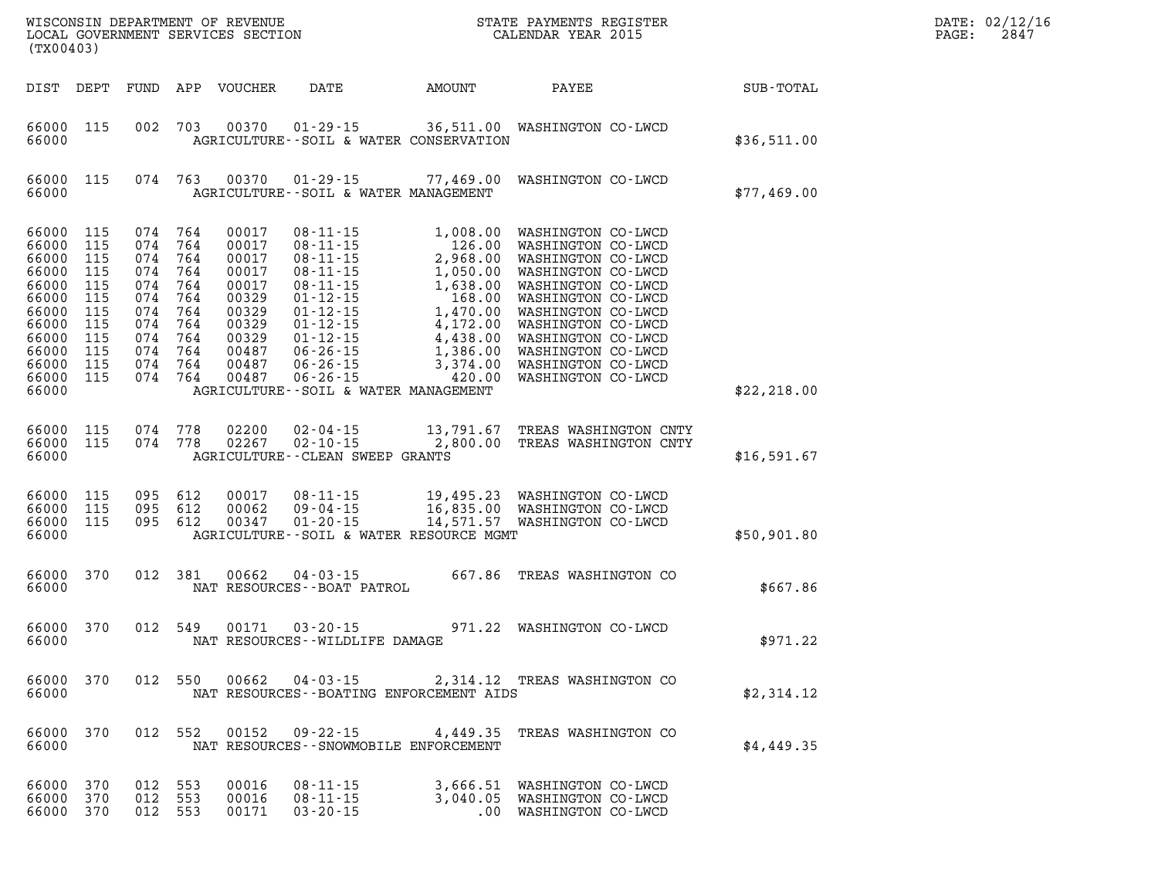| DATE: | 02/12/16 |
|-------|----------|
| PAGE: | 2847     |

| (TX00403)                                                                                                                                 | LOCAL GOVERNMENT SERVICES SECTION      |  |                                                                                                                                  |                                                                                                          |                                                            | CALENDAR YEAR 2015                                                                                                      |              | PAGE: | 2847 |
|-------------------------------------------------------------------------------------------------------------------------------------------|----------------------------------------|--|----------------------------------------------------------------------------------------------------------------------------------|----------------------------------------------------------------------------------------------------------|------------------------------------------------------------|-------------------------------------------------------------------------------------------------------------------------|--------------|-------|------|
| DIST DEPT                                                                                                                                 |                                        |  |                                                                                                                                  | FUND APP VOUCHER                                                                                         |                                                            | DATE AMOUNT PAYEE SUB-TOTAL                                                                                             |              |       |      |
| 66000 115<br>66000                                                                                                                        |                                        |  | 002 703                                                                                                                          |                                                                                                          | AGRICULTURE--SOIL & WATER CONSERVATION                     | 00370  01-29-15  36,511.00  WASHINGTON CO-LWCD                                                                          | \$36,511.00  |       |      |
| 66000 115<br>66000                                                                                                                        |                                        |  | 074 763                                                                                                                          | 00370                                                                                                    | AGRICULTURE--SOIL & WATER MANAGEMENT                       | 01-29-15 77,469.00 WASHINGTON CO-LWCD                                                                                   | \$77,469.00  |       |      |
| 66000 115<br>66000 115<br>66000<br>66000<br>66000<br>66000<br>66000<br>66000 115<br>66000<br>66000 115<br>66000 115<br>66000 115<br>66000 | 115<br>115<br>115<br>115<br>115<br>115 |  | 074 764<br>074 764<br>074 764<br>074 764<br>074 764<br>074 764<br>074 764<br>074 764<br>074 764<br>074 764<br>074 764<br>074 764 | 00017<br>00017<br>00017<br>00017<br>00017<br>00329<br>00329<br>00329<br>00329<br>00487<br>00487<br>00487 | $06 - 26 - 15$<br>AGRICULTURE--SOIL & WATER MANAGEMENT     | 420.00 WASHINGTON CO-LWCD                                                                                               | \$22, 218.00 |       |      |
| 66000 115<br>66000 115<br>66000                                                                                                           |                                        |  | 074 778<br>074 778                                                                                                               | 02200<br>02267                                                                                           | $02 - 10 - 15$<br>AGRICULTURE--CLEAN SWEEP GRANTS          | 02-04-15 13,791.67 TREAS WASHINGTON CNTY<br>2,800.00 TREAS WASHINGTON CNTY                                              | \$16,591.67  |       |      |
| 66000 115<br>66000 115<br>66000 115<br>66000                                                                                              |                                        |  | 095 612<br>095 612<br>095 612                                                                                                    | 00017<br>00062<br>00347                                                                                  | AGRICULTURE--SOIL & WATER RESOURCE MGMT                    | 08-11-15 19,495.23 WASHINGTON CO-LWCD<br>09-04-15 16,835.00 WASHINGTON CO-LWCD<br>01-20-15 14,571.57 WASHINGTON CO-LWCD | \$50,901.80  |       |      |
| 66000 370<br>66000                                                                                                                        |                                        |  | 012 381                                                                                                                          | 00662                                                                                                    | $04 - 03 - 15$<br>NAT RESOURCES - - BOAT PATROL            | 667.86 TREAS WASHINGTON CO                                                                                              | \$667.86     |       |      |
| 66000 370<br>66000                                                                                                                        |                                        |  | 012 549                                                                                                                          |                                                                                                          | 00171 03-20-15<br>NAT RESOURCES -- WILDLIFE DAMAGE         | 971.22 WASHINGTON CO-LWCD                                                                                               | \$971.22     |       |      |
| 66000 370<br>66000                                                                                                                        |                                        |  | 012 550                                                                                                                          | 00662                                                                                                    | $04 - 03 - 15$<br>NAT RESOURCES--BOATING ENFORCEMENT AIDS  | 2,314.12 TREAS WASHINGTON CO                                                                                            | \$2,314.12   |       |      |
| 66000<br>66000                                                                                                                            | 370                                    |  | 012 552                                                                                                                          | 00152                                                                                                    | $09 - 22 - 15$<br>NAT RESOURCES - - SNOWMOBILE ENFORCEMENT | 4,449.35 TREAS WASHINGTON CO                                                                                            | \$4,449.35   |       |      |
| 66000<br>66000 370                                                                                                                        | 370                                    |  | 012 553<br>012 553                                                                                                               | 00016<br>00016                                                                                           | $08 - 11 - 15$<br>$08 - 11 - 15$                           | 3,666.51 WASHINGTON CO-LWCD<br>3,040.05 WASHINGTON CO-LWCD                                                              |              |       |      |

**66000 370 012 553 00171 03-20-15 .00 WASHINGTON CO-LWCD** 

WISCONSIN DEPARTMENT OF REVENUE **STATE PAYMENTS REGISTER**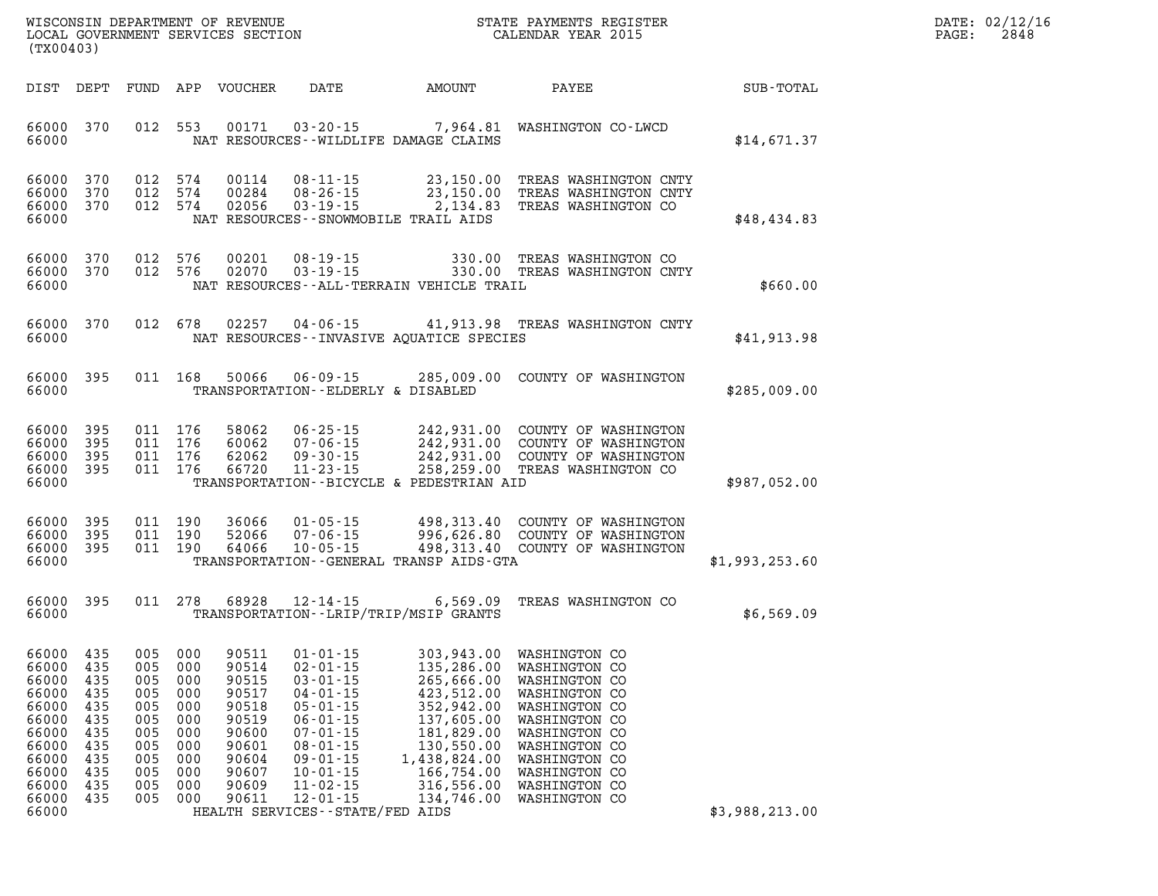| $\mathtt{DATE}$ : | 02/12/16 |
|-------------------|----------|
| PAGE:             | 2848     |

|                                                                                                                   | LOCAL GOVERNMENT SERVICES SECTION<br>(TX00403)                                   |                                                             |                                                                                              |                                                                                                          |                                                                                                                                                                                                                                                            |                                                                                                                                                                                      | CALENDAR YEAR 2015                                                                                                                                                                                            |                | PAGE: | 2848 |
|-------------------------------------------------------------------------------------------------------------------|----------------------------------------------------------------------------------|-------------------------------------------------------------|----------------------------------------------------------------------------------------------|----------------------------------------------------------------------------------------------------------|------------------------------------------------------------------------------------------------------------------------------------------------------------------------------------------------------------------------------------------------------------|--------------------------------------------------------------------------------------------------------------------------------------------------------------------------------------|---------------------------------------------------------------------------------------------------------------------------------------------------------------------------------------------------------------|----------------|-------|------|
| DIST DEPT                                                                                                         |                                                                                  |                                                             |                                                                                              | FUND APP VOUCHER                                                                                         | DATE                                                                                                                                                                                                                                                       | AMOUNT                                                                                                                                                                               | PAYEE                                                                                                                                                                                                         | SUB-TOTAL      |       |      |
| 66000<br>66000                                                                                                    | 370                                                                              |                                                             | 012 553                                                                                      | 00171                                                                                                    | $03 - 20 - 15$                                                                                                                                                                                                                                             | NAT RESOURCES - - WILDLIFE DAMAGE CLAIMS                                                                                                                                             | 7,964.81 WASHINGTON CO-LWCD                                                                                                                                                                                   | \$14,671.37    |       |      |
| 66000<br>66000<br>66000<br>66000                                                                                  | 370<br>370<br>370                                                                |                                                             | 012 574<br>012 574<br>012 574                                                                | 00114<br>00284<br>02056                                                                                  | $08 - 11 - 15$<br>$08 - 26 - 15$<br>$03 - 19 - 15$                                                                                                                                                                                                         | $23,150.00$<br>$23,150.00$<br>NAT RESOURCES - - SNOWMOBILE TRAIL AIDS                                                                                                                | TREAS WASHINGTON CNTY<br>23,150.00 TREAS WASHINGTON CNTY<br>2,134.83 TREAS WASHINGTON CO                                                                                                                      | \$48,434.83    |       |      |
| 66000<br>66000<br>66000                                                                                           | 370<br>370                                                                       | 012                                                         | 576<br>012 576                                                                               | 00201<br>02070                                                                                           | $08 - 19 - 15$<br>$03 - 19 - 15$                                                                                                                                                                                                                           | NAT RESOURCES - - ALL-TERRAIN VEHICLE TRAIL                                                                                                                                          | 330.00 TREAS WASHINGTON CO<br>330.00 TREAS WASHINGTON CNTY                                                                                                                                                    | \$660.00       |       |      |
| 66000<br>66000                                                                                                    | 370                                                                              |                                                             | 012 678                                                                                      | 02257                                                                                                    | $04 - 06 - 15$                                                                                                                                                                                                                                             | NAT RESOURCES -- INVASIVE AQUATICE SPECIES                                                                                                                                           | 41,913.98 TREAS WASHINGTON CNTY                                                                                                                                                                               | \$41,913.98    |       |      |
| 66000<br>66000                                                                                                    | 395                                                                              |                                                             | 011 168                                                                                      | 50066                                                                                                    | $06 - 09 - 15$<br>TRANSPORTATION--ELDERLY & DISABLED                                                                                                                                                                                                       |                                                                                                                                                                                      | 285,009.00 COUNTY OF WASHINGTON                                                                                                                                                                               | \$285,009.00   |       |      |
| 66000<br>66000<br>66000<br>66000<br>66000                                                                         | 395<br>395<br>395<br>395                                                         |                                                             | 011 176<br>011 176<br>011 176<br>011 176                                                     | 58062<br>60062<br>62062<br>66720                                                                         | $06 - 25 - 15$<br>$07 - 06 - 15$<br>$09 - 30 - 15$<br>$11 - 23 - 15$                                                                                                                                                                                       | TRANSPORTATION--BICYCLE & PEDESTRIAN AID                                                                                                                                             | 242,931.00 COUNTY OF WASHINGTON<br>242,931.00 COUNTY OF WASHINGTON<br>242,931.00 COUNTY OF WASHINGTON<br>258,259.00 TREAS WASHINGTON CO                                                                       | \$987,052.00   |       |      |
| 66000<br>66000<br>66000<br>66000                                                                                  | 395<br>395<br>395                                                                |                                                             | 011 190<br>011 190<br>011 190                                                                | 36066<br>52066<br>64066                                                                                  | $01 - 05 - 15$<br>$07 - 06 - 15$<br>$10 - 05 - 15$                                                                                                                                                                                                         | TRANSPORTATION--GENERAL TRANSP AIDS-GTA                                                                                                                                              | 498,313.40 COUNTY OF WASHINGTON<br>996,626.80 COUNTY OF WASHINGTON<br>498,313.40 COUNTY OF WASHINGTON                                                                                                         | \$1,993,253.60 |       |      |
| 66000<br>66000                                                                                                    | 395                                                                              |                                                             | 011 278                                                                                      | 68928                                                                                                    | $12 - 14 - 15$                                                                                                                                                                                                                                             | 6,569.09<br>TRANSPORTATION--LRIP/TRIP/MSIP GRANTS                                                                                                                                    | TREAS WASHINGTON CO                                                                                                                                                                                           | \$6,569.09     |       |      |
| 66000<br>66000<br>66000<br>66000<br>66000<br>66000<br>66000<br>66000<br>66000<br>66000<br>66000<br>66000<br>66000 | 435<br>435<br>435<br>435<br>435<br>435<br>435<br>435<br>435<br>435<br>435<br>435 | 005<br>005<br>005<br>005<br>005<br>005<br>005<br>005<br>005 | 005 000<br>005 000<br>005 000<br>000<br>000<br>000<br>000<br>000<br>000<br>000<br>000<br>000 | 90511<br>90514<br>90515<br>90517<br>90518<br>90519<br>90600<br>90601<br>90604<br>90607<br>90609<br>90611 | $01 - 01 - 15$<br>$02 - 01 - 15$<br>$03 - 01 - 15$<br>$04 - 01 - 15$<br>$05 - 01 - 15$<br>$06 - 01 - 15$<br>$07 - 01 - 15$<br>$08 - 01 - 15$<br>$09 - 01 - 15$<br>$10 - 01 - 15$<br>$11 - 02 - 15$<br>$12 - 01 - 15$<br>HEALTH SERVICES - - STATE/FED AIDS | 303,943.00 WASHINGTON CO<br>135,286.00 WASHINGTON CO<br>423,512.00<br>352,942.00<br>137,605.00<br>181,829.00<br>130,550.00<br>1,438,824.00<br>166,754.00<br>316,556.00<br>134,746.00 | 135,286.00 WASHINGTON CO<br>265,666.00 WASHINGTON CO<br>WASHINGTON CO<br>WASHINGTON CO<br>WASHINGTON CO<br>WASHINGTON CO<br>WASHINGTON CO<br>WASHINGTON CO<br>WASHINGTON CO<br>WASHINGTON CO<br>WASHINGTON CO | \$3,988,213.00 |       |      |

WISCONSIN DEPARTMENT OF REVENUE **STATE PAYMENTS REGISTER**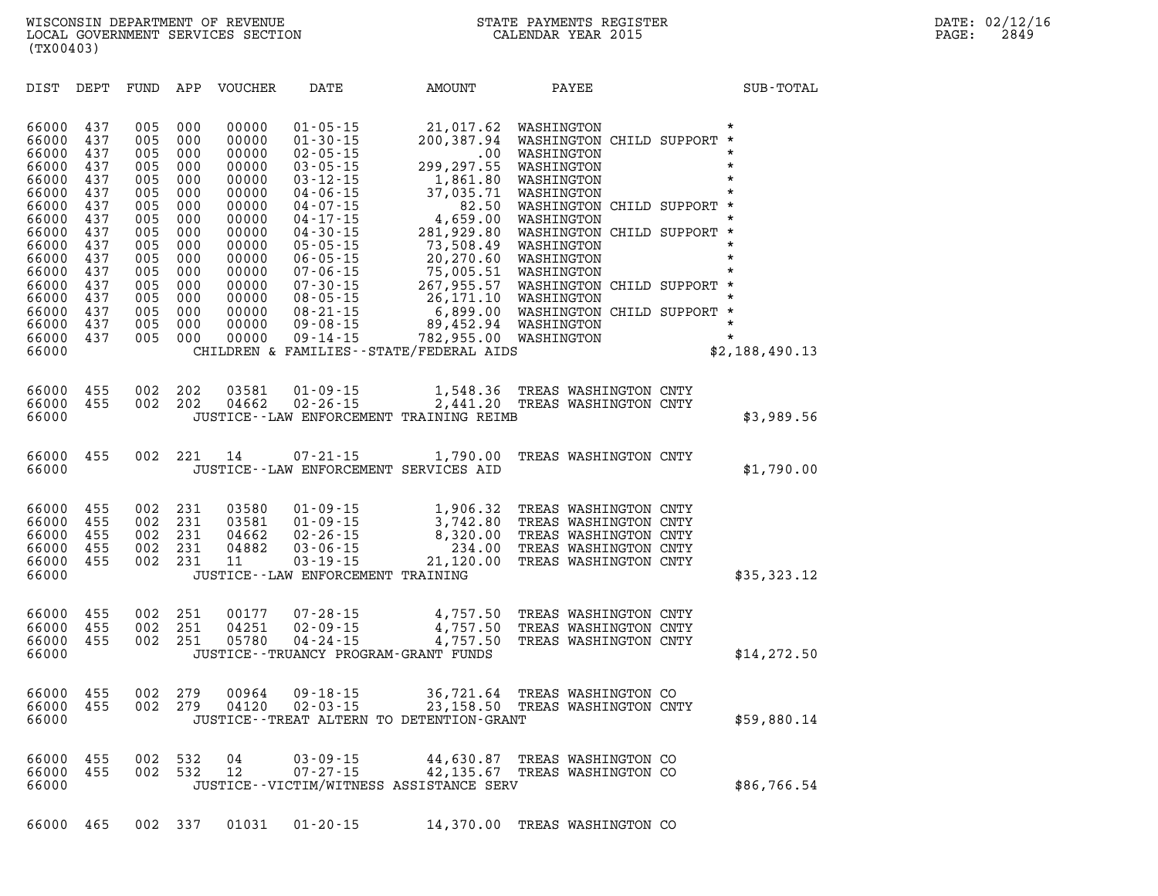**DIST DEPT FUND APP VOUCHER DATE AMOUNT PAYEE SUB-TOTAL 66000 437 005 000 00000 01-05-15 21,017.62 WASHINGTON \* 66000 437 005 000 00000 01-30-15 200,387.94 WASHINGTON CHILD SUPPORT \* 66000 437 005 000 00000 02-05-15 .00 WASHINGTON \* 66000 437 005 000 00000 03-05-15 299,297.55 WASHINGTON \* 66000 437 005 000 00000 03-12-15 1,861.80 WASHINGTON \* 66000 437 005 000 00000 04-06-15 37,035.71 WASHINGTON \* 66000 437 005 000 00000 04-07-15 82.50 WASHINGTON CHILD SUPPORT \* 66000 437 005 000 00000 04-17-15 4,659.00 WASHINGTON \* 66000 437 005 000 00000 04-30-15 281,929.80 WASHINGTON CHILD SUPPORT \* 66000 437 005 000 00000 05-05-15 73,508.49 WASHINGTON \* 66000 437 005 000 00000 06-05-15 20,270.60 WASHINGTON \* 66000 437 005 000 00000 07-06-15 75,005.51 WASHINGTON \* 66000 437 005 000 00000 07-30-15 267,955.57 WASHINGTON CHILD SUPPORT \* 66000 437 005 000 00000 08-05-15 26,171.10 WASHINGTON \* 66000 437 005 000 00000 08-21-15 6,899.00 WASHINGTON CHILD SUPPORT \* 66000 437 005 000 00000 09-08-15 89,452.94 WASHINGTON \* 66000 437 005 000 00000 09-14-15 782,955.00 WASHINGTON \* 66000 CHILDREN & FAMILIES--STATE/FEDERAL AIDS \$2,188,490.13 66000 455 002 202 03581 01-09-15 1,548.36 TREAS WASHINGTON CNTY 66000 455 002 202 04662 02-26-15 2,441.20 TREAS WASHINGTON CNTY 66000 JUSTICE--LAW ENFORCEMENT TRAINING REIMB \$3,989.56 66000 455 002 221 14 07-21-15 1,790.00 TREAS WASHINGTON CNTY 66000 JUSTICE--LAW ENFORCEMENT SERVICES AID \$1,790.00 66000 455 002 231 03580 01-09-15 1,906.32 TREAS WASHINGTON CNTY 66000 455 002 231 03581 01-09-15 3,742.80 TREAS WASHINGTON CNTY 66000 455 002 231 04662 02-26-15 8,320.00 TREAS WASHINGTON CNTY 66000 455 002 231 04882 03-06-15 234.00 TREAS WASHINGTON CNTY 66000 455 002 231 11 03-19-15 21,120.00 TREAS WASHINGTON CNTY 66000 JUSTICE--LAW ENFORCEMENT TRAINING \$35,323.12** 

| 66000 455 002 251 |  |         | 00177 | 07-28-15       |                                           | 4,757.50 TREAS WASHINGTON CNTY |             |
|-------------------|--|---------|-------|----------------|-------------------------------------------|--------------------------------|-------------|
| 66000 455 002 251 |  |         | 04251 | $02 - 09 - 15$ |                                           | 4,757.50 TREAS WASHINGTON CNTY |             |
| 66000 455         |  | 002 251 | 05780 | 04 - 24 - 15   |                                           | 4,757.50 TREAS WASHINGTON CNTY |             |
| 66000             |  |         |       |                | JUSTICE - - TRUANCY PROGRAM - GRANT FUNDS |                                | \$14,272.50 |

| 66000 455 002 279 |  |  | 66000 455 002 279 00964 09-18-15 |                                               | 36,721.64 TREAS WASHINGTON CO<br>23,158.50 TREAS WASHINGTON CNTY |             |
|-------------------|--|--|----------------------------------|-----------------------------------------------|------------------------------------------------------------------|-------------|
| 66000             |  |  |                                  | JUSTICE - - TREAT ALTERN TO DETENTION - GRANT |                                                                  | \$59,880.14 |

| 66000 455 002 532 04 |  |  | 03 - 09 - 15                            |                               | 44,630.87 TREAS WASHINGTON CO |             |
|----------------------|--|--|-----------------------------------------|-------------------------------|-------------------------------|-------------|
| 66000 455 002 532 12 |  |  | 07-27-15                                | 42,135.67 TREAS WASHINGTON CO |                               |             |
| 66000                |  |  | JUSTICE--VICTIM/WITNESS ASSISTANCE SERV |                               |                               | \$86,766.54 |

**66000 465 002 337 01031 01-20-15 14,370.00 TREAS WASHINGTON CO**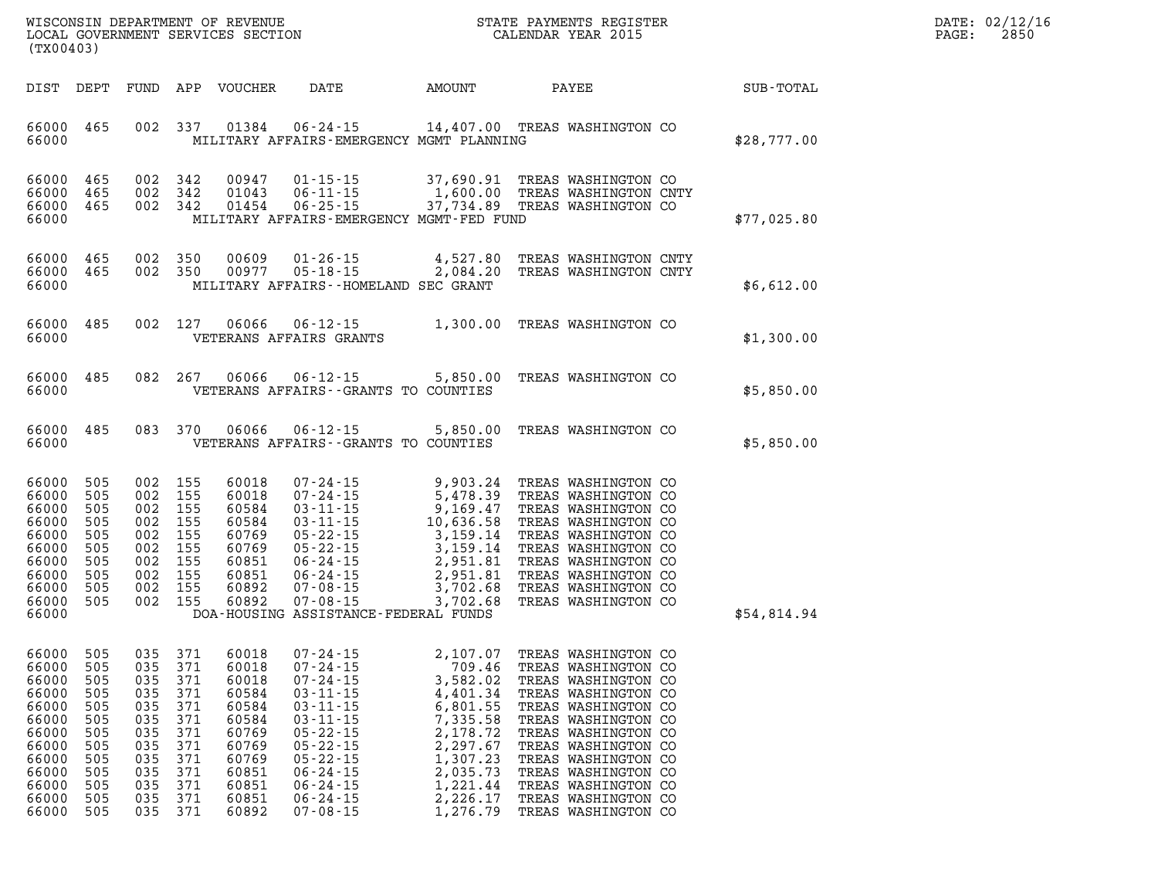| WISCONSIN DEPARTMENT OF REVENUE   | STATE PAYMENTS REGISTER | DATE: 02/12/16 |
|-----------------------------------|-------------------------|----------------|
| LOCAL GOVERNMENT SERVICES SECTION | CALENDAR YEAR 2015      | 2850<br>PAGE:  |

| (TX00403)                                                                                                         |                                                                                         |                                                             |                                                                                                            | LOCAL GOVERNMENT SERVICES SECTION                                                                                 |                                                                                                                                                                                                                                                                                                                                              |                                                                                                                                                        | CALENDAR YEAR 2015                                                                                                                                                                                                                                                                                      |  |             | PAGE: | 2850 |
|-------------------------------------------------------------------------------------------------------------------|-----------------------------------------------------------------------------------------|-------------------------------------------------------------|------------------------------------------------------------------------------------------------------------|-------------------------------------------------------------------------------------------------------------------|----------------------------------------------------------------------------------------------------------------------------------------------------------------------------------------------------------------------------------------------------------------------------------------------------------------------------------------------|--------------------------------------------------------------------------------------------------------------------------------------------------------|---------------------------------------------------------------------------------------------------------------------------------------------------------------------------------------------------------------------------------------------------------------------------------------------------------|--|-------------|-------|------|
| DIST DEPT                                                                                                         |                                                                                         |                                                             |                                                                                                            | FUND APP VOUCHER                                                                                                  | <b>DATE</b>                                                                                                                                                                                                                                                                                                                                  | AMOUNT                                                                                                                                                 | PAYEE                                                                                                                                                                                                                                                                                                   |  | SUB-TOTAL   |       |      |
| 66000<br>66000                                                                                                    | 465                                                                                     |                                                             | 002 337                                                                                                    | 01384                                                                                                             | $06 - 24 - 15$<br>MILITARY AFFAIRS-EMERGENCY MGMT PLANNING                                                                                                                                                                                                                                                                                   | 14,407.00 TREAS WASHINGTON CO                                                                                                                          |                                                                                                                                                                                                                                                                                                         |  | \$28,777.00 |       |      |
| 66000<br>66000<br>66000<br>66000                                                                                  | 465<br>465<br>465                                                                       |                                                             | 002 342<br>002 342<br>002 342                                                                              | 00947<br>01043<br>01454                                                                                           | $01 - 15 - 15$<br>$06 - 11 - 15$<br>$06 - 25 - 15$<br>MILITARY AFFAIRS-EMERGENCY MGMT-FED FUND                                                                                                                                                                                                                                               | 37,690.91 TREAS WASHINGTON CO<br>1,600.00 TREAS WASHINGTON CNTY<br>37,734.89 TREAS WASHINGTON CO                                                       |                                                                                                                                                                                                                                                                                                         |  | \$77,025.80 |       |      |
| 66000<br>66000<br>66000                                                                                           | 465<br>465                                                                              |                                                             | 002 350<br>002 350                                                                                         | 00609<br>00977                                                                                                    | $01 - 26 - 15$<br>$05 - 18 - 15$<br>MILITARY AFFAIRS--HOMELAND SEC GRANT                                                                                                                                                                                                                                                                     | 4,527.80<br>4,527.80<br>2,084.20                                                                                                                       | TREAS WASHINGTON CNTY<br>TREAS WASHINGTON CNTY                                                                                                                                                                                                                                                          |  | \$6,612.00  |       |      |
| 66000<br>66000                                                                                                    | 485                                                                                     |                                                             | 002 127                                                                                                    | 06066                                                                                                             | 06-12-15<br>VETERANS AFFAIRS GRANTS                                                                                                                                                                                                                                                                                                          |                                                                                                                                                        | 1,300.00 TREAS WASHINGTON CO                                                                                                                                                                                                                                                                            |  | \$1,300.00  |       |      |
| 66000<br>66000                                                                                                    | 485                                                                                     |                                                             | 082 267                                                                                                    | 06066                                                                                                             | $06 - 12 - 15$<br>VETERANS AFFAIRS -- GRANTS TO COUNTIES                                                                                                                                                                                                                                                                                     |                                                                                                                                                        | 5,850.00 TREAS WASHINGTON CO                                                                                                                                                                                                                                                                            |  | \$5,850.00  |       |      |
| 66000<br>66000                                                                                                    | 485                                                                                     |                                                             | 083 370                                                                                                    | 06066                                                                                                             | $06 - 12 - 15$<br>VETERANS AFFAIRS -- GRANTS TO COUNTIES                                                                                                                                                                                                                                                                                     | 5,850.00                                                                                                                                               | TREAS WASHINGTON CO                                                                                                                                                                                                                                                                                     |  | \$5,850.00  |       |      |
| 66000<br>66000<br>66000<br>66000<br>66000<br>66000<br>66000<br>66000<br>66000<br>66000<br>66000                   | 505<br>505<br>505<br>505<br>505<br>505<br>505<br>505<br>505<br>505                      |                                                             | 002 155<br>002 155<br>002 155<br>002 155<br>002 155<br>002 155<br>002 155<br>002 155<br>002 155<br>002 155 | 60018<br>60018<br>60584<br>60584<br>60769<br>60769<br>60851<br>60851<br>60892<br>60892                            | $07 - 24 - 15$<br>07-24-15<br>07-24-15<br>03-11-15<br>9, 478.39<br>9, 478.39<br>9, 489.47<br>9, 169.47<br>TREAS WASHINGTON CO<br>03-11-15<br>10, 636.58<br>TREAS WASHINGTON CO<br>05-22-15<br>3, 159.14<br>TREAS WASHINGTON CO<br>06-24-15<br>2, 951.81<br>TREAS WASHINGTON CO<br><br>$07 - 08 - 15$<br>DOA-HOUSING ASSISTANCE-FEDERAL FUNDS | 3,702.68                                                                                                                                               | 9,903.24 TREAS WASHINGTON CO<br>TREAS WASHINGTON CO                                                                                                                                                                                                                                                     |  | \$54,814.94 |       |      |
| 66000<br>66000<br>66000<br>66000<br>66000<br>66000<br>66000<br>66000<br>66000<br>66000<br>66000<br>66000<br>66000 | 505<br>505<br>505<br>505<br>505<br>505<br>505<br>505<br>505<br>505<br>505<br>505<br>505 | 035<br>035<br>035<br>035<br>035<br>035<br>035<br>035<br>035 | 035 371<br>035 371<br>035 371<br>371<br>371<br>371<br>371<br>371<br>371<br>371<br>371<br>371<br>035 371    | 60018<br>60018<br>60018<br>60584<br>60584<br>60584<br>60769<br>60769<br>60769<br>60851<br>60851<br>60851<br>60892 | 07 - 24 - 15<br>07 - 24 - 15<br>$07 - 24 - 15$<br>$03 - 11 - 15$<br>$03 - 11 - 15$<br>$03 - 11 - 15$<br>$05 - 22 - 15$<br>$05 - 22 - 15$<br>$05 - 22 - 15$<br>$06 - 24 - 15$<br>$06 - 24 - 15$<br>$06 - 24 - 15$<br>$07 - 08 - 15$                                                                                                           | 2,107.07<br>709.46<br>3,582.02<br>4,401.34<br>6,801.55<br>7,335.58<br>2,178.72<br>2,297.67<br>1,307.23<br>2,035.73<br>1,221.44<br>2,226.17<br>1,276.79 | TREAS WASHINGTON CO<br>TREAS WASHINGTON CO<br>TREAS WASHINGTON CO<br>TREAS WASHINGTON CO<br>TREAS WASHINGTON CO<br>TREAS WASHINGTON CO<br>TREAS WASHINGTON CO<br>TREAS WASHINGTON CO<br>TREAS WASHINGTON CO<br>TREAS WASHINGTON CO<br>TREAS WASHINGTON CO<br>TREAS WASHINGTON CO<br>TREAS WASHINGTON CO |  |             |       |      |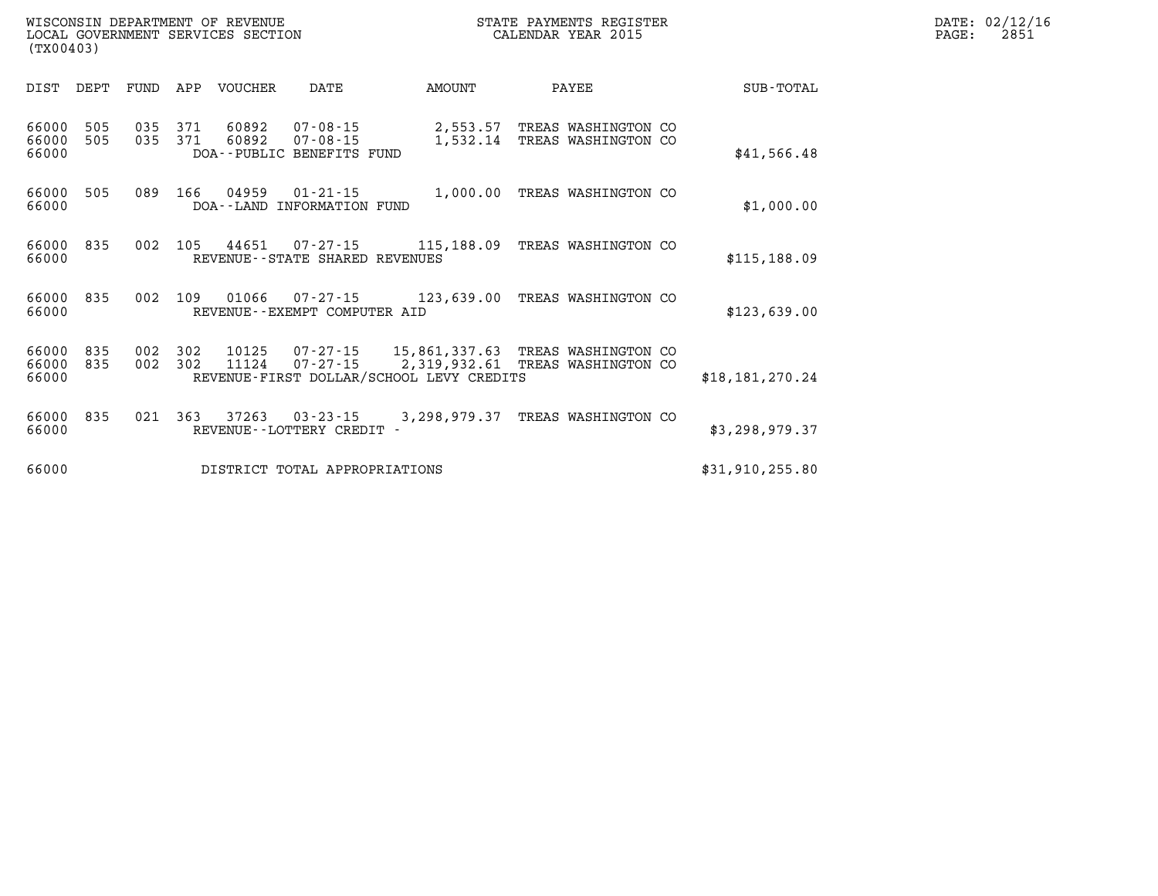|  | AYMENTS REGISTER |  |
|--|------------------|--|
|  | DAR YEAR 2015    |  |

| DIST                    | DEPT       | FUND       | APP        | <b>VOUCHER</b> | DATE                                                          | AMOUNT                                                                    | PAYEE                                         | SUB-TOTAL         |
|-------------------------|------------|------------|------------|----------------|---------------------------------------------------------------|---------------------------------------------------------------------------|-----------------------------------------------|-------------------|
| 66000<br>66000<br>66000 | 505<br>505 | 035<br>035 | 371<br>371 | 60892<br>60892 | $07 - 08 - 15$<br>$07 - 08 - 15$<br>DOA--PUBLIC BENEFITS FUND | 2,553.57<br>1,532.14                                                      | TREAS WASHINGTON CO<br>TREAS WASHINGTON CO    | \$41,566.48       |
| 66000<br>66000          | 505        | 089        | 166        | 04959          | $01 - 21 - 15$<br>DOA--LAND INFORMATION FUND                  | 1,000.00                                                                  | TREAS WASHINGTON CO                           | \$1,000.00        |
| 66000<br>66000          | 835        | 002        | 105        | 44651          | 07-27-15<br>REVENUE - - STATE SHARED REVENUES                 | 115,188.09                                                                | TREAS WASHINGTON CO                           | \$115,188.09      |
| 66000<br>66000          | 835        | 002        | 109        | 01066          | REVENUE--EXEMPT COMPUTER AID                                  | $07 - 27 - 15$ 123,639.00                                                 | TREAS WASHINGTON CO                           | \$123,639.00      |
| 66000<br>66000<br>66000 | 835<br>835 | 002<br>002 | 302<br>302 | 10125<br>11124 | $07 - 27 - 15$<br>$07 - 27 - 15$                              | 15,861,337.63<br>2,319,932.61<br>REVENUE-FIRST DOLLAR/SCHOOL LEVY CREDITS | TREAS WASHINGTON CO<br>TREAS<br>WASHINGTON CO | \$18, 181, 270.24 |
| 66000<br>66000          | 835        | 021        | 363        | 37263          | $03 - 23 - 15$<br>REVENUE - - LOTTERY CREDIT                  | 3,298,979.37                                                              | TREAS WASHINGTON CO                           | \$3,298,979.37    |
| 66000                   |            |            |            |                | DISTRICT TOTAL APPROPRIATIONS                                 |                                                                           |                                               | \$31,910,255.80   |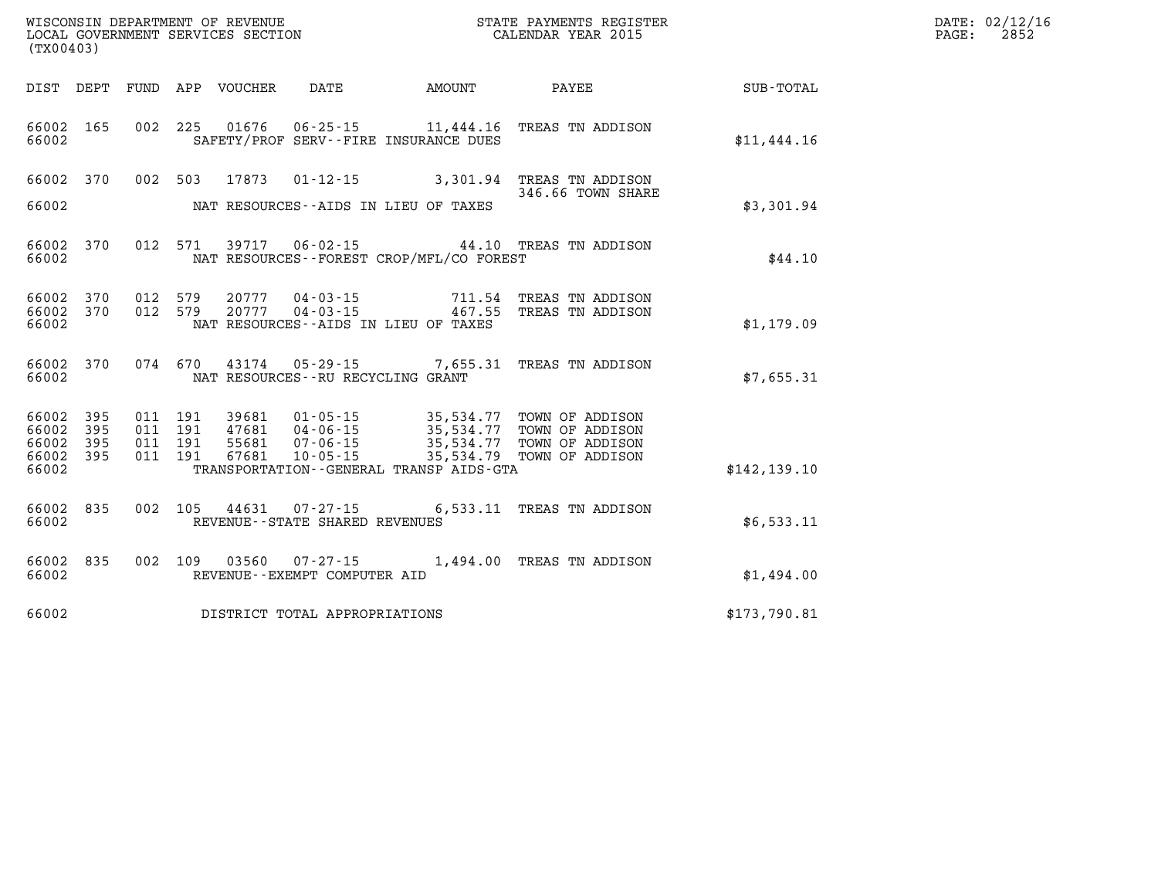| (TX00403)                                     |                   |         |                               |                            |                                              |                                          | WISCONSIN DEPARTMENT OF REVENUE<br>LOCAL GOVERNMENT SERVICES SECTION FOR THE STATE PAYMENTS REGIS!<br>STATE PAYMENTS REGISTER |               | DATE: 02/12/16<br>$\mathtt{PAGE:}$<br>2852 |
|-----------------------------------------------|-------------------|---------|-------------------------------|----------------------------|----------------------------------------------|------------------------------------------|-------------------------------------------------------------------------------------------------------------------------------|---------------|--------------------------------------------|
|                                               |                   |         |                               | DIST DEPT FUND APP VOUCHER |                                              | DATE AMOUNT                              | PAYEE SUB-TOTAL                                                                                                               |               |                                            |
| 66002 165<br>66002                            |                   |         |                               |                            |                                              | SAFETY/PROF SERV--FIRE INSURANCE DUES    | 002 225 01676 06-25-15 11,444.16 TREAS TN ADDISON                                                                             | \$11,444.16   |                                            |
| 66002 370<br>66002                            |                   |         |                               | 002 503 17873              |                                              | NAT RESOURCES--AIDS IN LIEU OF TAXES     | 01-12-15 3,301.94 TREAS TN ADDISON<br>346.66 TOWN SHARE                                                                       | \$3,301.94    |                                            |
| 66002 370<br>66002                            |                   |         | 012 571                       |                            |                                              | NAT RESOURCES--FOREST CROP/MFL/CO FOREST | 39717  06-02-15  44.10  TREAS TN ADDISON                                                                                      | \$44.10       |                                            |
| 66002 370<br>66002 370<br>66002               |                   |         | 012 579<br>012 579            |                            |                                              | NAT RESOURCES--AIDS IN LIEU OF TAXES     | 20777  04-03-15  711.54  TREAS TN ADDISON<br>20777  04-03-15  467.55  TREAS TN ADDISON                                        | \$1,179.09    |                                            |
| 66002 370<br>66002                            |                   |         | 074 670                       |                            | NAT RESOURCES--RU RECYCLING GRANT            |                                          | 43174  05-29-15  7,655.31 TREAS TN ADDISON                                                                                    | \$7,655.31    |                                            |
| 66002<br>66002<br>66002<br>66002 395<br>66002 | 395<br>395<br>395 | 011 191 | 011 191<br>011 191<br>011 191 | 39681<br>55681<br>67681    | 47681 04-06-15<br>07-06-15<br>$10 - 05 - 15$ | TRANSPORTATION--GENERAL TRANSP AIDS-GTA  | 01-05-15 35,534.77 TOWN OF ADDISON<br>35,534.77 TOWN OF ADDISON<br>35,534.77 TOWN OF ADDISON<br>35,534.79 TOWN OF ADDISON     | \$142, 139.10 |                                            |
| 66002 835<br>66002                            |                   |         |                               |                            | REVENUE--STATE SHARED REVENUES               |                                          | 002 105 44631 07-27-15 6,533.11 TREAS TN ADDISON                                                                              | \$6,533.11    |                                            |
| 66002<br>66002                                | 835               | 002 109 |                               | 03560                      | REVENUE--EXEMPT COMPUTER AID                 |                                          | 07-27-15 1,494.00 TREAS TN ADDISON                                                                                            | \$1,494.00    |                                            |
| 66002                                         |                   |         |                               |                            | DISTRICT TOTAL APPROPRIATIONS                |                                          |                                                                                                                               | \$173,790.81  |                                            |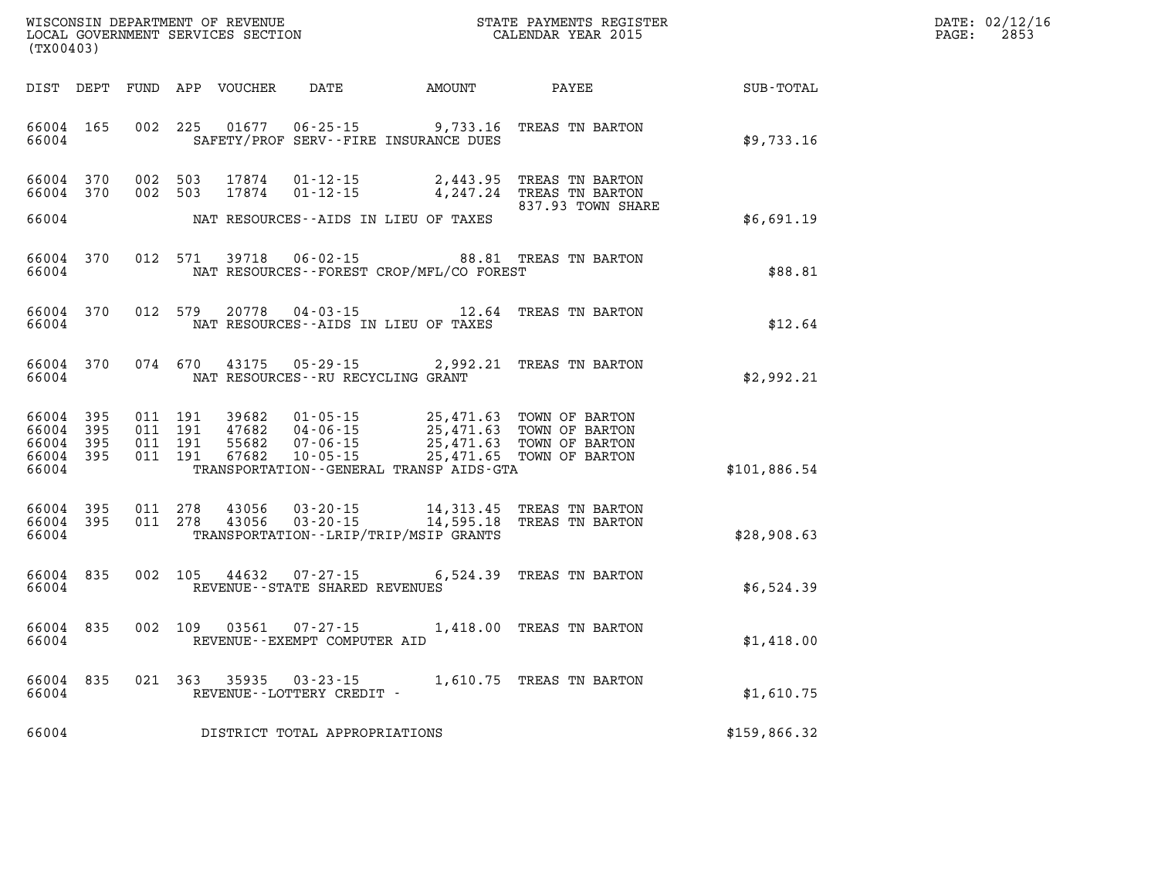| WISCONSIN DEPARTMENT OF REVENUE      | PAYMENTS REGISTER<br>3TATE | DATE: | 02/12/16 |
|--------------------------------------|----------------------------|-------|----------|
| GOVERNMENT SERVICES SECTION<br>LOCAL | CALENDAR YEAR 2015         | PAGE  | 2853     |

| (TX00403) |                                                  |         |         | LOCAL GOVERNMENT SERVICES SECTION |                                     |                                             | CALENDAR YEAR 2015                                                                                                                                                                                                                                                                                                                                     |                                                              | PAGE: | 2853 |
|-----------|--------------------------------------------------|---------|---------|-----------------------------------|-------------------------------------|---------------------------------------------|--------------------------------------------------------------------------------------------------------------------------------------------------------------------------------------------------------------------------------------------------------------------------------------------------------------------------------------------------------|--------------------------------------------------------------|-------|------|
|           |                                                  |         |         |                                   |                                     |                                             |                                                                                                                                                                                                                                                                                                                                                        | DIST DEPT FUND APP VOUCHER DATE AMOUNT PAYEE PAYER SUB-TOTAL |       |      |
| 66004     | 66004 165                                        |         |         |                                   |                                     | SAFETY/PROF SERV--FIRE INSURANCE DUES       | 002 225 01677 06-25-15 9,733.16 TREAS TN BARTON                                                                                                                                                                                                                                                                                                        | \$9,733.16                                                   |       |      |
|           | 66004 370<br>66004 370                           | 002 503 | 002 503 | 17874<br>17874                    |                                     |                                             | 01-12-15 2,443.95 TREAS TN BARTON<br>01-12-15 4,247.24 TREAS TN BARTON<br>837.93 TOWN SHARE                                                                                                                                                                                                                                                            |                                                              |       |      |
| 66004     |                                                  |         |         |                                   |                                     | NAT RESOURCES--AIDS IN LIEU OF TAXES        |                                                                                                                                                                                                                                                                                                                                                        | \$6,691.19                                                   |       |      |
| 66004     |                                                  |         |         |                                   |                                     | NAT RESOURCES - - FOREST CROP/MFL/CO FOREST | 66004 370 012 571 39718 06-02-15 88.81 TREAS TN BARTON                                                                                                                                                                                                                                                                                                 | \$88.81                                                      |       |      |
| 66004     | 66004 370                                        |         |         |                                   |                                     | NAT RESOURCES--AIDS IN LIEU OF TAXES        | 012 579 20778 04-03-15 $\frac{12.64}{12.64}$ TREAS TN BARTON                                                                                                                                                                                                                                                                                           | \$12.64                                                      |       |      |
|           | 66004                                            |         |         |                                   |                                     | NAT RESOURCES--RU RECYCLING GRANT           | 66004 370 074 670 43175 05-29-15 2,992.21 TREAS TN BARTON                                                                                                                                                                                                                                                                                              | \$2,992.21                                                   |       |      |
| 66004     | 66004 395<br>66004 395<br>66004 395<br>66004 395 |         |         |                                   |                                     | TRANSPORTATION--GENERAL TRANSP AIDS-GTA     | $\begin{array}{cccc} 011 & 191 & 39682 & 01\cdot 05\cdot 15 & 25,471.63 & \text{TOWN OF BARTON} \\ 011 & 191 & 47682 & 04\cdot 06\cdot 15 & 25,471.63 & \text{TOWN OF BARTON} \\ 011 & 191 & 55682 & 07\cdot 06\cdot 15 & 25,471.63 & \text{TOWN OF BARTON} \\ 011 & 191 & 67682 & 10\cdot 05\cdot 15 & 25,471.65 & \text{TOWN OF BARTON} \end{array}$ | \$101,886.54                                                 |       |      |
| 66004     | 66004 395<br>66004 395                           |         |         | 011 278 43056<br>011 278 43056    |                                     | TRANSPORTATION--LRIP/TRIP/MSIP GRANTS       | 03-20-15 14,313.45 TREAS TN BARTON<br>03-20-15 14,595.18 TREAS TN BARTON                                                                                                                                                                                                                                                                               | \$28,908.63                                                  |       |      |
|           | 66004 835<br>66004                               |         |         |                                   |                                     | REVENUE--STATE SHARED REVENUES              | 002 105 44632 07-27-15 6,524.39 TREAS TN BARTON                                                                                                                                                                                                                                                                                                        | \$6,524.39                                                   |       |      |
|           | 66004 835<br>66004                               |         |         |                                   | REVENUE--EXEMPT COMPUTER AID        |                                             | 002 109 03561 07-27-15 1,418.00 TREAS TN BARTON                                                                                                                                                                                                                                                                                                        | \$1,418.00                                                   |       |      |
| 66004     | 66004 835                                        |         |         | 021 363 35935                     |                                     |                                             |                                                                                                                                                                                                                                                                                                                                                        | \$1,610.75                                                   |       |      |
|           |                                                  |         |         |                                   | 66004 DISTRICT TOTAL APPROPRIATIONS |                                             |                                                                                                                                                                                                                                                                                                                                                        | \$159,866.32                                                 |       |      |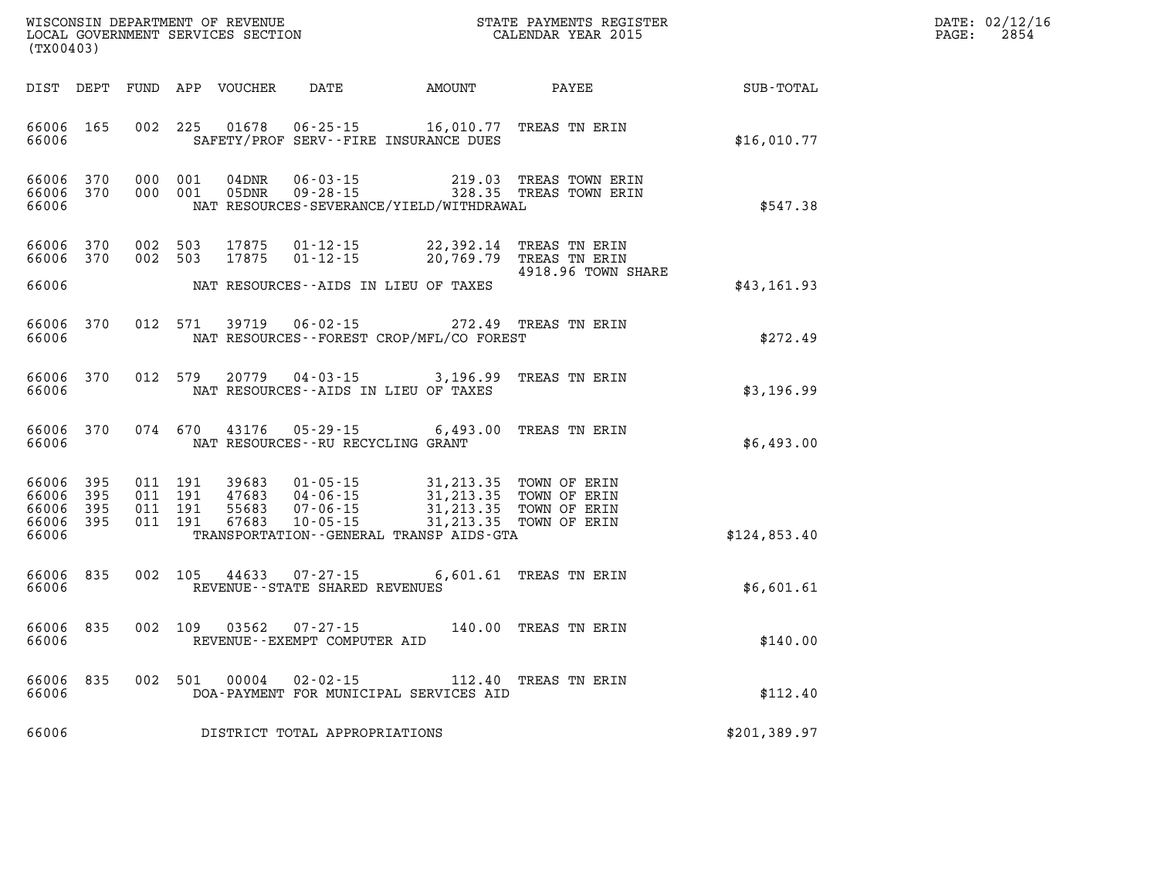| WISCONSIN DEPARTMENT OF REVENUE      | PAYMENTS REGISTER<br>3TATE | DATE: | 02/12/16 |
|--------------------------------------|----------------------------|-------|----------|
| GOVERNMENT SERVICES SECTION<br>LOCAL | CALENDAR YEAR 2015         | PAGE  | 2854     |

| (TX00403)                                 |                          |                                          | LOCAL GOVERNMENT SERVICES SECTION |                                                             |                                                                                                                                                                                                                         | CALENDAR YEAR 2015                                                       |                        | PAGE: | 2854 |
|-------------------------------------------|--------------------------|------------------------------------------|-----------------------------------|-------------------------------------------------------------|-------------------------------------------------------------------------------------------------------------------------------------------------------------------------------------------------------------------------|--------------------------------------------------------------------------|------------------------|-------|------|
|                                           |                          |                                          | DIST DEPT FUND APP VOUCHER        | <b>DATE</b>                                                 |                                                                                                                                                                                                                         |                                                                          | AMOUNT PAYEE SUB-TOTAL |       |      |
| 66006 165<br>66006                        |                          |                                          |                                   |                                                             | 002 225 01678 06-25-15 16,010.77 TREAS TN ERIN<br>SAFETY/PROF SERV--FIRE INSURANCE DUES                                                                                                                                 |                                                                          | \$16,010.77            |       |      |
| 66006 370<br>66006<br>66006               | 370                      | 000 001<br>000 001                       | 04DNR<br>05DNR                    | 06 - 03 - 15<br>09 - 28 - 15                                | NAT RESOURCES-SEVERANCE/YIELD/WITHDRAWAL                                                                                                                                                                                | 219.03 TREAS TOWN ERIN<br>328.35 TREAS TOWN ERIN                         | \$547.38               |       |      |
| 66006<br>66006<br>66006                   | 370<br>370               | 002 503<br>002 503                       | 17875<br>17875                    | $01 - 12 - 15$<br>$01 - 12 - 15$                            | NAT RESOURCES--AIDS IN LIEU OF TAXES                                                                                                                                                                                    | 22,392.14 TREAS TN ERIN<br>20,769.79 TREAS TN ERIN<br>4918.96 TOWN SHARE | \$43,161.93            |       |      |
| 66006<br>66006                            | 370                      | 012 571                                  |                                   |                                                             | 39719   06-02-15   272.49   TREAS TN ERIN<br>NAT RESOURCES--FOREST CROP/MFL/CO FOREST                                                                                                                                   |                                                                          | \$272.49               |       |      |
| 66006<br>66006                            | 370                      |                                          |                                   |                                                             | 012 579 20779 04-03-15 3,196.99 TREAS TN ERIN<br>NAT RESOURCES--AIDS IN LIEU OF TAXES                                                                                                                                   |                                                                          | \$3,196.99             |       |      |
| 66006<br>66006                            | 370                      |                                          | 074 670 43176                     | NAT RESOURCES - - RU RECYCLING GRANT                        | 05-29-15 6,493.00 TREAS TN ERIN                                                                                                                                                                                         |                                                                          | \$6,493.00             |       |      |
| 66006<br>66006<br>66006<br>66006<br>66006 | 395<br>395<br>395<br>395 | 011 191<br>011 191<br>011 191<br>011 191 | 67683                             | $10 - 05 - 15$                                              | 39683  01-05-15  31,213.35  TOWN OF ERIN<br>47683  04-06-15  31,213.35  TOWN OF ERIN<br>55683  07-06-15  31,213.35  TOWN OF ERIN<br>67683  10-05-15  31,213.35  TOWN OF ERIN<br>TRANSPORTATION--GENERAL TRANSP AIDS-GTA | 31,213.35 TOWN OF ERIN                                                   | \$124,853.40           |       |      |
| 66006<br>66006                            | 835                      |                                          |                                   | 002 105 44633 07-27-15<br>REVENUE - - STATE SHARED REVENUES |                                                                                                                                                                                                                         | 6,601.61 TREAS TN ERIN                                                   | \$6,601.61             |       |      |
| 66006<br>66006                            | 835                      |                                          |                                   | 002 109 03562 07-27-15<br>REVENUE--EXEMPT COMPUTER AID      |                                                                                                                                                                                                                         | 140.00 TREAS TN ERIN                                                     | \$140.00               |       |      |
| 66006<br>66006                            | 835                      |                                          | 002 501 00004                     | $02 - 02 - 15$                                              | DOA-PAYMENT FOR MUNICIPAL SERVICES AID                                                                                                                                                                                  | 112.40 TREAS TN ERIN                                                     | \$112.40               |       |      |
| 66006                                     |                          |                                          |                                   | DISTRICT TOTAL APPROPRIATIONS                               |                                                                                                                                                                                                                         |                                                                          | \$201,389.97           |       |      |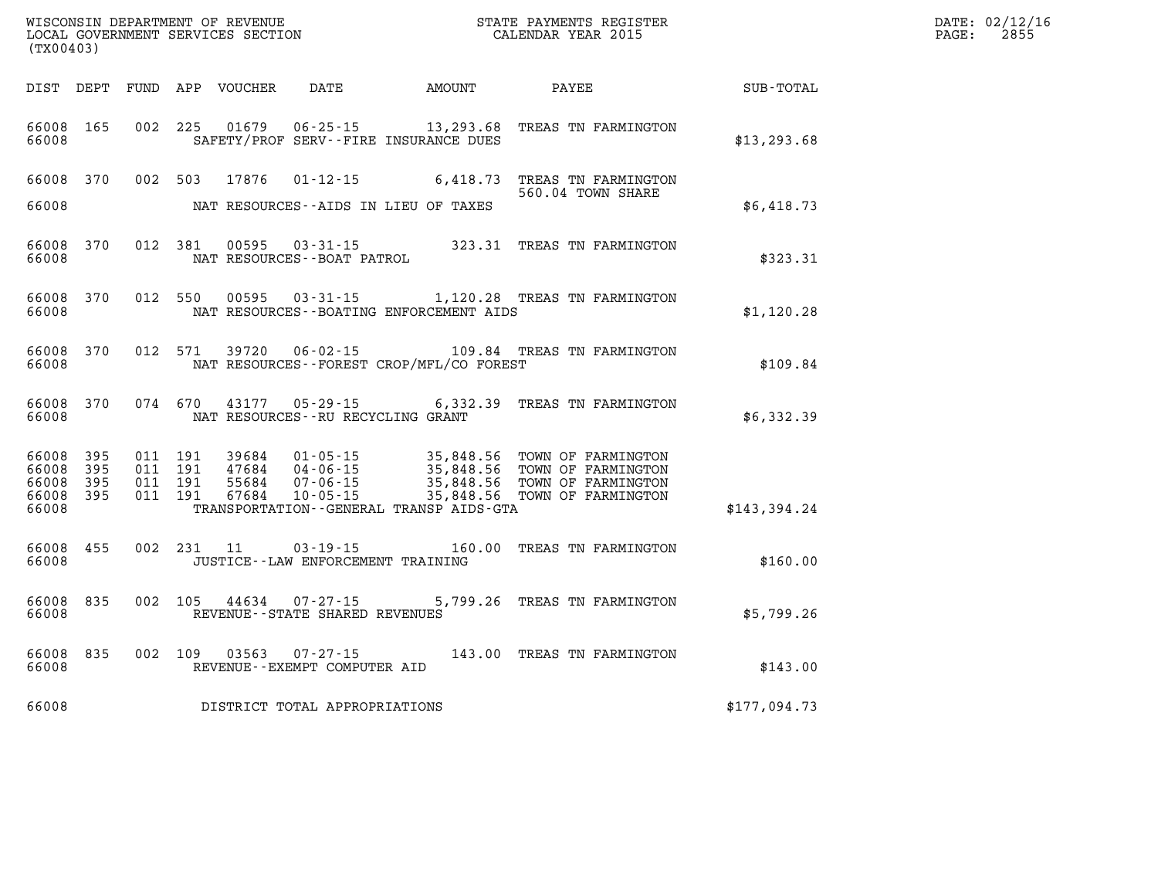| (TX00403)                                 |                            |                                          |         | WISCONSIN DEPARTMENT OF REVENUE<br>LOCAL GOVERNMENT SERVICES SECTION |                                                        |                                             | STATE PAYMENTS REGISTER<br>CALENDAR YEAR 2015                                                                                                                                           |              | DATE: 02/12/16<br>PAGE:<br>2855 |
|-------------------------------------------|----------------------------|------------------------------------------|---------|----------------------------------------------------------------------|--------------------------------------------------------|---------------------------------------------|-----------------------------------------------------------------------------------------------------------------------------------------------------------------------------------------|--------------|---------------------------------|
|                                           |                            |                                          |         | DIST DEPT FUND APP VOUCHER                                           | DATE                                                   | AMOUNT                                      | PAYEE                                                                                                                                                                                   | SUB-TOTAL    |                                 |
| 66008 165<br>66008                        |                            |                                          | 002 225 | 01679                                                                |                                                        | SAFETY/PROF SERV--FIRE INSURANCE DUES       | 06-25-15 13,293.68 TREAS TN FARMINGTON                                                                                                                                                  | \$13, 293.68 |                                 |
| 66008 370<br>66008                        |                            |                                          |         | 002 503 17876                                                        | $01 - 12 - 15$                                         | NAT RESOURCES--AIDS IN LIEU OF TAXES        | 6,418.73 TREAS TN FARMINGTON<br>560.04 TOWN SHARE                                                                                                                                       | \$6,418.73   |                                 |
| 66008<br>66008                            | 370                        |                                          | 012 381 | 00595                                                                | NAT RESOURCES--BOAT PATROL                             |                                             | 03-31-15 323.31 TREAS TN FARMINGTON                                                                                                                                                     | \$323.31     |                                 |
| 66008 370<br>66008                        |                            |                                          | 012 550 |                                                                      |                                                        | NAT RESOURCES--BOATING ENFORCEMENT AIDS     | 00595  03-31-15  1,120.28  TREAS TN FARMINGTON                                                                                                                                          | \$1,120.28   |                                 |
| 66008 370<br>66008                        |                            |                                          | 012 571 | 39720                                                                |                                                        | NAT RESOURCES - - FOREST CROP/MFL/CO FOREST | 06-02-15 109.84 TREAS TN FARMINGTON                                                                                                                                                     | \$109.84     |                                 |
| 66008 370<br>66008                        |                            | 074 670                                  |         | 43177                                                                | NAT RESOURCES -- RU RECYCLING GRANT                    |                                             | 05-29-15 6,332.39 TREAS TN FARMINGTON                                                                                                                                                   | \$6,332.39   |                                 |
| 66008<br>66008<br>66008<br>66008<br>66008 | 395<br>395<br>395<br>- 395 | 011 191<br>011 191<br>011 191<br>011 191 |         | 39684<br>47684<br>55684<br>67684                                     | 04-06-15<br>$07 - 06 - 15$<br>$10 - 05 - 15$           | TRANSPORTATION--GENERAL TRANSP AIDS-GTA     | 01-05-15 35,848.56 TOWN OF FARMINGTON<br>04-06-15 35,848.56 TOWN OF FARMINGTON<br>07-06-15 35,848.56 TOWN OF FARMINGTON<br>35,848.56 TOWN OF FARMINGTON<br>35,848.56 TOWN OF FARMINGTON | \$143,394.24 |                                 |
| 66008 455<br>66008                        |                            |                                          |         | 002 231 11                                                           | 03-19-15<br>JUSTICE -- LAW ENFORCEMENT TRAINING        |                                             | 160.00 TREAS TN FARMINGTON                                                                                                                                                              | \$160.00     |                                 |
| 66008<br>66008                            | 835                        |                                          | 002 105 | 44634                                                                | $07 - 27 - 15$<br>REVENUE - - STATE SHARED REVENUES    |                                             | 5,799.26 TREAS TN FARMINGTON                                                                                                                                                            | \$5,799.26   |                                 |
| 66008<br>66008                            | 835                        |                                          | 002 109 |                                                                      | $03563$ $07 - 27 - 15$<br>REVENUE--EXEMPT COMPUTER AID |                                             | 143.00 TREAS TN FARMINGTON                                                                                                                                                              | \$143.00     |                                 |
| 66008                                     |                            |                                          |         |                                                                      | DISTRICT TOTAL APPROPRIATIONS                          |                                             |                                                                                                                                                                                         | \$177,094.73 |                                 |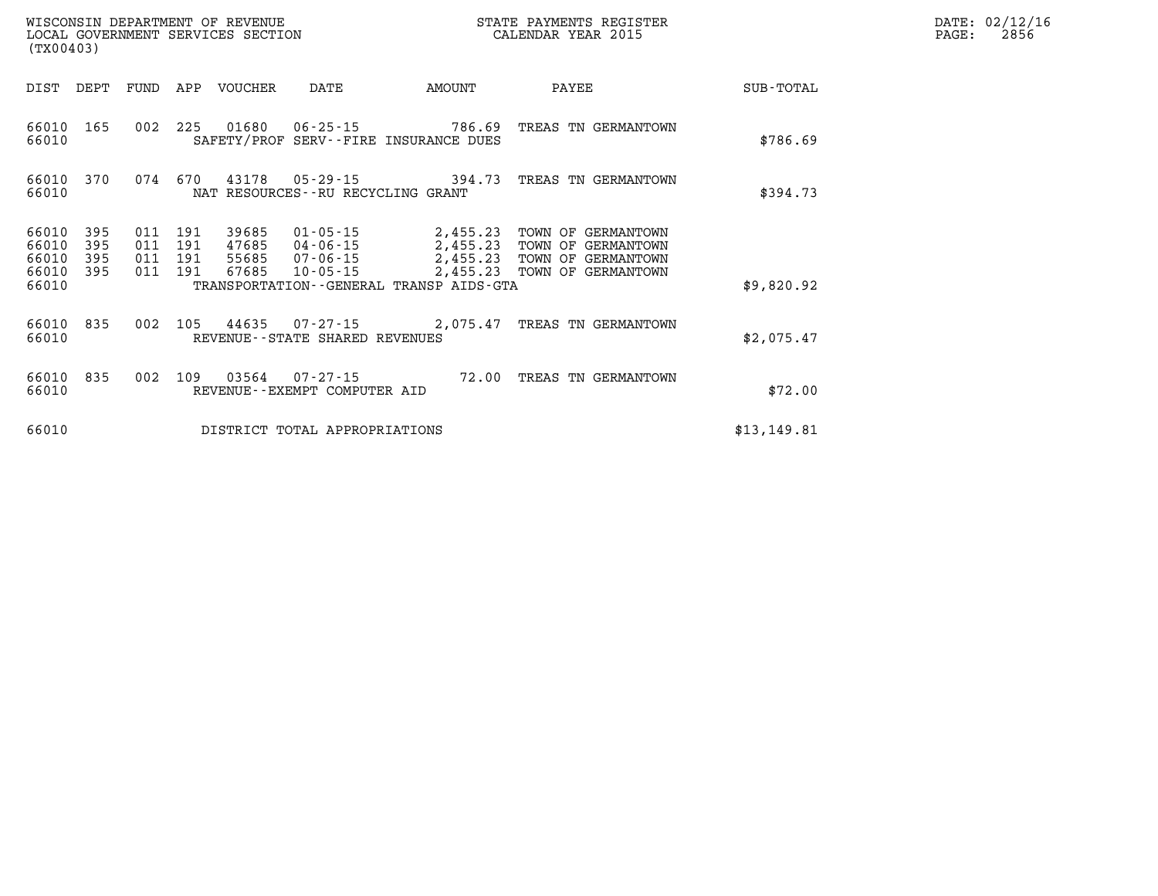| WISCONSIN DEPARTMENT OF REVENUE   | STATE PAYMENTS REGISTER | DATE: 02/12/16 |
|-----------------------------------|-------------------------|----------------|
| LOCAL GOVERNMENT SERVICES SECTION | CALENDAR YEAR 2015      | 2856<br>PAGE:  |
| $1 - 2 - 0$                       |                         |                |

| (TX00403)                        |                          |            |                                  | LOCAL GOVERNMENT SERVICES SECTION |                                          |                                              | CALENDAR YEAR 2015                                                                                                                |              | PAGE: | 2856 |
|----------------------------------|--------------------------|------------|----------------------------------|-----------------------------------|------------------------------------------|----------------------------------------------|-----------------------------------------------------------------------------------------------------------------------------------|--------------|-------|------|
| DIST                             | DEPT                     | FUND       |                                  | APP VOUCHER                       | DATE                                     | AMOUNT                                       | PAYEE                                                                                                                             | SUB-TOTAL    |       |      |
| 66010<br>66010                   | 165                      |            |                                  | 002 225 01680                     |                                          | SAFETY/PROF SERV--FIRE INSURANCE DUES        | 06-25-15 786.69 TREAS TN GERMANTOWN                                                                                               | \$786.69     |       |      |
| 66010<br>66010                   | 370                      |            |                                  |                                   | NAT RESOURCES--RU RECYCLING GRANT        |                                              | 074 670 43178 05-29-15 394.73 TREAS TN GERMANTOWN                                                                                 | \$394.73     |       |      |
| 66010<br>66010<br>66010<br>66010 | 395<br>395<br>395<br>395 | 011<br>011 | 191<br>191<br>011 191<br>011 191 | 39685<br>47685<br>55685<br>67685  | 04-06-15<br>07-06-15<br>10-05-15         |                                              | 01-05-15 2,455.23 TOWN OF GERMANTOWN<br>2,455.23 TOWN OF GERMANTOWN<br>2,455.23 TOWN OF GERMANTOWN<br>2,455.23 TOWN OF GERMANTOWN |              |       |      |
| 66010                            |                          |            |                                  |                                   |                                          | TRANSPORTATION - - GENERAL TRANSP AIDS - GTA |                                                                                                                                   | \$9,820.92   |       |      |
| 66010<br>66010                   | 835                      | 002        |                                  |                                   | REVENUE--STATE SHARED REVENUES           |                                              | 105  44635  07-27-15  2,075.47  TREAS TN GERMANTOWN                                                                               | \$2,075.47   |       |      |
| 66010<br>66010                   | 835                      |            | 002 109                          | 03564                             | 07-27-15<br>REVENUE--EXEMPT COMPUTER AID |                                              | 72.00 TREAS TN GERMANTOWN                                                                                                         | \$72.00      |       |      |
| 66010                            |                          |            |                                  |                                   | DISTRICT TOTAL APPROPRIATIONS            |                                              |                                                                                                                                   | \$13, 149.81 |       |      |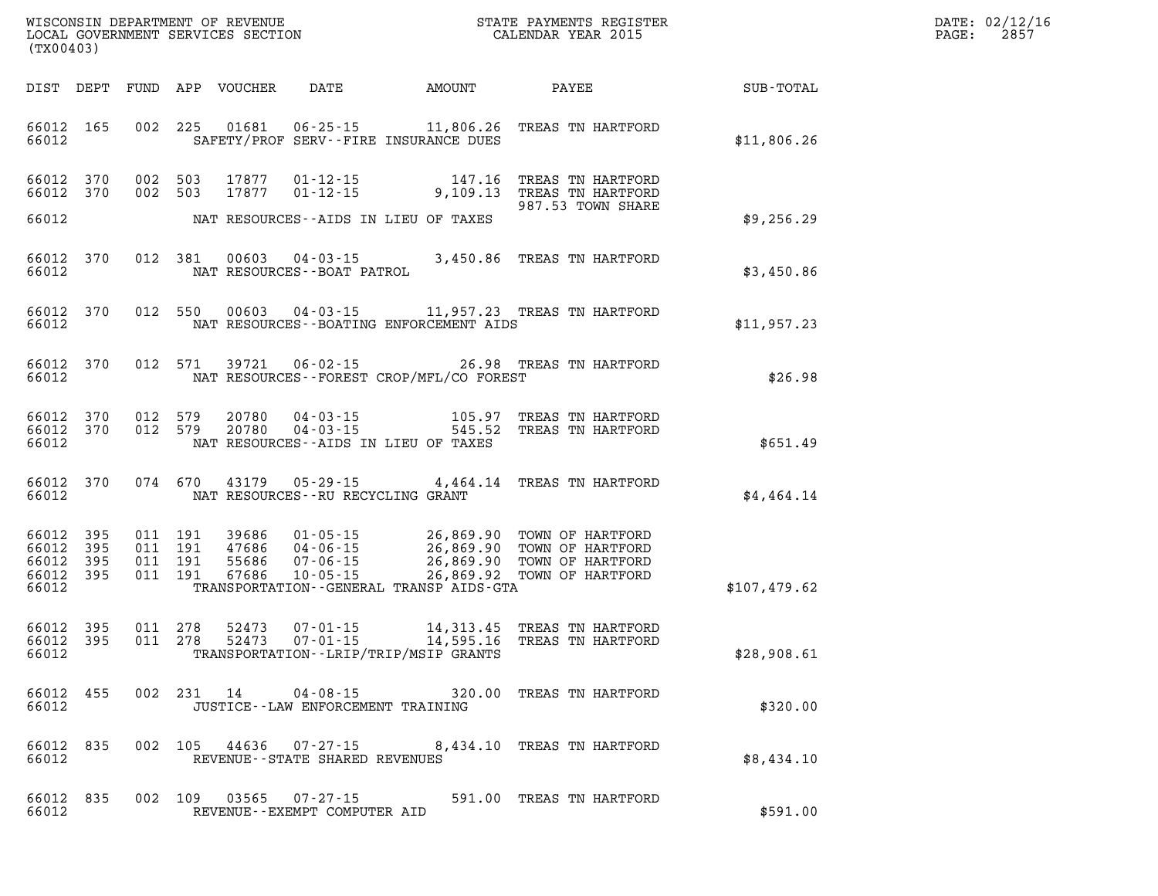| WISCONSIN DEPARTMENT OF REVENUE   | PAYMENTS REGISTER<br>3TATE - | DATE: | 02/12/16 |
|-----------------------------------|------------------------------|-------|----------|
| LOCAL GOVERNMENT SERVICES SECTION | CALENDAR YEAR 2015           | PAGE  | 2857     |

| (TX00403)                                |                        |                               | LOCAL GOVERNMENT SERVICES SECTION |                                                           |                                          | CALENDAR YEAR 2015                                                                                                                                                                                         |                                                    | PAGE: | 2857 |
|------------------------------------------|------------------------|-------------------------------|-----------------------------------|-----------------------------------------------------------|------------------------------------------|------------------------------------------------------------------------------------------------------------------------------------------------------------------------------------------------------------|----------------------------------------------------|-------|------|
|                                          |                        |                               |                                   |                                                           |                                          |                                                                                                                                                                                                            | DIST DEPT FUND APP VOUCHER DATE AMOUNT PAYEE TOTAL |       |      |
| 66012                                    |                        |                               |                                   |                                                           | SAFETY/PROF SERV--FIRE INSURANCE DUES    | 66012 165 002 225 01681 06-25-15 11,806.26 TREAS TN HARTFORD                                                                                                                                               | \$11,806.26                                        |       |      |
|                                          | 66012 370              |                               | 66012 370 002 503 17877           |                                                           | NAT RESOURCES--AIDS IN LIEU OF TAXES     | 002 503 17877 01-12-15 147.16 TREAS TN HARTFORD<br>002 503 17877 01-12-15 9,109.13 TREAS TN HARTFORD<br>987.53 TOWN SHARE                                                                                  |                                                    |       |      |
| 66012                                    |                        |                               |                                   |                                                           |                                          |                                                                                                                                                                                                            | \$9,256.29                                         |       |      |
| 66012                                    |                        |                               |                                   | NAT RESOURCES--BOAT PATROL                                |                                          | 66012 370 012 381 00603 04-03-15 3,450.86 TREAS TN HARTFORD                                                                                                                                                | \$3,450.86                                         |       |      |
| 66012                                    |                        |                               |                                   |                                                           | NAT RESOURCES--BOATING ENFORCEMENT AIDS  | 66012 370 012 550 00603 04-03-15 11,957.23 TREAS TN HARTFORD                                                                                                                                               | \$11,957.23                                        |       |      |
| 66012                                    |                        |                               |                                   |                                                           | NAT RESOURCES--FOREST CROP/MFL/CO FOREST | 66012 370 012 571 39721 06-02-15 26.98 TREAS TN HARTFORD                                                                                                                                                   | \$26.98                                            |       |      |
| 66012                                    |                        |                               |                                   |                                                           | NAT RESOURCES--AIDS IN LIEU OF TAXES     | $\begin{array}{cccc} 66012 & 370 & 012 & 579 & 20780 & 04 - 03 - 15 & 105.97 & \text{TREAS TN HARTFORD} \\ 66012 & 370 & 012 & 579 & 20780 & 04 - 03 - 15 & 545.52 & \text{TREAS TN HARTFORD} \end{array}$ | \$651.49                                           |       |      |
| 66012                                    |                        |                               | 66012 370 074 670 43179           | NAT RESOURCES--RU RECYCLING GRANT                         |                                          | 05-29-15 4,464.14 TREAS TN HARTFORD                                                                                                                                                                        | \$4,464.14                                         |       |      |
| 66012 395<br>66012<br>66012 395<br>66012 | 395<br>66012 395       | 011 191<br>011 191<br>011 191 | 011 191 39686                     |                                                           | TRANSPORTATION - GENERAL TRANSP AIDS-GTA | 39686  01-05-15  26,869.90  TOWN OF HARTFORD<br>47686  04-06-15  26,869.90  TOWN OF HARTFORD<br>55686  07-06-15  26,869.90  TOWN OF HARTFORD<br>67686  10-05-15  26,869.92  TOWN OF HARTFORD               | \$107,479.62                                       |       |      |
| 66012                                    | 66012 395<br>66012 395 |                               | 011 278 52473<br>011 278 52473    |                                                           | TRANSPORTATION - - LRIP/TRIP/MSIP GRANTS | 07-01-15 14,313.45 TREAS TN HARTFORD<br>07-01-15 14,595.16 TREAS TN HARTFORD                                                                                                                               | \$28,908.61                                        |       |      |
| 66012                                    | 66012 455              |                               |                                   | JUSTICE -- LAW ENFORCEMENT TRAINING                       |                                          | 002 231 14 04-08-15 320.00 TREAS TN HARTFORD                                                                                                                                                               | \$320.00                                           |       |      |
| 66012 835<br>66012                       |                        |                               |                                   | REVENUE - - STATE SHARED REVENUES                         |                                          | 002 105 44636 07-27-15 8,434.10 TREAS TN HARTFORD                                                                                                                                                          | \$8,434.10                                         |       |      |
| 66012 835<br>66012                       |                        |                               |                                   | 002 109 03565 07-27-15<br>REVENUE - - EXEMPT COMPUTER AID |                                          | 591.00 TREAS TN HARTFORD                                                                                                                                                                                   | \$591.00                                           |       |      |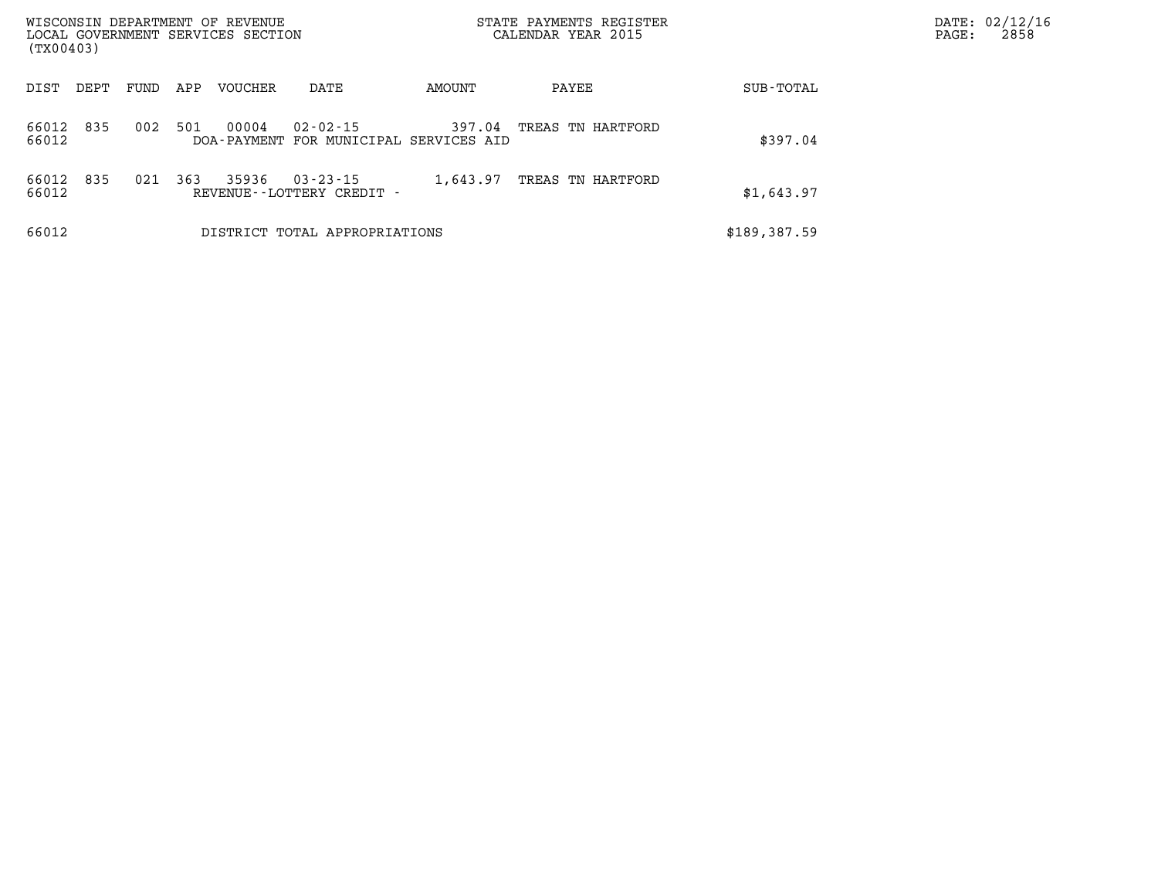| WISCONSIN DEPARTMENT OF REVENUE<br>LOCAL GOVERNMENT SERVICES SECTION<br>(TX00403) |      |      |     |         |                                                          |          | STATE PAYMENTS REGISTER<br>CALENDAR YEAR 2015 |              | PAGE: | DATE: 02/12/16<br>2858 |
|-----------------------------------------------------------------------------------|------|------|-----|---------|----------------------------------------------------------|----------|-----------------------------------------------|--------------|-------|------------------------|
| DIST                                                                              | DEPT | FUND | APP | VOUCHER | DATE                                                     | AMOUNT   | PAYEE                                         | SUB-TOTAL    |       |                        |
| 66012<br>66012                                                                    | 835  | 002  | 501 | 00004   | $02 - 02 - 15$<br>DOA-PAYMENT FOR MUNICIPAL SERVICES AID | 397.04   | TREAS TN HARTFORD                             | \$397.04     |       |                        |
| 66012<br>66012                                                                    | 835  | 021  | 363 | 35936   | $03 - 23 - 15$<br>REVENUE--LOTTERY CREDIT -              | 1,643.97 | TREAS TN HARTFORD                             | \$1,643.97   |       |                        |
| 66012                                                                             |      |      |     |         | DISTRICT TOTAL APPROPRIATIONS                            |          |                                               | \$189,387.59 |       |                        |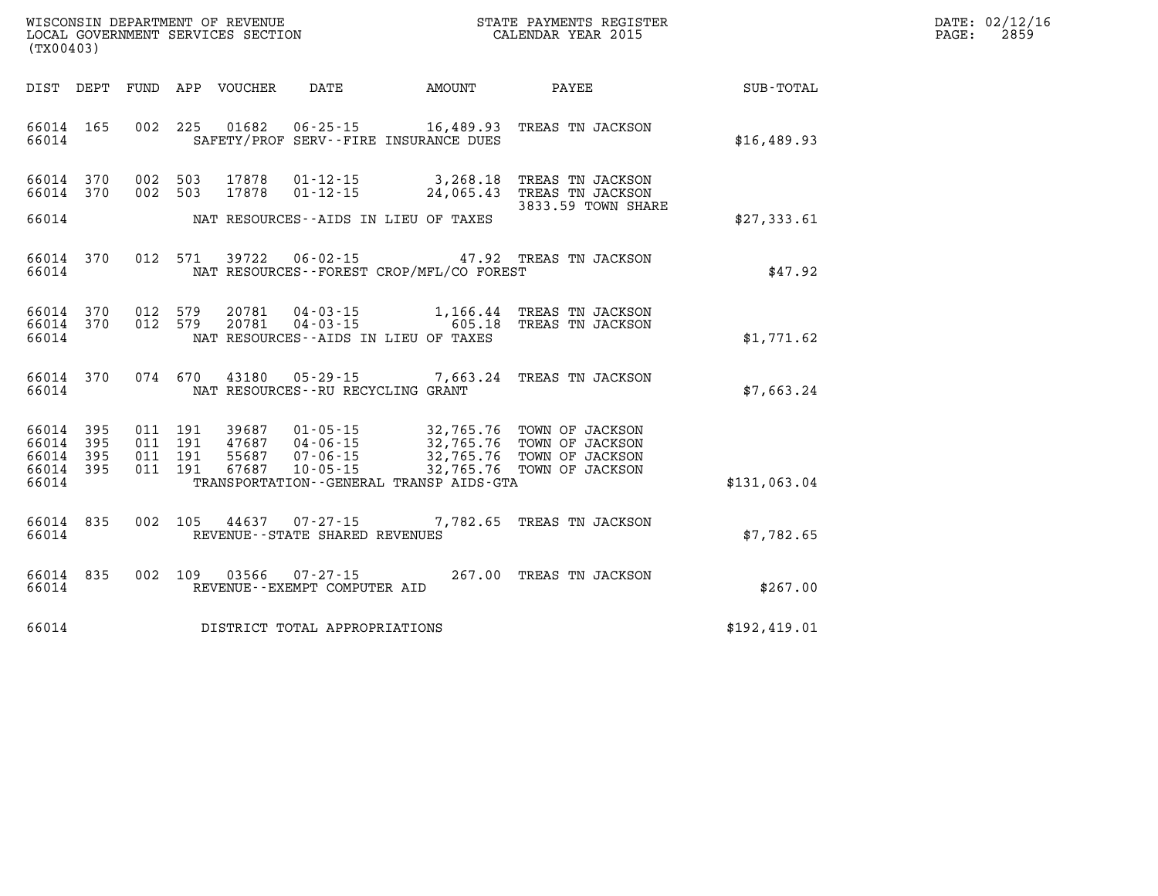| WISCONSIN DEPARTMENT OF REVENUE      | PAYMENTS REGISTER<br>3TATE | DATE: | 02/12/16 |
|--------------------------------------|----------------------------|-------|----------|
| GOVERNMENT SERVICES SECTION<br>LOCAL | CALENDAR YEAR 2015         | PAGE  | 2859     |

| (TX00403)                                                 |  | LOCAL GOVERNMENT SERVICES SECTION |                                     | CALENDAR YEAR 2015                           |                                                                                                                                                                                                                                                                                                                                                          | PAGE:                                              | 2859 |  |
|-----------------------------------------------------------|--|-----------------------------------|-------------------------------------|----------------------------------------------|----------------------------------------------------------------------------------------------------------------------------------------------------------------------------------------------------------------------------------------------------------------------------------------------------------------------------------------------------------|----------------------------------------------------|------|--|
|                                                           |  |                                   |                                     |                                              |                                                                                                                                                                                                                                                                                                                                                          |                                                    |      |  |
|                                                           |  |                                   |                                     |                                              |                                                                                                                                                                                                                                                                                                                                                          | DIST DEPT FUND APP VOUCHER DATE AMOUNT PAYEE TOTAL |      |  |
| 66014 165<br>66014                                        |  |                                   |                                     | SAFETY/PROF SERV--FIRE INSURANCE DUES        | 002 225 01682 06-25-15 16,489.93 TREAS TN JACKSON                                                                                                                                                                                                                                                                                                        | \$16,489.93                                        |      |  |
| 66014 370<br>66014 370                                    |  |                                   |                                     |                                              | 002 503 17878 01-12-15 3,268.18 TREAS TN JACKSON<br>002 503 17878 01-12-15 24,065.43 TREAS TN JACKSON<br>3833.59 TOWN SHARE                                                                                                                                                                                                                              |                                                    |      |  |
|                                                           |  |                                   |                                     | 66014 MAT RESOURCES--AIDS IN LIEU OF TAXES   |                                                                                                                                                                                                                                                                                                                                                          | \$27,333.61                                        |      |  |
| 66014 370<br>66014                                        |  |                                   |                                     | NAT RESOURCES--FOREST CROP/MFL/CO FOREST     | 012 571 39722 06-02-15 47.92 TREAS TN JACKSON                                                                                                                                                                                                                                                                                                            | \$47.92                                            |      |  |
| 66014 370<br>66014 370<br>66014                           |  |                                   |                                     | NAT RESOURCES--AIDS IN LIEU OF TAXES         | $0.12$ 579 $20781$ $04 - 03 - 15$ 1,166.44 TREAS TN JACKSON<br>$0.12$ 579 $20781$ $04 - 03 - 15$ 605.18 TREAS TN JACKSON                                                                                                                                                                                                                                 | \$1,771.62                                         |      |  |
| 66014 370<br>66014                                        |  |                                   |                                     | NAT RESOURCES--RU RECYCLING GRANT            | 074 670 43180 05-29-15 7,663.24 TREAS TN JACKSON                                                                                                                                                                                                                                                                                                         | \$7.663.24                                         |      |  |
| 66014 395<br>66014 395<br>66014 395<br>66014 395<br>66014 |  |                                   |                                     | TRANSPORTATION - - GENERAL TRANSP AIDS - GTA | $\begin{array}{cccc} 011 & 191 & 39687 & 01\text{-}05\text{-}15 & 32,765\text{ .}76 & \text{TOWN OF JACKSON} \\ 011 & 191 & 47687 & 04\text{-}06\text{-}15 & 32,765\text{ .}76 & \text{TOWN OF JACKSON} \\ 011 & 191 & 55687 & 07\text{-}06\text{-}15 & 32,765\text{ .}76 & \text{TOWN OF JACKSON} \\ 011 & 191 & 67687 & 10\text{-}05\text{-}15 & 32,7$ | \$131,063.04                                       |      |  |
| 66014 835<br>66014                                        |  |                                   | REVENUE--STATE SHARED REVENUES      |                                              | 002 105 44637 07-27-15 7,782.65 TREAS TN JACKSON                                                                                                                                                                                                                                                                                                         | \$7,782.65                                         |      |  |
| 66014 835<br>66014                                        |  |                                   | REVENUE--EXEMPT COMPUTER AID        |                                              | 002 109 03566 07-27-15 267.00 TREAS TN JACKSON                                                                                                                                                                                                                                                                                                           | \$267.00                                           |      |  |
|                                                           |  |                                   | 66014 DISTRICT TOTAL APPROPRIATIONS |                                              |                                                                                                                                                                                                                                                                                                                                                          | \$192,419.01                                       |      |  |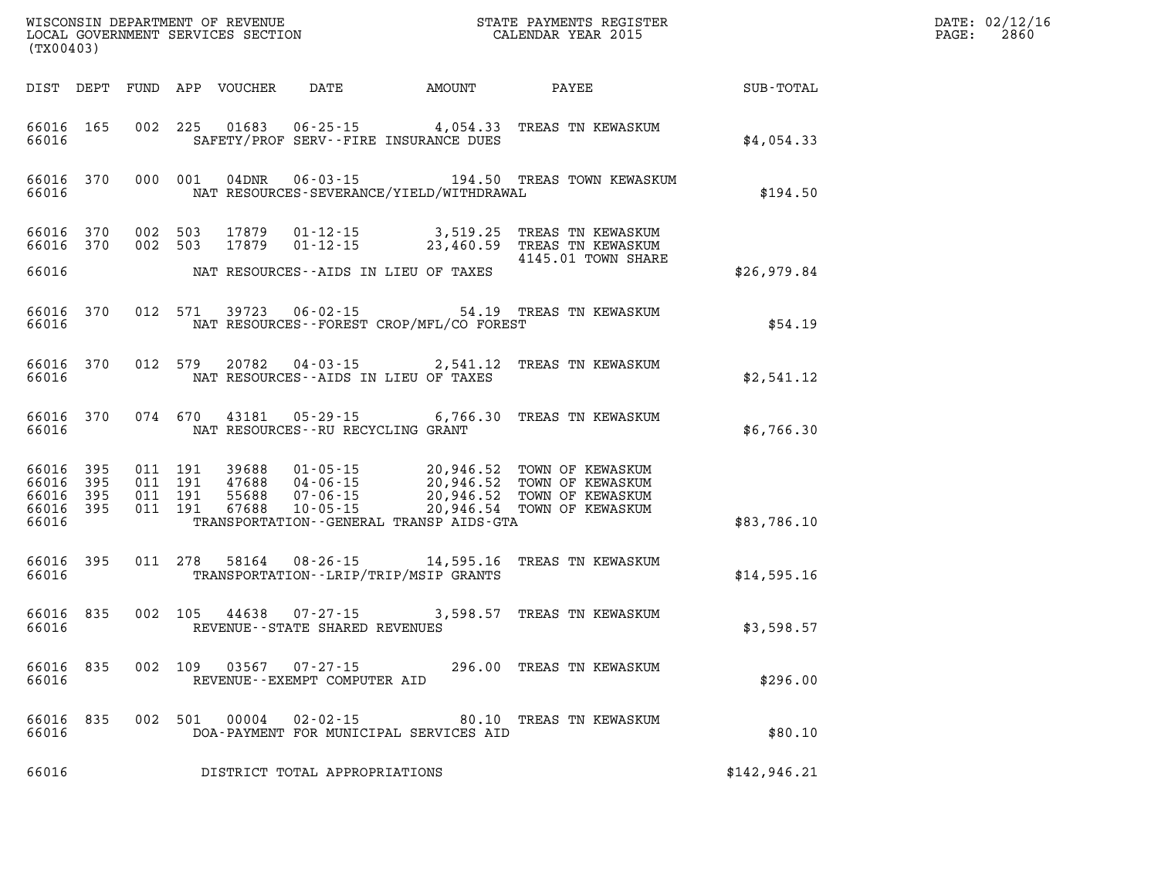| (TX00403)      |       |         |       |                                                                          |                                            |                                                                                                                                                                                                                                                                                                            |              | DATE: 02/12/16<br>$\mathtt{PAGE:}$<br>2860 |
|----------------|-------|---------|-------|--------------------------------------------------------------------------|--------------------------------------------|------------------------------------------------------------------------------------------------------------------------------------------------------------------------------------------------------------------------------------------------------------------------------------------------------------|--------------|--------------------------------------------|
|                |       |         |       |                                                                          |                                            | DIST DEPT FUND APP VOUCHER DATE AMOUNT PAYEE                                                                                                                                                                                                                                                               | SUB-TOTAL    |                                            |
| 66016          |       |         |       |                                                                          | SAFETY/PROF SERV--FIRE INSURANCE DUES      | 66016 165 002 225 01683 06-25-15 4,054.33 TREAS TN KEWASKUM                                                                                                                                                                                                                                                | \$4,054.33   |                                            |
| 66016          |       |         |       |                                                                          | NAT RESOURCES-SEVERANCE/YIELD/WITHDRAWAL   | 66016 370 000 001 04DNR 06-03-15 194.50 TREAS TOWN KEWASKUM                                                                                                                                                                                                                                                | \$194.50     |                                            |
|                |       |         |       |                                                                          |                                            | 66016 370 002 503 17879 01-12-15 3,519.25 TREAS TN KEWASKUM<br>66016 370 002 503 17879 01-12-15 23,460.59 TREAS TN KEWASKUM<br>4145.01 TOWN SHARE                                                                                                                                                          |              |                                            |
| 66016          |       |         |       |                                                                          | NAT RESOURCES--AIDS IN LIEU OF TAXES       |                                                                                                                                                                                                                                                                                                            | \$26,979.84  |                                            |
| 66016          |       |         |       |                                                                          | NAT RESOURCES--FOREST CROP/MFL/CO FOREST   | 66016 370 012 571 39723 06-02-15 54.19 TREAS TN KEWASKUM                                                                                                                                                                                                                                                   | \$54.19      |                                            |
| 66016          |       |         |       |                                                                          | NAT RESOURCES--AIDS IN LIEU OF TAXES       | 66016 370 012 579 20782 04-03-15 2,541.12 TREAS TN KEWASKUM                                                                                                                                                                                                                                                | \$2,541.12   |                                            |
| 66016          |       |         |       | NAT RESOURCES--RU RECYCLING GRANT                                        |                                            | 66016 370 074 670 43181 05-29-15 6,766.30 TREAS TN KEWASKUM                                                                                                                                                                                                                                                | \$6,766.30   |                                            |
| 66016          |       |         |       |                                                                          | TRANSPORTATION - - GENERAL TRANSP AIDS-GTA | $\begin{tabular}{cccccc} 66016 & 395 & 011 & 191 & 39688 & 01-05-15 & 20,946.52 & TOWN OF KEWASKUM \\ 66016 & 395 & 011 & 191 & 47688 & 04-06-15 & 20,946.52 & TOWN OF KEWASKUM \\ 66016 & 395 & 011 & 191 & 55688 & 07-06-15 & 20,946.52 & TOWN OF KEWASKUM \\ 66016 & 395 & 011 & 191 & 67688 & 10-05-1$ | \$83,786.10  |                                            |
|                | 66016 |         |       |                                                                          | TRANSPORTATION - - LRIP/TRIP/MSIP GRANTS   | 66016 395 011 278 58164 08-26-15 14,595.16 TREAS TN KEWASKUM                                                                                                                                                                                                                                               | \$14,595.16  |                                            |
|                |       |         |       | 66016 835 002 105 44638 07-27-15<br>66016 REVENUE--STATE SHARED REVENUES |                                            | 3,598.57 TREAS TN KEWASKUM                                                                                                                                                                                                                                                                                 | \$3,598.57   |                                            |
| 66016          |       |         |       | REVENUE--EXEMPT COMPUTER AID                                             |                                            | 66016 835 002 109 03567 07-27-15 296.00 TREAS TN KEWASKUM                                                                                                                                                                                                                                                  | \$296.00     |                                            |
| 66016<br>66016 | 835   | 002 501 | 00004 | 02-02-15                                                                 | DOA-PAYMENT FOR MUNICIPAL SERVICES AID     | 80.10 TREAS TN KEWASKUM                                                                                                                                                                                                                                                                                    | \$80.10      |                                            |
| 66016          |       |         |       | DISTRICT TOTAL APPROPRIATIONS                                            |                                            |                                                                                                                                                                                                                                                                                                            | \$142,946.21 |                                            |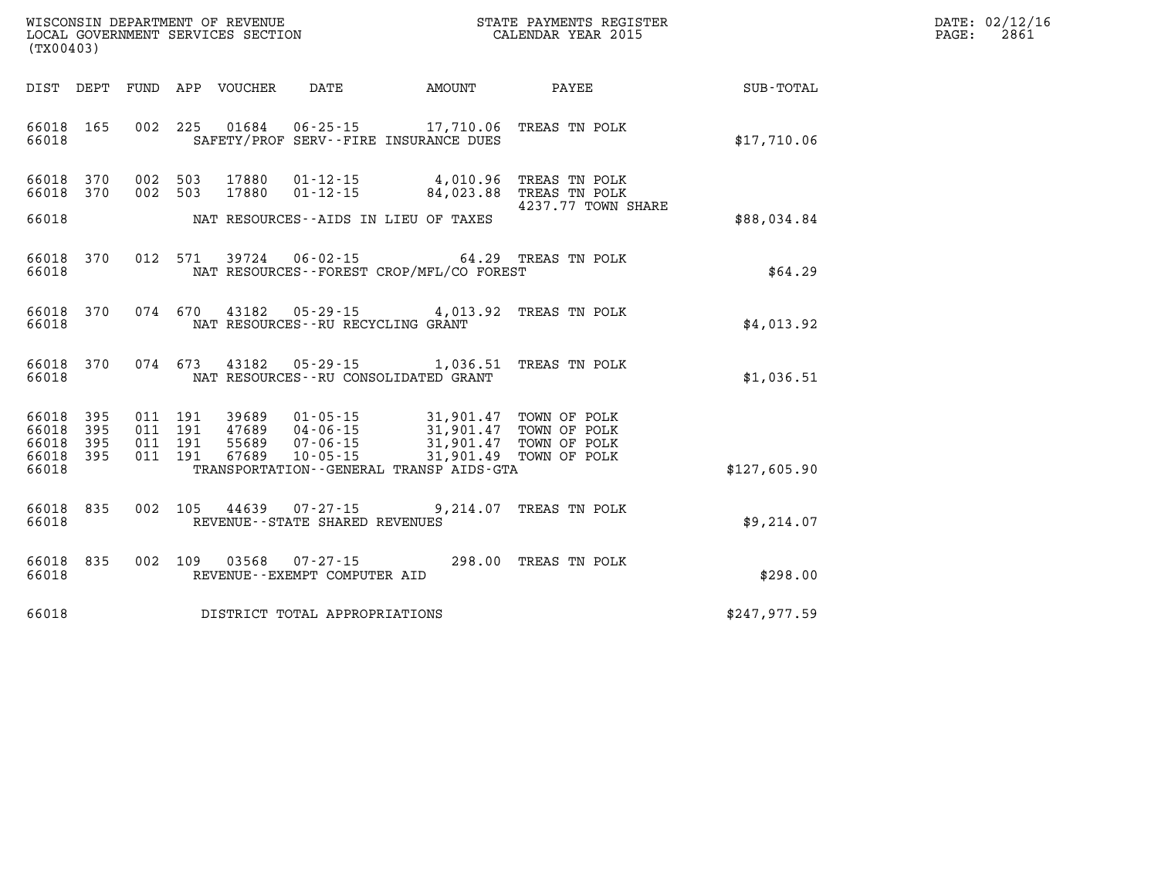| $\mathtt{DATE}$ : | 02/12/16 |
|-------------------|----------|
| PAGE:             | 2861     |

| WISCONSIN DEPARTMENT OF REVENUE<br>LOCAL GOVERNMENT SERVICES SECTION<br>(TX00403) | STATE PAYMENTS REGISTER<br>CALENDAR YEAR 2015                                                          |                       |                                                                  |              |
|-----------------------------------------------------------------------------------|--------------------------------------------------------------------------------------------------------|-----------------------|------------------------------------------------------------------|--------------|
| DEPT<br>FUND<br>DIST                                                              | APP<br>VOUCHER<br>DATE                                                                                 | AMOUNT                | PAYEE                                                            | SUB-TOTAL    |
| 002<br>66018<br>165<br>66018                                                      | 225<br>01684<br>$06 - 25 - 15$<br>SAFETY/PROF SERV--FIRE INSURANCE DUES                                |                       | 17,710.06 TREAS TN POLK                                          | \$17,710.06  |
| 002<br>66018<br>370<br>370<br>002<br>66018                                        | 503<br>17880<br>$01 - 12 - 15$<br>503<br>17880<br>$01 - 12 - 15$                                       | 4,010.96<br>84,023.88 | TREAS TN POLK<br>TREAS TN POLK                                   |              |
| 66018                                                                             | NAT RESOURCES--AIDS IN LIEU OF TAXES                                                                   |                       | 4237.77 TOWN SHARE                                               | \$88,034.84  |
| 012<br>66018<br>370<br>66018                                                      | 571<br>39724<br>$06 - 02 - 15$<br>NAT RESOURCES - - FOREST CROP/MFL/CO FOREST                          |                       | 64.29 TREAS TN POLK                                              | \$64.29      |
| 370<br>074<br>66018<br>66018                                                      | 670<br>43182 05-29-15 4,013.92<br>NAT RESOURCES - - RU RECYCLING GRANT                                 |                       | TREAS TN POLK                                                    | \$4,013.92   |
| 370<br>66018<br>66018                                                             | 074 673<br>43182<br>$05 - 29 - 15$<br>NAT RESOURCES - - RU CONSOLIDATED GRANT                          | 1,036.51              | TREAS TN POLK                                                    | \$1,036.51   |
| 395<br>011<br>66018<br>395<br>66018<br>011<br>66018<br>395                        | 191<br>39689<br>$01 - 05 - 15$<br>011 191<br>47689<br>$04 - 06 - 15$<br>191<br>55689<br>$07 - 06 - 15$ | 31,901.47             | 31,901.47 TOWN OF POLK<br>31,901.47 TOWN OF POLK<br>TOWN OF POLK |              |
| 66018<br>395<br>011<br>66018                                                      | 191<br>67689<br>$10 - 05 - 15$<br>TRANSPORTATION--GENERAL TRANSP AIDS-GTA                              |                       | 31,901.49 TOWN OF POLK                                           | \$127,605.90 |
| 002<br>66018<br>835<br>66018                                                      | 105<br>44639<br>$07 - 27 - 15$<br>REVENUE - - STATE SHARED REVENUES                                    | 9,214.07              | TREAS TN POLK                                                    | \$9,214.07   |
| 002<br>835<br>66018<br>66018                                                      | 109<br>03568<br>$07 - 27 - 15$<br>REVENUE--EXEMPT COMPUTER AID                                         |                       | 298.00 TREAS TN POLK                                             | \$298.00     |
| 66018                                                                             | DISTRICT TOTAL APPROPRIATIONS                                                                          |                       |                                                                  | \$247,977.59 |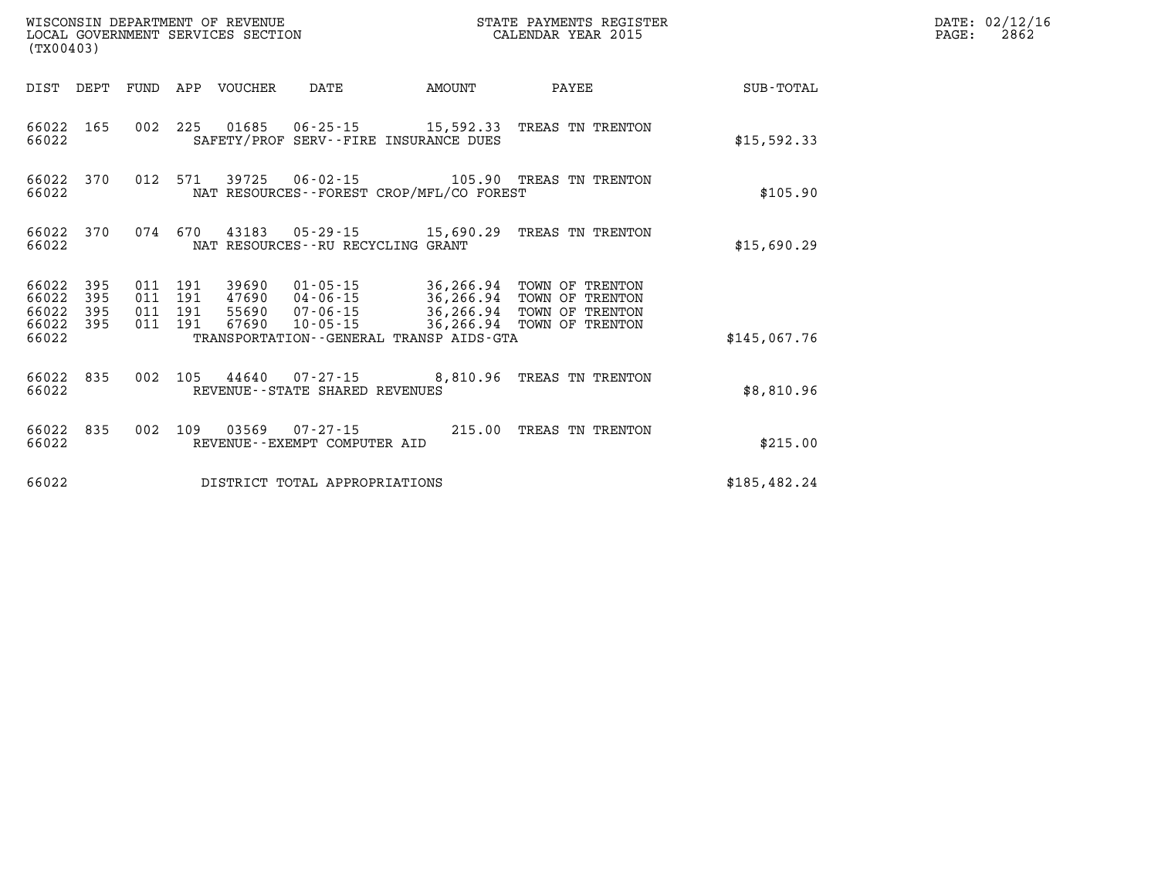| (TX00403)                                                    | WISCONSIN DEPARTMENT OF REVENUE<br>LOCAL GOVERNMENT SERVICES SECTION                                                                    |        | STATE PAYMENTS REGISTER<br>CALENDAR YEAR 2015                                                |              | DATE: 02/12/16<br>2862<br>$\mathtt{PAGE:}$ |
|--------------------------------------------------------------|-----------------------------------------------------------------------------------------------------------------------------------------|--------|----------------------------------------------------------------------------------------------|--------------|--------------------------------------------|
| DIST DEPT                                                    | FUND APP VOUCHER<br>DATE                                                                                                                | AMOUNT | PAYEE                                                                                        | SUB-TOTAL    |                                            |
| 66022 165<br>66022                                           | 002 225 01685 06-25-15 15,592.33 TREAS TN TRENTON<br>SAFETY/PROF SERV--FIRE INSURANCE DUES                                              |        |                                                                                              | \$15,592.33  |                                            |
| 66022<br>370<br>66022                                        | 012 571 39725 06-02-15 105.90 TREAS TN TRENTON<br>NAT RESOURCES - - FOREST CROP/MFL/CO FOREST                                           |        |                                                                                              | \$105.90     |                                            |
| 66022<br>370<br>66022                                        | 074 670 43183 05-29-15 15,690.29 TREAS TN TRENTON<br>NAT RESOURCES - - RU RECYCLING GRANT                                               |        |                                                                                              | \$15,690.29  |                                            |
| 66022<br>395<br>66022<br>395<br>66022<br>395<br>66022<br>395 | 011 191 39690<br>47690 04-06-15 36,266.94 TOWN OF TRENTON<br>011 191<br>011 191<br>55690 07-06-15<br>011 191<br>67690<br>$10 - 05 - 15$ |        | 01-05-15 36,266.94 TOWN OF TRENTON<br>36,266.94 TOWN OF TRENTON<br>36,266.94 TOWN OF TRENTON |              |                                            |
| 66022                                                        | TRANSPORTATION--GENERAL TRANSP AIDS-GTA                                                                                                 |        |                                                                                              | \$145.067.76 |                                            |
| 66022 835<br>66022                                           | 002 105 44640 07-27-15 8,810.96 TREAS TN TRENTON<br>REVENUE--STATE SHARED REVENUES                                                      |        |                                                                                              | \$8,810.96   |                                            |
| 66022<br>835<br>66022                                        | 002 109 03569 07-27-15 215.00 TREAS TN TRENTON<br>REVENUE--EXEMPT COMPUTER AID                                                          |        |                                                                                              | \$215.00     |                                            |
| 66022                                                        | DISTRICT TOTAL APPROPRIATIONS                                                                                                           |        |                                                                                              | \$185,482.24 |                                            |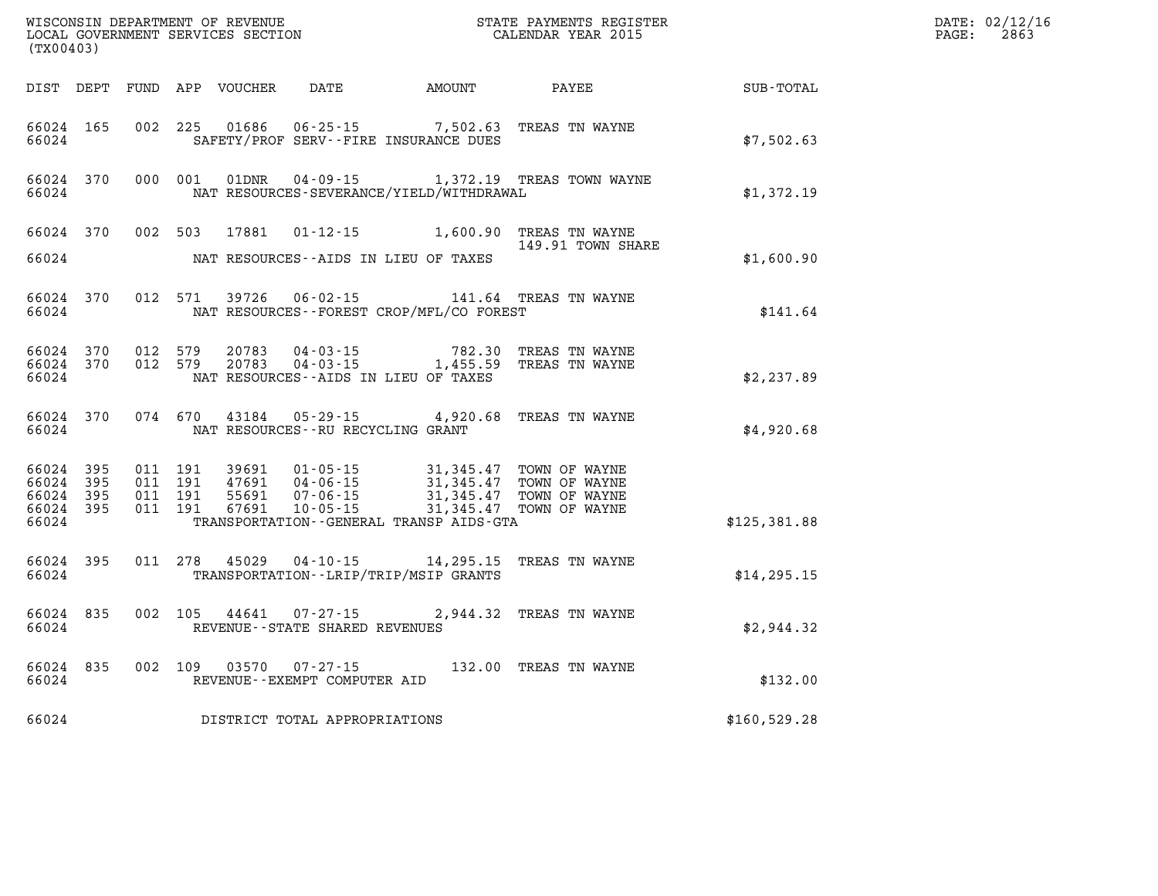| (TX00403)                                         |                   |                                          |         | WISCONSIN DEPARTMENT OF REVENUE<br>LOCAL GOVERNMENT SERVICES SECTION |                                                                                                                                                                                                                                               |          | STATE PAYMENTS REGISTER<br>CALENDAR YEAR 2015         |              | DATE: 02/12/16<br>PAGE:<br>2863 |
|---------------------------------------------------|-------------------|------------------------------------------|---------|----------------------------------------------------------------------|-----------------------------------------------------------------------------------------------------------------------------------------------------------------------------------------------------------------------------------------------|----------|-------------------------------------------------------|--------------|---------------------------------|
|                                                   |                   |                                          |         | DIST DEPT FUND APP VOUCHER                                           | DATE AMOUNT                                                                                                                                                                                                                                   |          | PAYEE                                                 | SUB-TOTAL    |                                 |
| 66024 165<br>66024                                |                   | 002 225                                  |         | 01686                                                                | $06 - 25 - 15$<br>SAFETY/PROF SERV--FIRE INSURANCE DUES                                                                                                                                                                                       | 7,502.63 | TREAS TN WAYNE                                        | \$7,502.63   |                                 |
| 66024 370<br>66024                                |                   |                                          | 000 001 | 01DNR                                                                | NAT RESOURCES-SEVERANCE/YIELD/WITHDRAWAL                                                                                                                                                                                                      |          | 04-09-15 1,372.19 TREAS TOWN WAYNE                    | \$1,372.19   |                                 |
| 66024 370<br>66024                                |                   | 002 503                                  |         | 17881                                                                | NAT RESOURCES--AIDS IN LIEU OF TAXES                                                                                                                                                                                                          |          | 01-12-15 1,600.90 TREAS TN WAYNE<br>149.91 TOWN SHARE | \$1,600.90   |                                 |
| 66024 370<br>66024                                |                   |                                          | 012 571 | 39726                                                                | 06-02-15<br>NAT RESOURCES - - FOREST CROP/MFL/CO FOREST                                                                                                                                                                                       |          | 141.64 TREAS TN WAYNE                                 | \$141.64     |                                 |
| 66024 370<br>66024                                | 66024 370 012 579 | 012 579                                  |         |                                                                      | 20783 04-03-15 782.30<br>20783 04-03-15 1,455.59<br>NAT RESOURCES--AIDS IN LIEU OF TAXES                                                                                                                                                      |          | 782.30 TREAS TN WAYNE<br>TREAS TN WAYNE               | \$2,237.89   |                                 |
| 66024 370<br>66024                                |                   |                                          | 074 670 | 43184                                                                | NAT RESOURCES -- RU RECYCLING GRANT                                                                                                                                                                                                           |          | 05-29-15 4,920.68 TREAS TN WAYNE                      | \$4,920.68   |                                 |
| 66024<br>66024 395<br>66024<br>66024 395<br>66024 | 395<br>- 395      | 011 191<br>011 191<br>011 191<br>011 191 |         |                                                                      | 39691  01-05-15  31,345.47  TOWN OF WAYNE<br>47691  04-06-15  31,345.47  TOWN OF WAYNE<br>55691  07-06-15  31,345.47  TOWN OF WAYNE<br>67691  10-05-15  31,345.47  TOWN OF WAYNE<br>$10 - 05 - 15$<br>TRANSPORTATION--GENERAL TRANSP AIDS-GTA |          | 31,345.47 TOWN OF WAYNE                               | \$125,381.88 |                                 |
| 66024 395<br>66024                                |                   |                                          |         | 011 278 45029 04-10-15                                               | TRANSPORTATION - - LRIP/TRIP/MSIP GRANTS                                                                                                                                                                                                      |          | 14,295.15 TREAS TN WAYNE                              | \$14, 295.15 |                                 |
| 66024 835<br>66024                                |                   | 002 105                                  |         | 44641                                                                | $07 - 27 - 15$<br>REVENUE - - STATE SHARED REVENUES                                                                                                                                                                                           |          | 2,944.32 TREAS TN WAYNE                               | \$2,944.32   |                                 |
| 66024                                             | 66024 835         |                                          | 002 109 | 03570                                                                | $07 - 27 - 15$<br>REVENUE--EXEMPT COMPUTER AID                                                                                                                                                                                                |          | 132.00 TREAS TN WAYNE                                 | \$132.00     |                                 |
| 66024                                             |                   |                                          |         |                                                                      | DISTRICT TOTAL APPROPRIATIONS                                                                                                                                                                                                                 |          |                                                       | \$160,529.28 |                                 |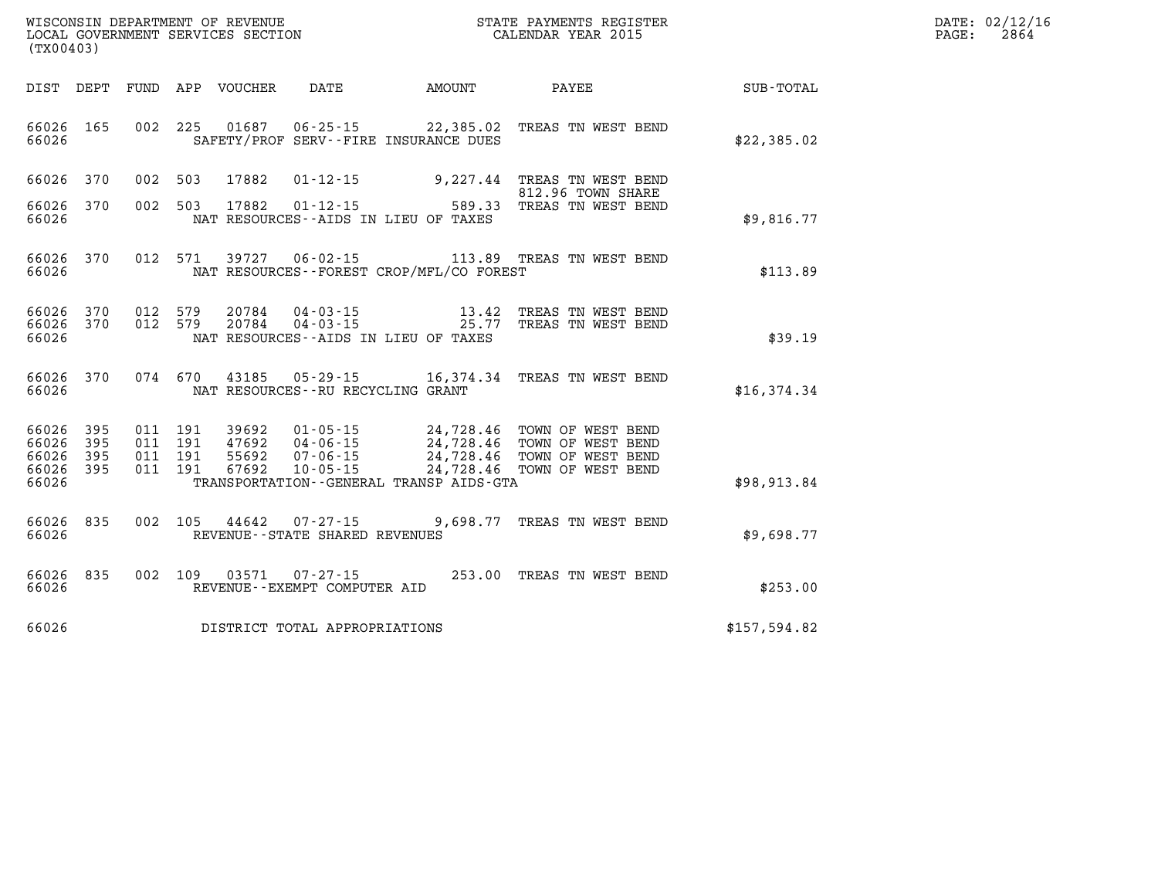| WISCONSIN DEPARTMENT OF REVENUE   | R PAYMENTS REGISTER<br>STATE | $\texttt{DATE}$ : | 02/12/16 |
|-----------------------------------|------------------------------|-------------------|----------|
| LOCAL GOVERNMENT SERVICES SECTION | CALENDAR YEAR 2015           | PAGE              | 2864     |

| (TX00403)                                 |                          |                          |                          |                                  |                                                                      |                                                                                             |                                                                                  |               |
|-------------------------------------------|--------------------------|--------------------------|--------------------------|----------------------------------|----------------------------------------------------------------------|---------------------------------------------------------------------------------------------|----------------------------------------------------------------------------------|---------------|
| DIST                                      | DEPT                     | FUND                     | APP                      | VOUCHER                          | DATE                                                                 | AMOUNT                                                                                      | PAYEE                                                                            | SUB-TOTAL     |
| 66026<br>66026                            | 165                      | 002                      | 225                      | 01687                            |                                                                      | $06 - 25 - 15$ 22,385.02<br>SAFETY/PROF SERV--FIRE INSURANCE DUES                           | TREAS TN WEST BEND                                                               | \$22,385.02   |
| 66026                                     | 370                      | 002                      | 503                      | 17882                            | $01 - 12 - 15$                                                       | 9,227.44                                                                                    | TREAS TN WEST BEND<br>812.96 TOWN SHARE                                          |               |
| 66026<br>66026                            | 370                      | 002                      | 503                      | 17882                            | $01 - 12 - 15$                                                       | 589.33<br>NAT RESOURCES -- AIDS IN LIEU OF TAXES                                            | TREAS TN WEST BEND                                                               | \$9,816.77    |
| 66026<br>66026                            | 370                      | 012                      | 571                      | 39727                            | $06 - 02 - 15$                                                       | NAT RESOURCES - - FOREST CROP/MFL/CO FOREST                                                 | 113.89 TREAS TN WEST BEND                                                        | \$113.89      |
| 66026<br>66026<br>66026                   | 370<br>370               | 012<br>012               | 579<br>579               | 20784<br>20784                   | $04 - 03 - 15$<br>$04 - 03 - 15$                                     | 13.42<br>25.77<br>NAT RESOURCES -- AIDS IN LIEU OF TAXES                                    | TREAS TN WEST BEND<br>TREAS TN WEST BEND                                         | \$39.19       |
| 66026<br>66026                            | 370                      | 074                      | 670                      | 43185                            | $05 - 29 - 15$<br>NAT RESOURCES -- RU RECYCLING GRANT                | 16,374.34                                                                                   | TREAS TN WEST BEND                                                               | \$16,374.34   |
| 66026<br>66026<br>66026<br>66026<br>66026 | 395<br>395<br>395<br>395 | 011<br>011<br>011<br>011 | 191<br>191<br>191<br>191 | 39692<br>47692<br>55692<br>67692 | $01 - 05 - 15$<br>$04 - 06 - 15$<br>$07 - 06 - 15$<br>$10 - 05 - 15$ | 24,728.46<br>24,728.46<br>24,728.46<br>24,728.46<br>TRANSPORTATION--GENERAL TRANSP AIDS-GTA | TOWN OF WEST BEND<br>TOWN OF WEST BEND<br>TOWN OF WEST BEND<br>TOWN OF WEST BEND | \$98,913.84   |
| 66026<br>66026                            | 835                      | 002                      | 105                      | 44642                            | $07 - 27 - 15$<br>REVENUE - - STATE SHARED REVENUES                  | 9,698.77                                                                                    | TREAS TN WEST BEND                                                               | \$9,698.77    |
| 66026<br>66026                            | 835                      | 002                      | 109                      | 03571                            | $07 - 27 - 15$<br>REVENUE--EXEMPT COMPUTER AID                       | 253.00                                                                                      | TREAS TN WEST BEND                                                               | \$253.00      |
| 66026                                     |                          |                          |                          |                                  | DISTRICT TOTAL APPROPRIATIONS                                        |                                                                                             |                                                                                  | \$157, 594.82 |

WISCONSIN DEPARTMENT OF REVENUE **STATE PAYMENTS REGISTER** LOCAL GOVERNMENT SERVICES SECTION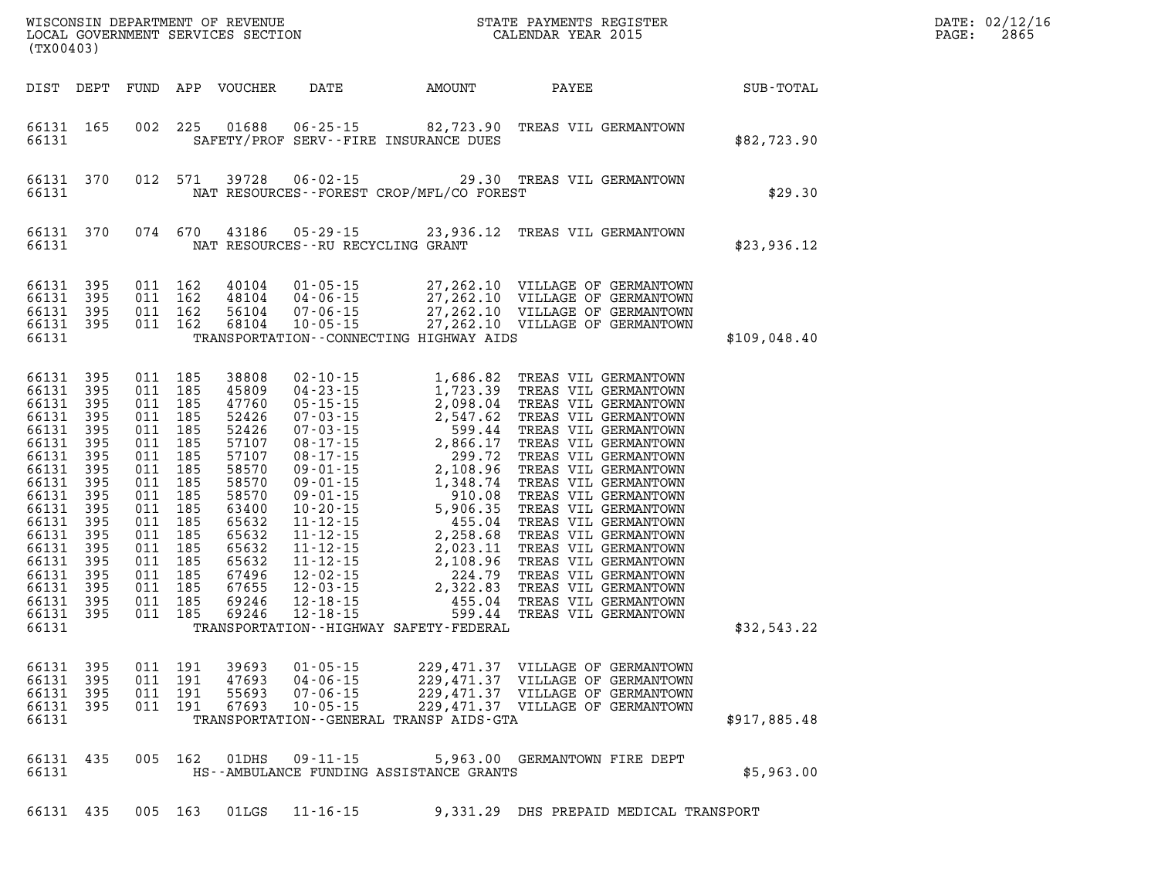| WISCONSIN DEPARTMENT OF REVENUE<br>LOCAL GOVERNMENT SERVICES SECTION CALENDAR YEAR 2015<br>(TX00403)                                                                                             |                                                                                                       |                    |                                                                                                                                                                                         |                                                                                                                                                                         |                                                 |             |                                                                                                                                                                                                                                                                                                                                            |              | DATE: 02/12/16<br>PAGE:<br>2865 |
|--------------------------------------------------------------------------------------------------------------------------------------------------------------------------------------------------|-------------------------------------------------------------------------------------------------------|--------------------|-----------------------------------------------------------------------------------------------------------------------------------------------------------------------------------------|-------------------------------------------------------------------------------------------------------------------------------------------------------------------------|-------------------------------------------------|-------------|--------------------------------------------------------------------------------------------------------------------------------------------------------------------------------------------------------------------------------------------------------------------------------------------------------------------------------------------|--------------|---------------------------------|
| DIST DEPT                                                                                                                                                                                        |                                                                                                       |                    |                                                                                                                                                                                         | FUND APP VOUCHER                                                                                                                                                        |                                                 | DATE AMOUNT | PAYEE SUB-TOTAL                                                                                                                                                                                                                                                                                                                            |              |                                 |
| 66131 165<br>66131                                                                                                                                                                               |                                                                                                       |                    |                                                                                                                                                                                         |                                                                                                                                                                         | SAFETY/PROF SERV--FIRE INSURANCE DUES           |             | 002 225 01688 06-25-15 82,723.90 TREAS VIL GERMANTOWN                                                                                                                                                                                                                                                                                      | \$82,723.90  |                                 |
| 66131                                                                                                                                                                                            | 66131 370                                                                                             |                    | 012 571                                                                                                                                                                                 | 39728                                                                                                                                                                   | NAT RESOURCES - - FOREST CROP/MFL/CO FOREST     |             | 06-02-15 29.30 TREAS VIL GERMANTOWN                                                                                                                                                                                                                                                                                                        | \$29.30      |                                 |
| 66131                                                                                                                                                                                            | 66131 370                                                                                             |                    | 074 670                                                                                                                                                                                 | 43186                                                                                                                                                                   | 05-29-15<br>NAT RESOURCES -- RU RECYCLING GRANT |             | 23,936.12 TREAS VIL GERMANTOWN                                                                                                                                                                                                                                                                                                             | \$23,936.12  |                                 |
| 66131<br>66131 395<br>66131<br>66131                                                                                                                                                             | 395<br>395<br>66131 395                                                                               |                    | 011 162<br>011 162<br>011 162<br>011 162                                                                                                                                                | 40104<br>48104<br>56104<br>68104                                                                                                                                        | TRANSPORTATION -- CONNECTING HIGHWAY AIDS       |             | $\begin{tabular}{ccccc} 01-05-15 & 27,262.10 & VILLAGE OF GERMANTOWN \\ 04-06-15 & 27,262.10 & VILLAGE OF GERMANTOWN \\ 07-06-15 & 27,262.10 & VILLAGE OF GERMANTOWN \\ 10-05-15 & 27,262.10 & VILLAGE OF GERMANTOWN \\ \end{tabular}$                                                                                                     | \$109,048.40 |                                 |
| 66131 395<br>66131<br>66131<br>66131<br>66131<br>66131<br>66131<br>66131<br>66131<br>66131<br>66131<br>66131<br>66131<br>66131<br>66131 395<br>66131<br>66131<br>66131 395<br>66131 395<br>66131 | 395<br>395<br>395<br>395<br>395<br>395<br>395<br>395<br>395<br>395<br>395<br>395<br>395<br>395<br>395 | 011 185<br>011 185 | 011 185<br>011 185<br>011 185<br>011 185<br>011 185<br>011 185<br>011 185<br>011 185<br>011 185<br>011 185<br>011 185<br>011 185<br>011 185<br>011 185<br>011 185<br>011 185<br>011 185 | 38808<br>45809<br>47760<br>52426<br>52426<br>57107<br>57107<br>58570<br>58570<br>58570<br>63400<br>65632<br>65632<br>65632<br>65632<br>67496<br>67655<br>69246<br>69246 | TRANSPORTATION - - HIGHWAY SAFETY - FEDERAL     |             |                                                                                                                                                                                                                                                                                                                                            | \$32,543.22  |                                 |
| 66131                                                                                                                                                                                            |                                                                                                       |                    |                                                                                                                                                                                         |                                                                                                                                                                         | TRANSPORTATION--GENERAL TRANSP AIDS-GTA         |             | $\begin{array}{cccccccc} 66131 & 395 & 011 & 191 & 39693 & 01\cdot 05\cdot 15 & 229,471.37 & \text{VILLAGE OF GERMANTOWN} \\ 66131 & 395 & 011 & 191 & 47693 & 04\cdot 06\cdot 15 & 229,471.37 & \text{VILLAGE OF GERMANTOWN} \\ 66131 & 395 & 011 & 191 & 55693 & 07\cdot 06\cdot 15 & 229,471.37 & \text{VILLAGE OF GERMANTOWN} \\ 6613$ | \$917,885.48 |                                 |
| 66131                                                                                                                                                                                            | 66131 435                                                                                             |                    |                                                                                                                                                                                         | 005 162 01DHS                                                                                                                                                           | HS--AMBULANCE FUNDING ASSISTANCE GRANTS         |             | 09-11-15 5,963.00 GERMANTOWN FIRE DEPT                                                                                                                                                                                                                                                                                                     | \$5,963.00   |                                 |
|                                                                                                                                                                                                  | 66131 435                                                                                             |                    | 005 163                                                                                                                                                                                 | 01LGS                                                                                                                                                                   | $11 - 16 - 15$                                  |             | 9,331.29 DHS PREPAID MEDICAL TRANSPORT                                                                                                                                                                                                                                                                                                     |              |                                 |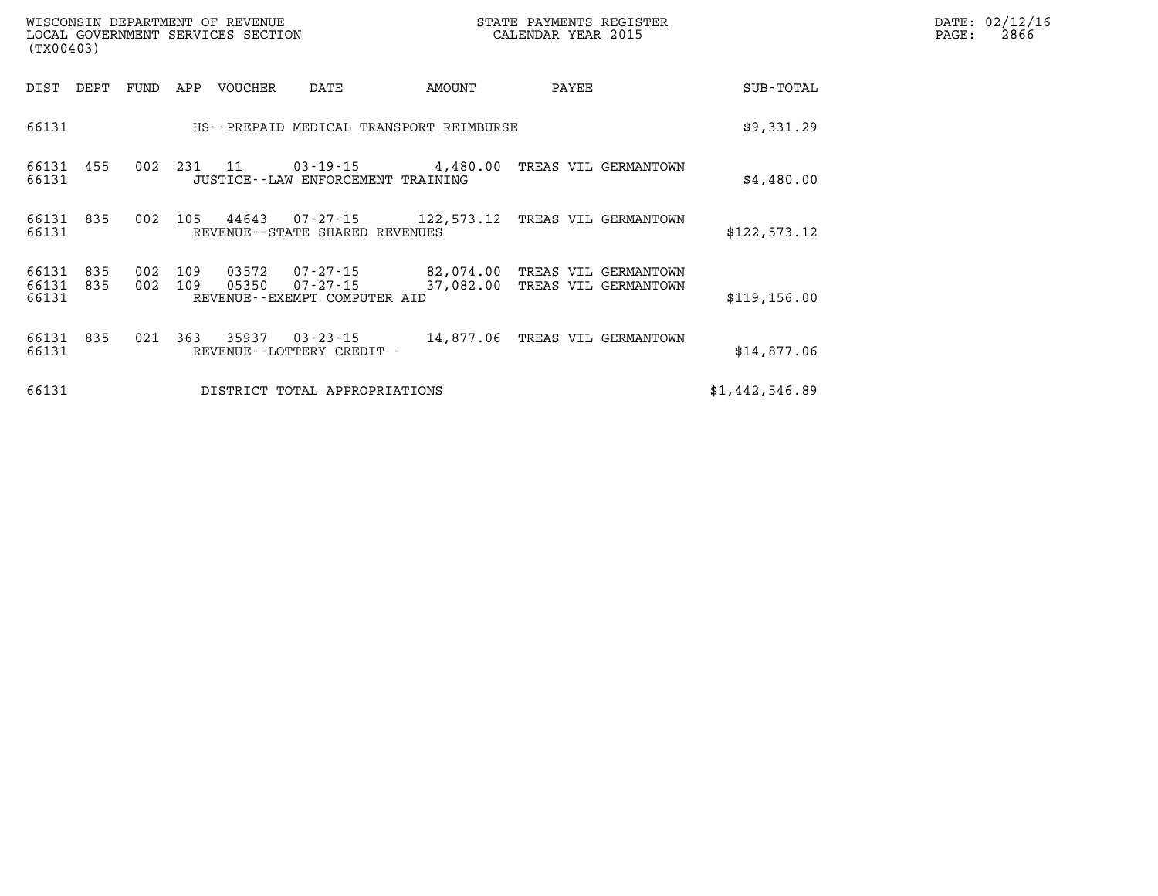| (TX00403)                   |      |      |                | WISCONSIN DEPARTMENT OF REVENUE<br>LOCAL GOVERNMENT SERVICES SECTION |                                                                 |                                         | STATE PAYMENTS REGISTER<br>CALENDAR YEAR 2015 |                | DATE: 02/12/16<br>PAGE:<br>2866 |
|-----------------------------|------|------|----------------|----------------------------------------------------------------------|-----------------------------------------------------------------|-----------------------------------------|-----------------------------------------------|----------------|---------------------------------|
| DIST                        | DEPT | FUND | APP            | VOUCHER                                                              | DATE                                                            | AMOUNT                                  | PAYEE                                         | SUB-TOTAL      |                                 |
| 66131                       |      |      |                |                                                                      |                                                                 | HS--PREPAID MEDICAL TRANSPORT REIMBURSE |                                               | \$9,331.29     |                                 |
| 66131 455<br>66131          |      | 002  |                | 231 11                                                               | $03 - 19 - 15$ 4,480.00<br>JUSTICE - - LAW ENFORCEMENT TRAINING |                                         | TREAS VIL GERMANTOWN                          | \$4,480.00     |                                 |
| 66131 835<br>66131          |      | 002  | 105            | 44643                                                                | 07-27-15 122,573.12<br>REVENUE--STATE SHARED REVENUES           |                                         | TREAS VIL GERMANTOWN                          | \$122,573.12   |                                 |
| 66131<br>66131 835<br>66131 | 835  | 002  | 109<br>002 109 | 03572<br>05350                                                       | 07-27-15<br>07-27-15<br>REVENUE--EXEMPT COMPUTER AID            | 82,074.00<br>37,082.00                  | TREAS VIL GERMANTOWN<br>TREAS VIL GERMANTOWN  | \$119, 156.00  |                                 |
| 66131 835<br>66131          |      |      | 021 363        | 35937                                                                | 03-23-15<br>REVENUE - - LOTTERY CREDIT -                        |                                         | 14,877.06 TREAS VIL GERMANTOWN                | \$14,877.06    |                                 |
| 66131                       |      |      |                |                                                                      | DISTRICT TOTAL APPROPRIATIONS                                   |                                         |                                               | \$1,442,546.89 |                                 |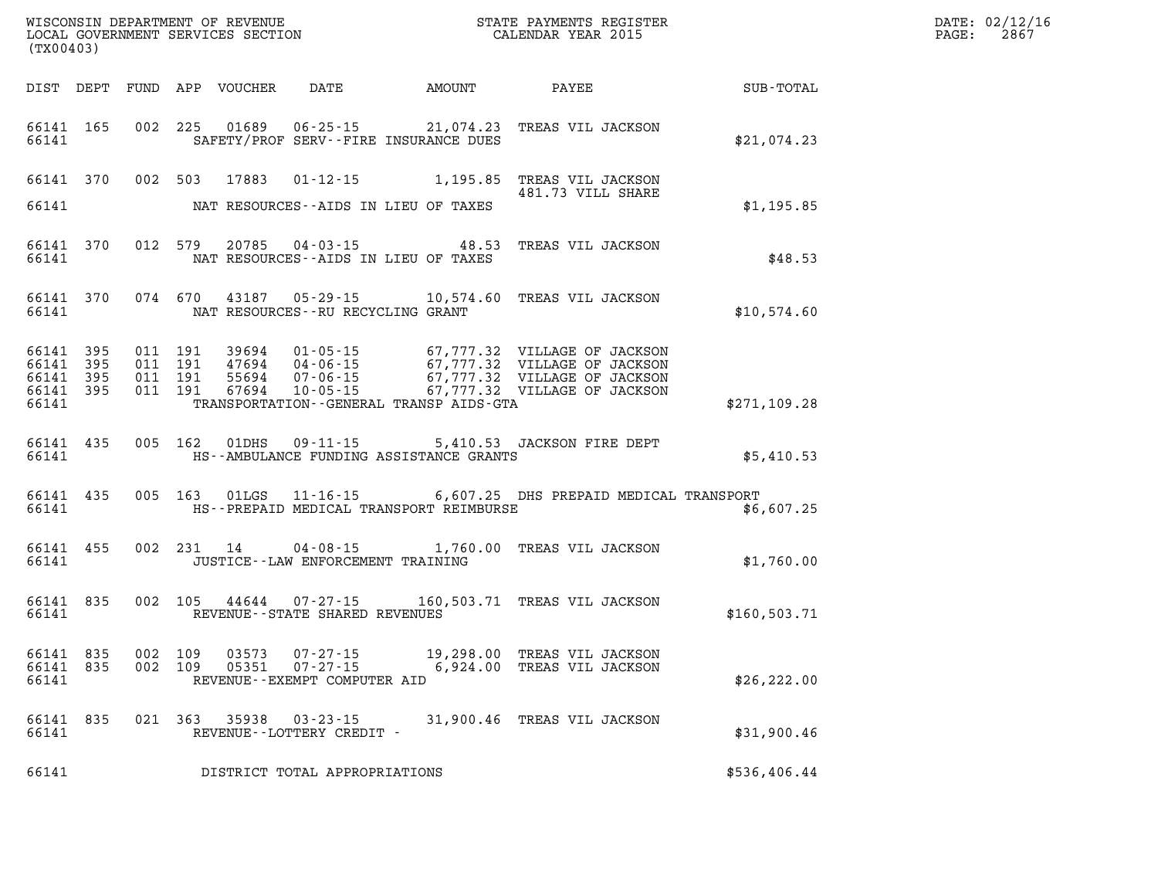| (TX00403)                                    |           |                                          | WISCONSIN DEPARTMENT OF REVENUE<br>LOCAL GOVERNMENT SERVICES SECTION |                                      |                                              | STATE PAYMENTS REGISTER<br>CALENDAR YEAR 2015                                                                                                                                                        |                  | DATE: 02/12/16<br>PAGE: 2867 |
|----------------------------------------------|-----------|------------------------------------------|----------------------------------------------------------------------|--------------------------------------|----------------------------------------------|------------------------------------------------------------------------------------------------------------------------------------------------------------------------------------------------------|------------------|------------------------------|
|                                              |           |                                          |                                                                      |                                      | DIST DEPT FUND APP VOUCHER DATE AMOUNT PAYEE |                                                                                                                                                                                                      | <b>SUB-TOTAL</b> |                              |
| 66141 165<br>66141                           |           |                                          |                                                                      |                                      | SAFETY/PROF SERV--FIRE INSURANCE DUES        | 002 225 01689 06-25-15 21,074.23 TREAS VIL JACKSON                                                                                                                                                   | \$21,074.23      |                              |
| 66141 370                                    |           |                                          | 002 503 17883                                                        | $01 - 12 - 15$                       |                                              | 1,195.85 TREAS VIL JACKSON<br>481.73 VILL SHARE                                                                                                                                                      |                  |                              |
| 66141                                        |           |                                          |                                                                      |                                      | NAT RESOURCES--AIDS IN LIEU OF TAXES         |                                                                                                                                                                                                      | \$1,195.85       |                              |
| 66141 370<br>66141                           |           | 012 579                                  |                                                                      |                                      | NAT RESOURCES--AIDS IN LIEU OF TAXES         | 20785  04-03-15  48.53  TREAS VIL JACKSON                                                                                                                                                            | \$48.53          |                              |
| 66141                                        | 66141 370 |                                          | 074 670 43187                                                        | NAT RESOURCES - - RU RECYCLING GRANT |                                              | 05-29-15 10,574.60 TREAS VIL JACKSON                                                                                                                                                                 | \$10,574.60      |                              |
| 66141 395<br>66141 395<br>66141 395<br>66141 | 66141 395 | 011 191<br>011 191<br>011 191<br>011 191 |                                                                      |                                      | TRANSPORTATION - - GENERAL TRANSP AIDS-GTA   | 39694  01-05-15  67,777.32  VILLAGE OF JACKSON<br>47694  04-06-15  67,777.32  VILLAGE OF JACKSON<br>55694  07-06-15  67,777.32  VILLAGE OF JACKSON<br>67694  10-05-15  67,777.32  VILLAGE OF JACKSON | \$271,109.28     |                              |
| 66141 435<br>66141                           |           |                                          | 005 162 01DHS                                                        |                                      | HS--AMBULANCE FUNDING ASSISTANCE GRANTS      | 09-11-15 5,410.53 JACKSON FIRE DEPT                                                                                                                                                                  | \$5,410.53       |                              |
| 66141                                        | 66141 435 |                                          |                                                                      |                                      | HS--PREPAID MEDICAL TRANSPORT REIMBURSE      | 005 163 01LGS 11-16-15 6,607.25 DHS PREPAID MEDICAL TRANSPORT                                                                                                                                        | \$6,607.25       |                              |
| 66141 455<br>66141                           |           |                                          |                                                                      | JUSTICE -- LAW ENFORCEMENT TRAINING  |                                              | 002 231 14 04-08-15 1,760.00 TREAS VIL JACKSON                                                                                                                                                       | \$1,760.00       |                              |
| 66141 835<br>66141                           |           | 002 105                                  |                                                                      | REVENUE--STATE SHARED REVENUES       |                                              | 44644  07-27-15   160,503.71   TREAS VIL JACKSON                                                                                                                                                     | \$160,503.71     |                              |
| 66141 835<br>66141 835<br>66141              |           | 002 109<br>002 109                       | 03573<br>05351                                                       | REVENUE--EXEMPT COMPUTER AID         |                                              | 07-27-15 19,298.00 TREAS VIL JACKSON<br>07-27-15 6,924.00 TREAS VIL JACKSON                                                                                                                          | \$26, 222.00     |                              |
| 66141 835<br>66141                           |           |                                          |                                                                      | REVENUE--LOTTERY CREDIT -            |                                              | 021 363 35938 03-23-15 31,900.46 TREAS VIL JACKSON                                                                                                                                                   | \$31,900.46      |                              |
| 66141                                        |           |                                          |                                                                      | DISTRICT TOTAL APPROPRIATIONS        |                                              |                                                                                                                                                                                                      | \$536,406.44     |                              |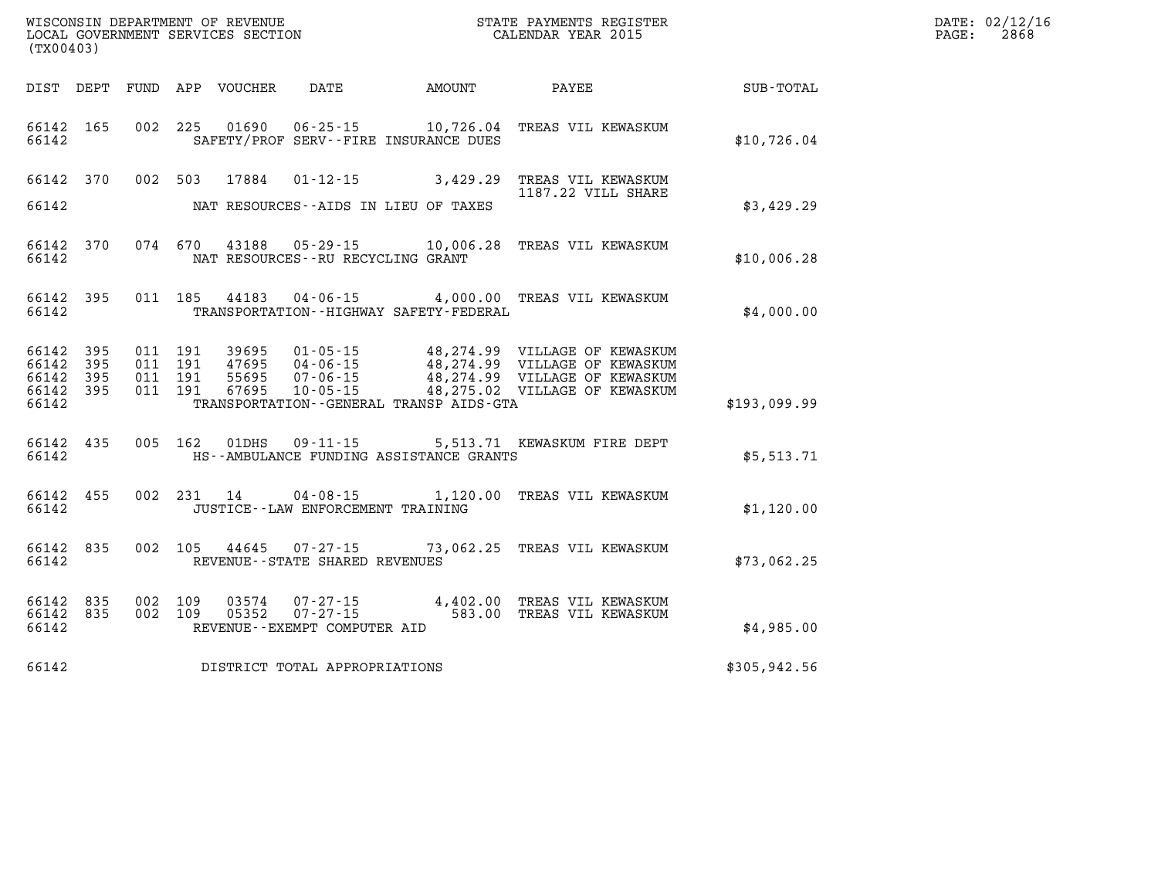| (TX00403)                                 |                           |                                          | WISCONSIN DEPARTMENT OF REVENUE<br>LOCAL GOVERNMENT SERVICES SECTION |                                       |                                              | STATE PAYMENTS REGISTER<br>CALENDAR YEAR 2015                                                                                                                                                            |                      | DATE: 02/12/16<br>2868<br>$\mathtt{PAGE:}$ |
|-------------------------------------------|---------------------------|------------------------------------------|----------------------------------------------------------------------|---------------------------------------|----------------------------------------------|----------------------------------------------------------------------------------------------------------------------------------------------------------------------------------------------------------|----------------------|--------------------------------------------|
|                                           |                           |                                          | DIST DEPT FUND APP VOUCHER DATE                                      |                                       | AMOUNT PAYEE                                 |                                                                                                                                                                                                          | $\texttt{SUB-TOTAL}$ |                                            |
| 66142                                     |                           |                                          |                                                                      | SAFETY/PROF SERV--FIRE INSURANCE DUES |                                              | 66142 165 002 225 01690 06-25-15 10,726.04 TREAS VIL KEWASKUM                                                                                                                                            | \$10,726.04          |                                            |
| 66142                                     |                           |                                          |                                                                      | NAT RESOURCES--AIDS IN LIEU OF TAXES  |                                              | 66142 370 002 503 17884 01-12-15 3,429.29 TREAS VIL KEWASKUM<br>1187.22 VILL SHARE                                                                                                                       | \$3,429.29           |                                            |
| 66142                                     |                           |                                          |                                                                      | NAT RESOURCES--RU RECYCLING GRANT     |                                              | 66142 370 074 670 43188 05-29-15 10,006.28 TREAS VIL KEWASKUM                                                                                                                                            | \$10,006.28          |                                            |
| 66142                                     | 66142 395                 |                                          |                                                                      |                                       | TRANSPORTATION--HIGHWAY SAFETY-FEDERAL       | 011 185 44183 04-06-15 4,000.00 TREAS VIL KEWASKUM                                                                                                                                                       | \$4,000.00           |                                            |
| 66142<br>66142<br>66142<br>66142<br>66142 | 395<br>-395<br>395<br>395 | 011 191<br>011 191<br>011 191<br>011 191 |                                                                      |                                       | TRANSPORTATION - - GENERAL TRANSP AIDS - GTA | 39695  01-05-15  48,274.99  VILLAGE OF KEWASKUM<br>47695  04-06-15  48,274.99  VILLAGE OF KEWASKUM<br>55695  07-06-15  48,274.99  VILLAGE OF KEWASKUM<br>67695  10-05-15  18,275.02  VILLAGE OF KEWASKUM | \$193,099.99         |                                            |
| 66142                                     | 66142 435                 |                                          |                                                                      |                                       | HS--AMBULANCE FUNDING ASSISTANCE GRANTS      | 005 162 01DHS 09-11-15 5,513.71 KEWASKUM FIRE DEPT                                                                                                                                                       | \$5,513.71           |                                            |
| 66142                                     | 66142 455                 |                                          |                                                                      | JUSTICE - - LAW ENFORCEMENT TRAINING  |                                              | 002 231 14 04-08-15 1,120.00 TREAS VIL KEWASKUM                                                                                                                                                          | \$1,120.00           |                                            |
| 66142                                     | 66142 835                 |                                          |                                                                      | REVENUE--STATE SHARED REVENUES        |                                              | 002 105 44645 07-27-15 73,062.25 TREAS VIL KEWASKUM                                                                                                                                                      | \$73,062.25          |                                            |
| 66142<br>66142                            | 835<br>66142 835          |                                          |                                                                      | REVENUE--EXEMPT COMPUTER AID          |                                              | 002 109 03574 07-27-15 4,402.00 TREAS VIL KEWASKUM<br>002 109 05352 07-27-15 583.00 TREAS VIL KEWASKUM                                                                                                   | \$4,985.00           |                                            |
| 66142                                     |                           |                                          |                                                                      | DISTRICT TOTAL APPROPRIATIONS         |                                              |                                                                                                                                                                                                          | \$305,942.56         |                                            |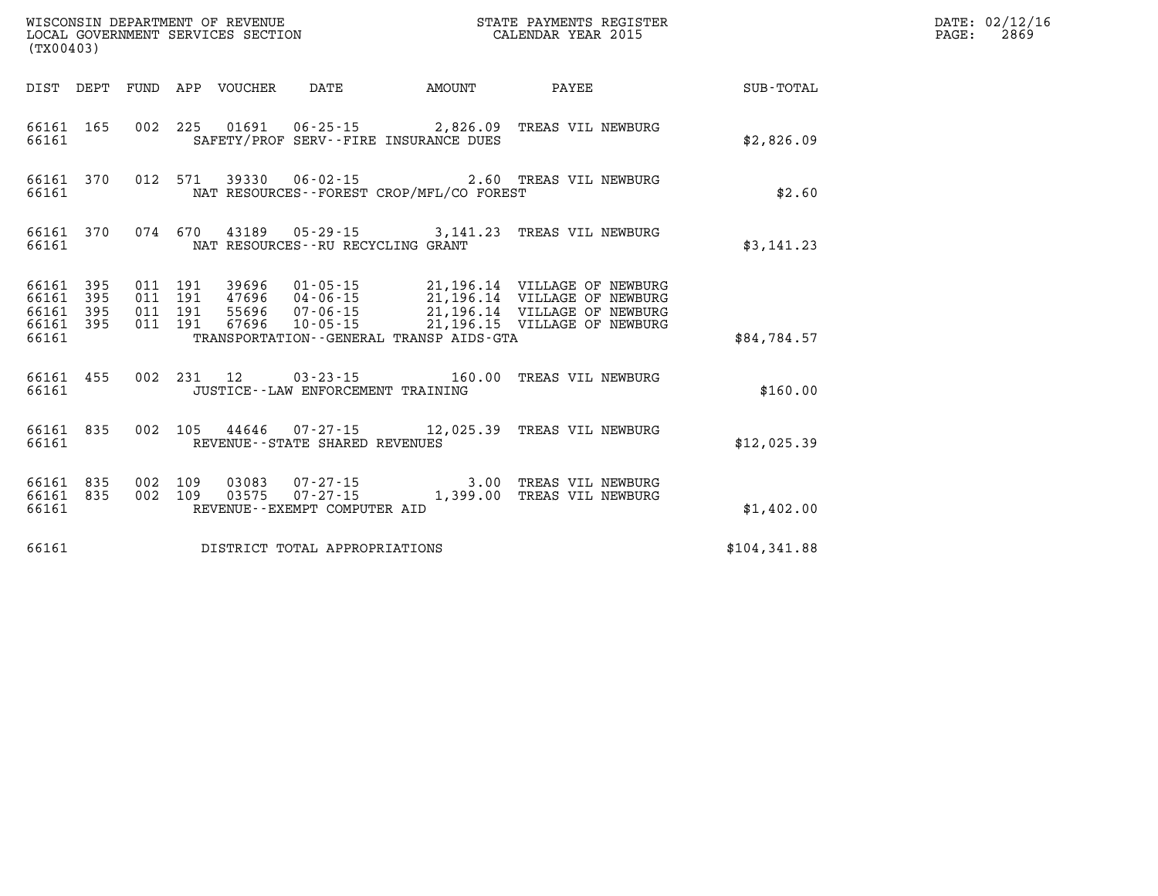| (TX00403)                                    |           |                                          |                                 | WISCONSIN DEPARTMENT OF REVENUE<br>LOCAL GOVERNMENT SERVICES SECTION |                                             | STATE PAYMENTS REGISTER<br>CALENDAR YEAR 2015                                                                                                                                                        |              | DATE: 02/12/16<br>$\mathtt{PAGE}$ :<br>2869 |
|----------------------------------------------|-----------|------------------------------------------|---------------------------------|----------------------------------------------------------------------|---------------------------------------------|------------------------------------------------------------------------------------------------------------------------------------------------------------------------------------------------------|--------------|---------------------------------------------|
|                                              |           |                                          | DIST DEPT FUND APP VOUCHER DATE |                                                                      | <b>AMOUNT</b>                               | PAYEE                                                                                                                                                                                                | SUB-TOTAL    |                                             |
| 66161                                        | 66161 165 |                                          |                                 | SAFETY/PROF SERV--FIRE INSURANCE DUES                                |                                             | 002 225 01691 06-25-15 2,826.09 TREAS VIL NEWBURG                                                                                                                                                    | \$2,826.09   |                                             |
| 66161                                        | 66161 370 |                                          |                                 |                                                                      | NAT RESOURCES - - FOREST CROP/MFL/CO FOREST | 012 571 39330 06-02-15 2.60 TREAS VIL NEWBURG                                                                                                                                                        | \$2.60       |                                             |
| 66161                                        |           |                                          |                                 | NAT RESOURCES--RU RECYCLING GRANT                                    |                                             | 66161 370 074 670 43189 05-29-15 3,141.23 TREAS VIL NEWBURG                                                                                                                                          | \$3,141.23   |                                             |
| 66161 395<br>66161 395<br>66161 395<br>66161 | 66161 395 | 011 191<br>011 191<br>011 191<br>011 191 |                                 |                                                                      | TRANSPORTATION--GENERAL TRANSP AIDS-GTA     | 39696  01-05-15  21,196.14  VILLAGE OF NEWBURG<br>47696  04-06-15  21,196.14  VILLAGE OF NEWBURG<br>55696  07-06-15  21,196.14  VILLAGE OF NEWBURG<br>67696  10-05-15  21,196.15  VILLAGE OF NEWBURG | \$84,784.57  |                                             |
| 66161                                        | 66161 455 |                                          |                                 | JUSTICE - - LAW ENFORCEMENT TRAINING                                 |                                             | 002 231 12 03-23-15 160.00 TREAS VIL NEWBURG                                                                                                                                                         | \$160.00     |                                             |
| 66161                                        |           |                                          |                                 | REVENUE - - STATE SHARED REVENUES                                    |                                             | 66161 835 002 105 44646 07-27-15 12,025.39 TREAS VIL NEWBURG                                                                                                                                         | \$12,025.39  |                                             |
| 66161 835<br>66161 835<br>66161              |           | 002 109                                  |                                 | REVENUE--EXEMPT COMPUTER AID                                         |                                             | 03083  07-27-15  3.00 TREAS VIL NEWBURG<br>002 109 03575 07-27-15 1,399.00 TREAS VIL NEWBURG                                                                                                         | \$1,402.00   |                                             |
| 66161                                        |           |                                          |                                 | DISTRICT TOTAL APPROPRIATIONS                                        |                                             |                                                                                                                                                                                                      | \$104,341.88 |                                             |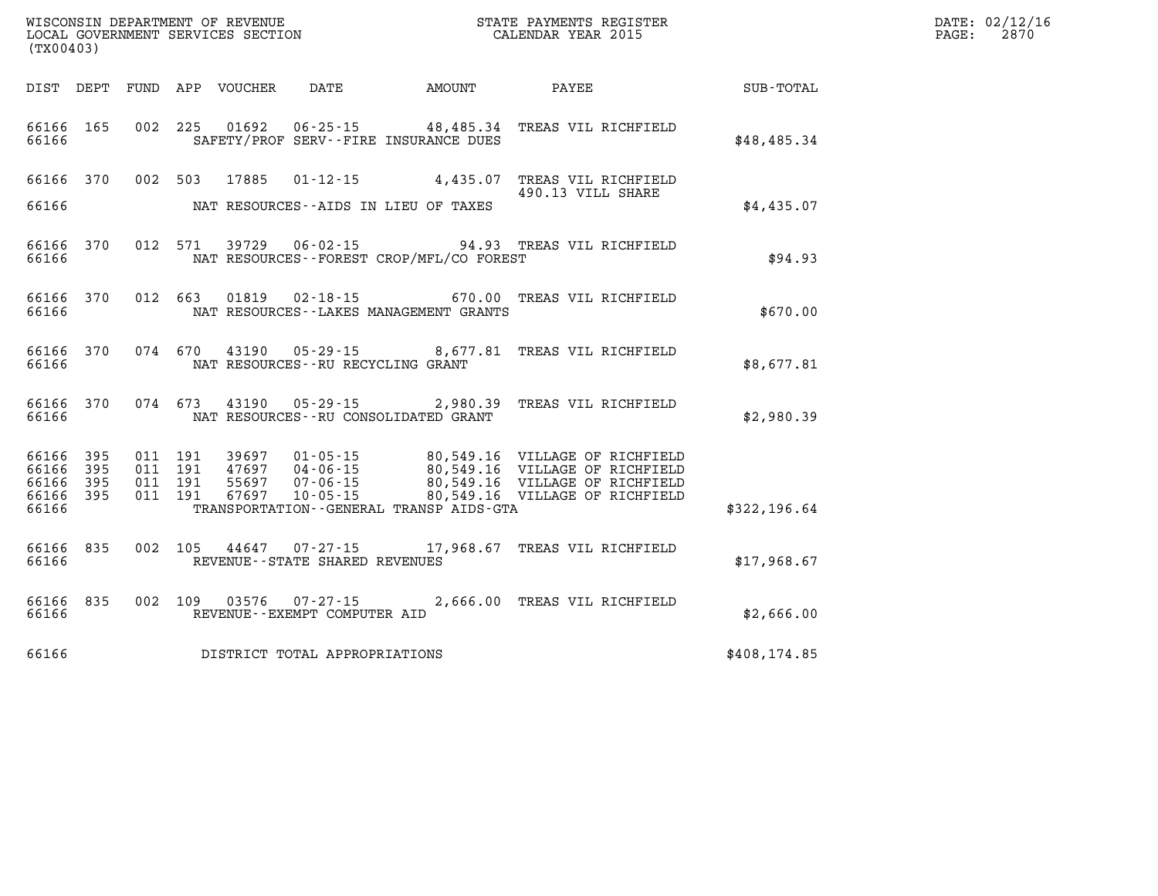| (TX00403)                                     |                   |                                          |                            |                                   |                                             |                                                                                                                                                                                                                                     |              | DATE: 02/12/16<br>$\mathtt{PAGE}$ :<br>2870 |
|-----------------------------------------------|-------------------|------------------------------------------|----------------------------|-----------------------------------|---------------------------------------------|-------------------------------------------------------------------------------------------------------------------------------------------------------------------------------------------------------------------------------------|--------------|---------------------------------------------|
|                                               |                   |                                          | DIST DEPT FUND APP VOUCHER | DATE                              | <b>AMOUNT</b>                               | PAYEE                                                                                                                                                                                                                               | SUB-TOTAL    |                                             |
| 66166                                         | 66166 165         |                                          |                            |                                   | SAFETY/PROF SERV--FIRE INSURANCE DUES       | 002 225 01692 06-25-15 48,485.34 TREAS VIL RICHFIELD                                                                                                                                                                                | \$48,485.34  |                                             |
| 66166                                         |                   |                                          | 66166 370 002 503 17885    |                                   | NAT RESOURCES--AIDS IN LIEU OF TAXES        | 01-12-15 4,435.07 TREAS VIL RICHFIELD<br>490.13 VILL SHARE                                                                                                                                                                          | \$4,435.07   |                                             |
| 66166                                         | 66166 370         |                                          |                            |                                   | NAT RESOURCES - - FOREST CROP/MFL/CO FOREST | 012 571 39729 06-02-15 94.93 TREAS VIL RICHFIELD                                                                                                                                                                                    | \$94.93      |                                             |
| 66166                                         | 66166 370         |                                          |                            |                                   | NAT RESOURCES--LAKES MANAGEMENT GRANTS      | 012 663 01819 02-18-15 670.00 TREAS VIL RICHFIELD                                                                                                                                                                                   | \$670.00     |                                             |
| 66166                                         |                   |                                          |                            | NAT RESOURCES--RU RECYCLING GRANT |                                             | 66166 370 074 670 43190 05-29-15 8,677.81 TREAS VIL RICHFIELD                                                                                                                                                                       | \$8,677.81   |                                             |
| 66166                                         | 66166 370         |                                          |                            |                                   | NAT RESOURCES--RU CONSOLIDATED GRANT        | 074 673 43190 05-29-15 2,980.39 TREAS VIL RICHFIELD                                                                                                                                                                                 | \$2,980.39   |                                             |
| 66166 395<br>66166<br>66166<br>66166<br>66166 | 395<br>395<br>395 | 011 191<br>011 191<br>011 191<br>011 191 | 67697                      |                                   | TRANSPORTATION - - GENERAL TRANSP AIDS-GTA  | 39697  01-05-15  80,549.16  VILLAGE OF RICHFIELD<br>47697     04-06-15              80,549.16    VILLAGE OF RICHFIELD<br>55697    07-06-15             80,549.16    VILLAGE OF RICHFIELD<br>10-05-15 80,549.16 VILLAGE OF RICHFIELD | \$322,196.64 |                                             |
| 66166 835<br>66166                            |                   |                                          |                            | REVENUE - - STATE SHARED REVENUES |                                             | 002 105 44647 07-27-15 17,968.67 TREAS VIL RICHFIELD                                                                                                                                                                                | \$17,968.67  |                                             |
| 66166                                         |                   |                                          |                            | REVENUE--EXEMPT COMPUTER AID      |                                             | 66166 835 002 109 03576 07-27-15 2.666.00 TREAS VIL RICHFIELD                                                                                                                                                                       | \$2,666.00   |                                             |
| 66166                                         |                   |                                          |                            | DISTRICT TOTAL APPROPRIATIONS     |                                             |                                                                                                                                                                                                                                     | \$408,174.85 |                                             |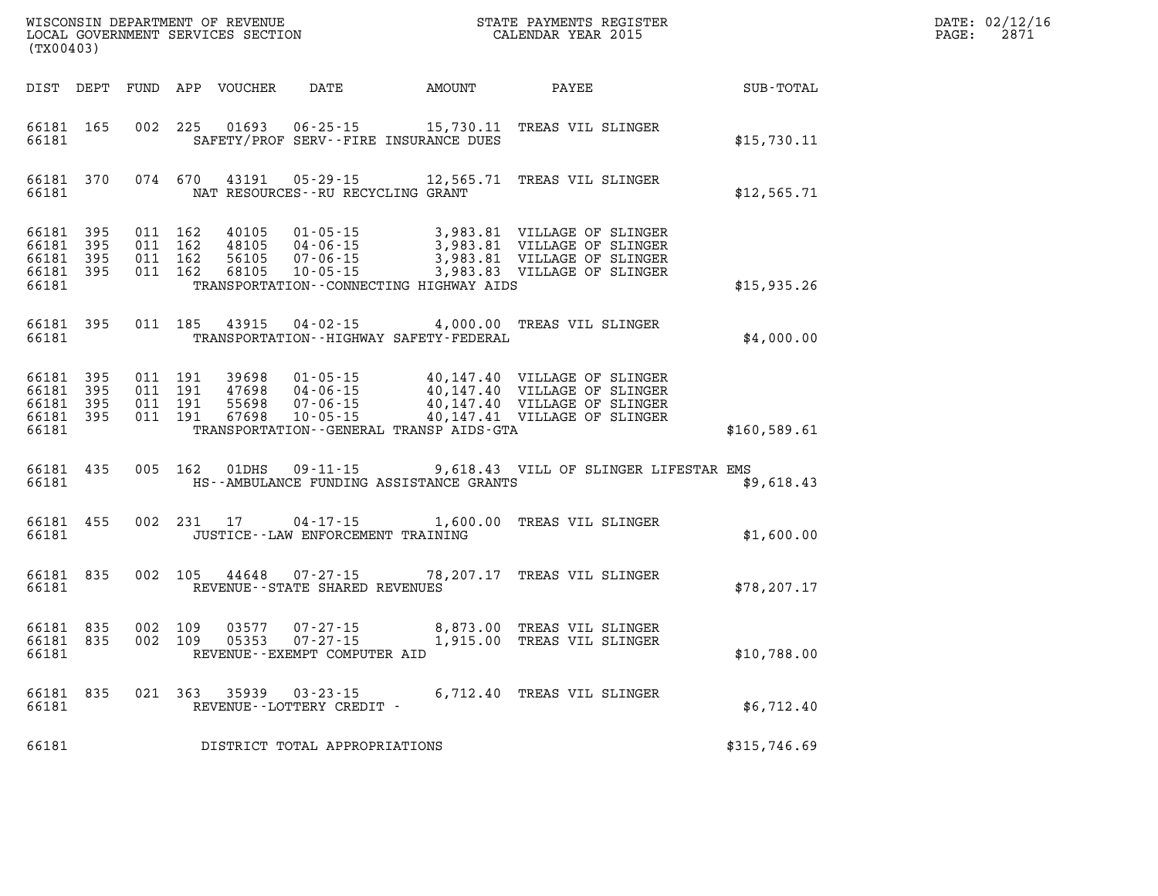| DATE: | 02/12/16 |
|-------|----------|
| PAGE: | 2871     |

| (TX00403)      |                                              |                                          |                                  |                                                                  |                                             | WISCONSIN DEPARTMENT OF REVENUE<br>LOCAL GOVERNMENT SERVICES SECTION FOR THE STATE PAYMENTS REGISTER<br>CALENDAR YEAR 2015                                                                           |              | DATE: 02/12/1<br>2871<br>PAGE: |
|----------------|----------------------------------------------|------------------------------------------|----------------------------------|------------------------------------------------------------------|---------------------------------------------|------------------------------------------------------------------------------------------------------------------------------------------------------------------------------------------------------|--------------|--------------------------------|
|                |                                              |                                          | DIST DEPT FUND APP VOUCHER       |                                                                  | DATE AMOUNT                                 | <b>PAYEE</b>                                                                                                                                                                                         | SUB-TOTAL    |                                |
| 66181          | 66181 165                                    |                                          | 002 225 01693                    |                                                                  | SAFETY/PROF SERV--FIRE INSURANCE DUES       | 06-25-15 15,730.11 TREAS VIL SLINGER                                                                                                                                                                 | \$15,730.11  |                                |
| 66181          | 66181 370                                    | 074 670                                  | 43191                            | NAT RESOURCES--RU RECYCLING GRANT                                |                                             | 05-29-15 12,565.71 TREAS VIL SLINGER                                                                                                                                                                 | \$12,565.71  |                                |
| 66181<br>66181 | 66181 395<br>395<br>66181 395<br>66181 395   | 011 162<br>011 162<br>011 162<br>011 162 | 40105<br>48105<br>56105<br>68105 | $01 - 05 - 15$<br>04 - 06 - 15<br>07 - 06 - 15<br>$10 - 05 - 15$ | TRANSPORTATION - - CONNECTING HIGHWAY AIDS  | 3,983.81 VILLAGE OF SLINGER<br>3,983.81 VILLAGE OF SLINGER<br>3,983.81 VILLAGE OF SLINGER<br>3,983.83 VILLAGE OF SLINGER                                                                             | \$15,935.26  |                                |
| 66181          | 66181 395                                    |                                          | 011 185 43915                    |                                                                  | TRANSPORTATION - - HIGHWAY SAFETY - FEDERAL | 04-02-15 4,000.00 TREAS VIL SLINGER                                                                                                                                                                  | \$4,000.00   |                                |
| 66181<br>66181 | - 395<br>66181 395<br>66181 395<br>66181 395 | 011 191<br>011 191<br>011 191<br>011 191 |                                  |                                                                  | TRANSPORTATION--GENERAL TRANSP AIDS-GTA     | 39698  01-05-15  40,147.40  VILLAGE OF SLINGER<br>47698  04-06-15  40,147.40  VILLAGE OF SLINGER<br>55698  07-06-15  40,147.40  VILLAGE OF SLINGER<br>67698  10-05-15  40,147.41  VILLAGE OF SLINGER | \$160,589.61 |                                |
| 66181          | 66181 435                                    | 005 162                                  | 01DHS                            | $09 - 11 - 15$                                                   | HS--AMBULANCE FUNDING ASSISTANCE GRANTS     | 9,618.43 VILL OF SLINGER LIFESTAR EMS                                                                                                                                                                | \$9,618.43   |                                |
| 66181          | 66181 455                                    |                                          | 002 231 17                       | 04-17-15<br>JUSTICE - - LAW ENFORCEMENT TRAINING                 |                                             | 1,600.00 TREAS VIL SLINGER                                                                                                                                                                           | \$1,600.00   |                                |
| 66181          | 66181 835                                    | 002 105                                  |                                  | 44648 07-27-15<br>REVENUE--STATE SHARED REVENUES                 |                                             | 78,207.17 TREAS VIL SLINGER                                                                                                                                                                          | \$78, 207.17 |                                |
| 66181          | 66181 835<br>66181 835                       | 002 109<br>002 109                       | 03577<br>05353                   | 07-27-15<br>$07 - 27 - 15$<br>REVENUE--EXEMPT COMPUTER AID       |                                             | 8,873.00 TREAS VIL SLINGER<br>1,915.00 TREAS VIL SLINGER                                                                                                                                             | \$10,788.00  |                                |
| 66181          | 66181 835                                    | 021 363                                  |                                  | $35939$ $03 - 23 - 15$<br>REVENUE - - LOTTERY CREDIT -           |                                             | 6,712.40 TREAS VIL SLINGER                                                                                                                                                                           | \$6,712.40   |                                |
| 66181          |                                              |                                          |                                  | DISTRICT TOTAL APPROPRIATIONS                                    |                                             |                                                                                                                                                                                                      | \$315,746.69 |                                |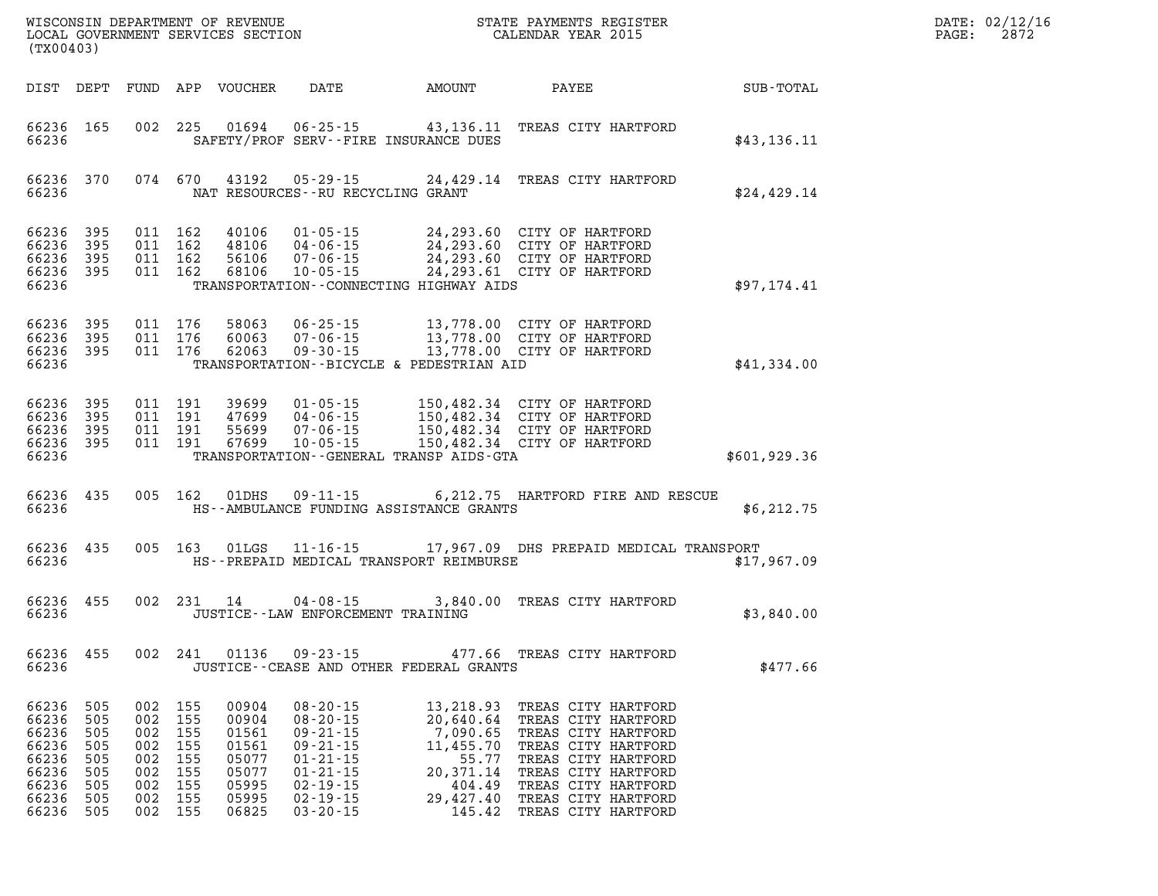| DATE: | 02/12/16 |
|-------|----------|
| PAGE: | 2872     |

| (TX00403)                                                                         |                                                      |                                                                      |                                     |                                                                               |                                                                                                                                                                |                                                        |                                                                                                                                                                                                                                                 |                  | DATE: 02/12/1<br>2872<br>PAGE: |
|-----------------------------------------------------------------------------------|------------------------------------------------------|----------------------------------------------------------------------|-------------------------------------|-------------------------------------------------------------------------------|----------------------------------------------------------------------------------------------------------------------------------------------------------------|--------------------------------------------------------|-------------------------------------------------------------------------------------------------------------------------------------------------------------------------------------------------------------------------------------------------|------------------|--------------------------------|
|                                                                                   |                                                      |                                                                      |                                     | DIST DEPT FUND APP VOUCHER                                                    |                                                                                                                                                                | DATE AMOUNT PAYEE                                      |                                                                                                                                                                                                                                                 | <b>SUB-TOTAL</b> |                                |
| 66236                                                                             | 66236 165                                            |                                                                      |                                     |                                                                               |                                                                                                                                                                | SAFETY/PROF SERV--FIRE INSURANCE DUES                  | 002 225 01694 06-25-15 43,136.11 TREAS CITY HARTFORD                                                                                                                                                                                            | \$43,136.11      |                                |
| 66236                                                                             | 66236 370                                            |                                                                      |                                     |                                                                               | 074 670 43192 05-29-15<br>NAT RESOURCES--RU RECYCLING GRANT                                                                                                    |                                                        | 24,429.14 TREAS CITY HARTFORD                                                                                                                                                                                                                   | \$24,429.14      |                                |
| 66236<br>66236 395<br>66236                                                       | 66236 395<br>395<br>66236 395                        |                                                                      |                                     |                                                                               |                                                                                                                                                                | TRANSPORTATION--CONNECTING HIGHWAY AIDS                | 011 162 40106 01-05-15 24,293.60 CITY OF HARTFORD<br>011 162 48106 04-06-15 24,293.60 CITY OF HARTFORD<br>011 162 56106 07-06-15 24,293.60 CITY OF HARTFORD<br>011 162 68106 10-05-15 24,293.61 CITY OF HARTFORD                                | \$97,174.41      |                                |
| 66236                                                                             | 66236 395<br>66236 395<br>66236 395                  |                                                                      | 011 176<br>011 176<br>011 176       |                                                                               |                                                                                                                                                                | TRANSPORTATION--BICYCLE & PEDESTRIAN AID               | 58063  06-25-15  13,778.00  CITY OF HARTFORD<br>60063  07-06-15  13,778.00  CITY OF HARTFORD<br>62063  09-30-15  13,778.00  CITY OF HARTFORD                                                                                                    | \$41,334.00      |                                |
| 66236 395<br>66236 395<br>66236 395<br>66236 395<br>66236                         |                                                      |                                                                      |                                     |                                                                               |                                                                                                                                                                | TRANSPORTATION - - GENERAL TRANSP AIDS - GTA           | 011 191 39699 01-05-15 150,482.34 CITY OF HARTFORD<br>011 191 47699 04-06-15 150,482.34 CITY OF HARTFORD<br>011 191 55699 07-06-15 150,482.34 CITY OF HARTFORD<br>011 191 67699 10-05-15 150,482.34 CITY OF HARTFORD                            | \$601,929.36     |                                |
| 66236                                                                             | 66236 435                                            |                                                                      |                                     |                                                                               | 005 162 01DHS 09-11-15                                                                                                                                         | HS--AMBULANCE FUNDING ASSISTANCE GRANTS                | 6,212.75 HARTFORD FIRE AND RESCUE                                                                                                                                                                                                               | \$6, 212.75      |                                |
| 66236                                                                             | 66236 435                                            |                                                                      |                                     |                                                                               | 005 163 01LGS 11-16-15                                                                                                                                         | HS--PREPAID MEDICAL TRANSPORT REIMBURSE                | 17,967.09 DHS PREPAID MEDICAL TRANSPORT                                                                                                                                                                                                         | \$17,967.09      |                                |
| 66236 455<br>66236                                                                |                                                      |                                                                      |                                     | 002 231 14                                                                    | JUSTICE -- LAW ENFORCEMENT TRAINING                                                                                                                            |                                                        | 04-08-15 3,840.00 TREAS CITY HARTFORD                                                                                                                                                                                                           | \$3,840.00       |                                |
| 66236 455<br>66236                                                                |                                                      |                                                                      |                                     |                                                                               | 002 241 01136 09-23-15                                                                                                                                         | JUSTICE--CEASE AND OTHER FEDERAL GRANTS                | 477.66 TREAS CITY HARTFORD                                                                                                                                                                                                                      | \$477.66         |                                |
| 66236<br>66236<br>66236<br>66236<br>66236<br>66236<br>66236<br>66236<br>66236 505 | 505<br>505<br>505<br>505<br>505<br>505<br>505<br>505 | 002 155<br>002 155<br>002<br>002<br>002<br>002<br>002 155<br>002 155 | 002 155<br>155<br>155<br>155<br>155 | 00904<br>00904<br>01561<br>01561<br>05077<br>05077<br>05995<br>05995<br>06825 | $08 - 20 - 15$<br>$08 - 20 - 15$<br>$09 - 21 - 15$<br>$09 - 21 - 15$<br>$01 - 21 - 15$<br>$01 - 21 - 15$<br>$02 - 19 - 15$<br>$02 - 19 - 15$<br>$03 - 20 - 15$ | 11,455.70<br>55.77<br>20,371.14<br>404.49<br>29,427.40 | 13,218.93 TREAS CITY HARTFORD<br>20,640.64 TREAS CITY HARTFORD<br>7,090.65 TREAS CITY HARTFORD<br>TREAS CITY HARTFORD<br>TREAS CITY HARTFORD<br>TREAS CITY HARTFORD<br>TREAS CITY HARTFORD<br>TREAS CITY HARTFORD<br>145.42 TREAS CITY HARTFORD |                  |                                |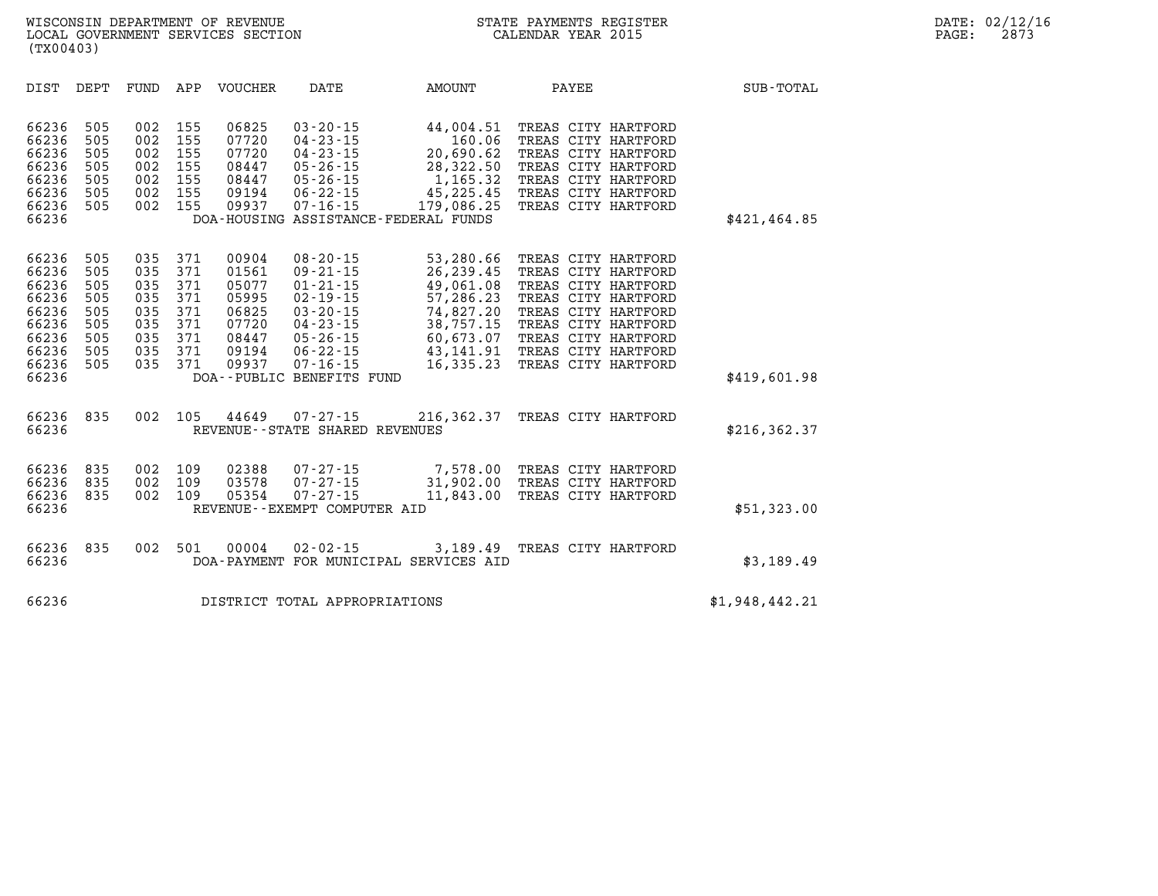| DIST                                                                                   | DEPT                                                        | FUND                                                        | APP                                                         | VOUCHER                                                                       | <b>DATE</b>                                                                                                                                                                                 | <b>AMOUNT</b>                                                                                                                | PAYEE                                                                                                                                                                                                       | SUB-TOTAL      |
|----------------------------------------------------------------------------------------|-------------------------------------------------------------|-------------------------------------------------------------|-------------------------------------------------------------|-------------------------------------------------------------------------------|---------------------------------------------------------------------------------------------------------------------------------------------------------------------------------------------|------------------------------------------------------------------------------------------------------------------------------|-------------------------------------------------------------------------------------------------------------------------------------------------------------------------------------------------------------|----------------|
| 66236<br>66236<br>66236<br>66236<br>66236<br>66236<br>66236<br>66236                   | 505<br>505<br>505<br>505<br>505<br>505<br>505               | 002<br>002<br>002<br>002<br>002<br>002<br>002               | 155<br>155<br>155<br>155<br>155<br>155<br>155               | 06825<br>07720<br>07720<br>08447<br>08447<br>09194<br>09937                   | $03 - 20 - 15$<br>$04 - 23 - 15$<br>$04 - 23 - 15$<br>$05 - 26 - 15$<br>$05 - 26 - 15$<br>$06 - 22 - 15$<br>$07 - 16 - 15$                                                                  | 44,004.51<br>160.06<br>20,690.62<br>28,322.50<br>1,165.32<br>45,225.45<br>179,086.25<br>DOA-HOUSING ASSISTANCE-FEDERAL FUNDS | TREAS CITY HARTFORD<br>TREAS CITY HARTFORD<br>TREAS CITY HARTFORD<br>TREAS CITY HARTFORD<br>TREAS CITY HARTFORD<br>TREAS CITY HARTFORD<br>TREAS CITY HARTFORD                                               | \$421,464.85   |
| 66236<br>66236<br>66236<br>66236<br>66236<br>66236<br>66236<br>66236<br>66236<br>66236 | 505<br>505<br>505<br>505<br>505<br>505<br>505<br>505<br>505 | 035<br>035<br>035<br>035<br>035<br>035<br>035<br>035<br>035 | 371<br>371<br>371<br>371<br>371<br>371<br>371<br>371<br>371 | 00904<br>01561<br>05077<br>05995<br>06825<br>07720<br>08447<br>09194<br>09937 | $08 - 20 - 15$<br>$09 - 21 - 15$<br>$01 - 21 - 15$<br>$02 - 19 - 15$<br>$03 - 20 - 15$<br>$04 - 23 - 15$<br>$05 - 26 - 15$<br>$06 - 22 - 15$<br>$07 - 16 - 15$<br>DOA--PUBLIC BENEFITS FUND | 53,280.66<br>26,239.45<br>49,061.08<br>57,286.23<br>74,827.20<br>38,757.15<br>60,673.07<br>43, 141. 91<br>16,335.23          | TREAS CITY HARTFORD<br>TREAS CITY HARTFORD<br>TREAS CITY HARTFORD<br>TREAS CITY HARTFORD<br>TREAS CITY HARTFORD<br>TREAS CITY HARTFORD<br>TREAS CITY HARTFORD<br>TREAS CITY HARTFORD<br>TREAS CITY HARTFORD | \$419,601.98   |
| 66236<br>66236                                                                         | 835                                                         | 002                                                         | 105                                                         | 44649                                                                         | $07 - 27 - 15$<br>REVENUE--STATE SHARED REVENUES                                                                                                                                            | 216,362.37                                                                                                                   | TREAS CITY HARTFORD                                                                                                                                                                                         | \$216, 362.37  |
| 66236<br>66236<br>66236<br>66236                                                       | 835<br>835<br>835                                           | 002<br>002<br>002                                           | 109<br>109<br>109                                           | 02388<br>03578<br>05354                                                       | $07 - 27 - 15$<br>$07 - 27 - 15$<br>$07 - 27 - 15$<br>REVENUE--EXEMPT COMPUTER AID                                                                                                          | 7,578.00<br>31,902.00<br>11,843.00                                                                                           | TREAS CITY HARTFORD<br>TREAS CITY HARTFORD<br>TREAS CITY HARTFORD                                                                                                                                           | \$51,323.00    |
| 66236<br>66236                                                                         | 835                                                         | 002                                                         | 501                                                         | 00004                                                                         | $02 - 02 - 15$                                                                                                                                                                              | 3,189.49<br>DOA-PAYMENT FOR MUNICIPAL SERVICES AID                                                                           | TREAS CITY HARTFORD                                                                                                                                                                                         | \$3,189.49     |
| 66236                                                                                  |                                                             |                                                             |                                                             |                                                                               | DISTRICT TOTAL APPROPRIATIONS                                                                                                                                                               |                                                                                                                              |                                                                                                                                                                                                             | \$1,948,442.21 |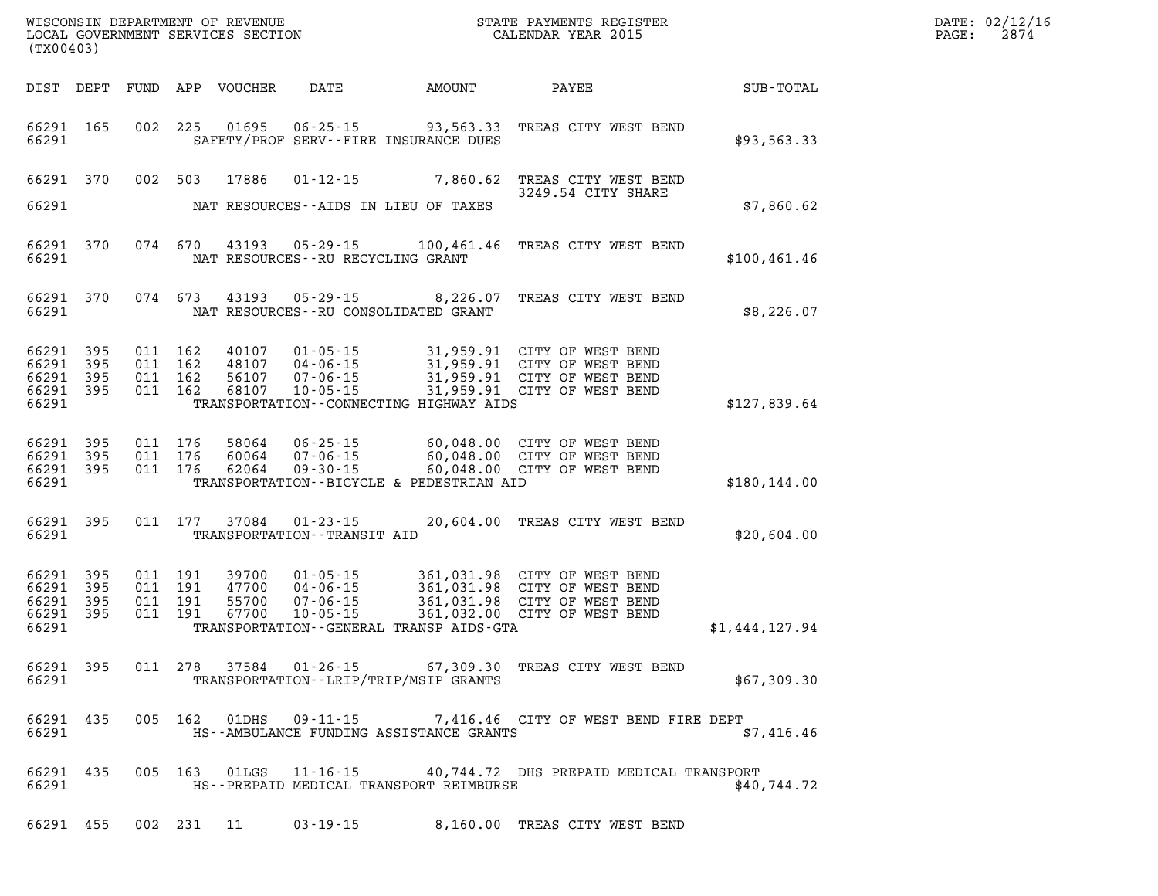| DATE: | 02/12/16 |
|-------|----------|
| PAGE: | 2874     |

| (TX00403)                                                 |           |  |                                                       |                                              | WISCONSIN DEPARTMENT OF REVENUE<br>LOCAL GOVERNMENT SERVICES SECTION<br>LOCAL GOVERNMENT SERVICES SECTION<br>CALENDAR YEAR 2015                                                                                          |                | DATE: 02/12/1<br>$\mathtt{PAGE:}$<br>2874 |
|-----------------------------------------------------------|-----------|--|-------------------------------------------------------|----------------------------------------------|--------------------------------------------------------------------------------------------------------------------------------------------------------------------------------------------------------------------------|----------------|-------------------------------------------|
|                                                           |           |  |                                                       |                                              |                                                                                                                                                                                                                          |                |                                           |
| 66291                                                     | 66291 165 |  |                                                       | SAFETY/PROF SERV--FIRE INSURANCE DUES        | 002 225 01695 06-25-15 93,563.33 TREAS CITY WEST BEND                                                                                                                                                                    | \$93,563.33    |                                           |
| 66291                                                     |           |  |                                                       | NAT RESOURCES--AIDS IN LIEU OF TAXES         | 66291 370 002 503 17886 01-12-15 7,860.62 TREAS CITY WEST BEND<br>3249.54 CITY SHARE                                                                                                                                     | \$7,860.62     |                                           |
|                                                           |           |  |                                                       |                                              |                                                                                                                                                                                                                          |                |                                           |
| 66291                                                     | 66291 370 |  | NAT RESOURCES--RU RECYCLING GRANT                     |                                              | 074 670 43193 05-29-15 100,461.46 TREAS CITY WEST BEND                                                                                                                                                                   | \$100, 461.46  |                                           |
| 66291 370<br>66291                                        |           |  |                                                       | NAT RESOURCES--RU CONSOLIDATED GRANT         | 074 673 43193 05-29-15 8,226.07 TREAS CITY WEST BEND                                                                                                                                                                     | \$8,226.07     |                                           |
| 66291 395<br>66291 395<br>66291 395<br>66291 395<br>66291 |           |  |                                                       | TRANSPORTATION--CONNECTING HIGHWAY AIDS      | 011 162 40107 01-05-15 31,959.91 CITY OF WEST BEND<br>011 162 48107 04-06-15 31,959.91 CITY OF WEST BEND<br>011 162 56107 07-06-15 31,959.91 CITY OF WEST BEND<br>011 162 68107 10-05-15 31,959.91 CITY OF WEST BEND     | \$127,839.64   |                                           |
| 66291 395<br>66291 395<br>66291                           | 66291 395 |  |                                                       | TRANSPORTATION--BICYCLE & PEDESTRIAN AID     | 011 176 58064 06-25-15 60,048.00 CITY OF WEST BEND<br>011 176 60064 07-06-15 60,048.00 CITY OF WEST BEND<br>011 176 62064 09-30-15 60,048.00 CITY OF WEST BEND                                                           | \$180, 144.00  |                                           |
| 66291 395<br>66291                                        |           |  | 011 177 37084 01-23-15<br>TRANSPORTATION--TRANSIT AID |                                              | 20,604.00 TREAS CITY WEST BEND                                                                                                                                                                                           | \$20,604.00    |                                           |
| 66291 395<br>66291 395<br>66291 395<br>66291 395<br>66291 |           |  |                                                       | TRANSPORTATION - - GENERAL TRANSP AIDS - GTA | 011 191 39700 01-05-15 361,031.98 CITY OF WEST BEND<br>011 191 47700 04-06-15 361,031.98 CITY OF WEST BEND<br>011 191 67700 10-05-15 361,031.98 CITY OF WEST BEND<br>011 191 67700 10-05-15 361,032.00 CITY OF WEST BEND | \$1,444,127.94 |                                           |
| 66291                                                     |           |  |                                                       | TRANSPORTATION - - LRIP/TRIP/MSIP GRANTS     | 66291 395 011 278 37584 01-26-15 67,309.30 TREAS CITY WEST BEND                                                                                                                                                          | \$67,309.30    |                                           |
| 66291 435<br>66291                                        |           |  | 005 162 01DHS 09-11-15                                | HS--AMBULANCE FUNDING ASSISTANCE GRANTS      | 7,416.46 CITY OF WEST BEND FIRE DEPT                                                                                                                                                                                     | \$7.416.46     |                                           |
| 66291 435<br>66291                                        |           |  |                                                       | HS--PREPAID MEDICAL TRANSPORT REIMBURSE      | 005 163 01LGS 11-16-15 40,744.72 DHS PREPAID MEDICAL TRANSPORT                                                                                                                                                           | \$40,744.72    |                                           |

**66291 455 002 231 11 03-19-15 8,160.00 TREAS CITY WEST BEND**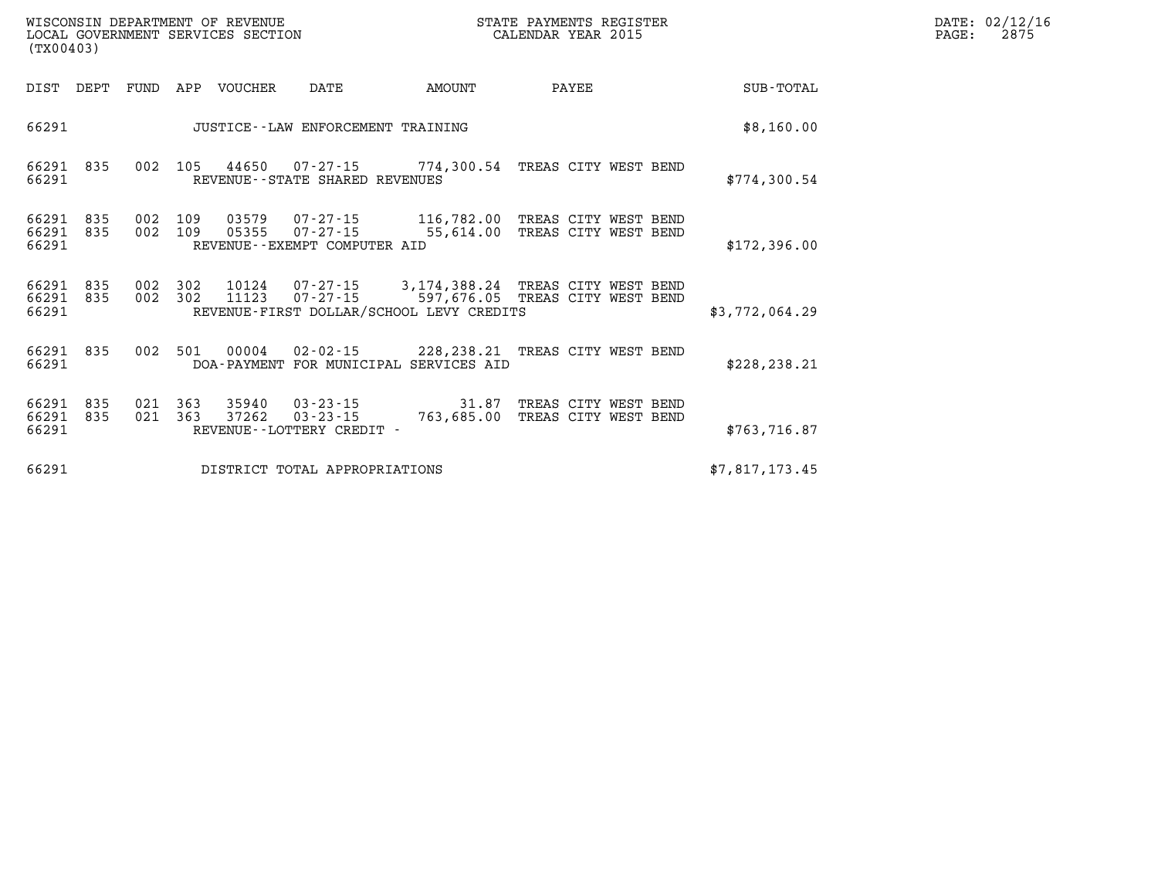| WISCONSIN DEPARTMENT OF REVENUE   | STATE PAYMENTS REGISTER |       | DATE: 02/12/16 |
|-----------------------------------|-------------------------|-------|----------------|
| LOCAL GOVERNMENT SERVICES SECTION | CALENDAR YEAR 2015      | PAGE: | 2875           |

|                | (TX00403)        |      |                    | LOCAL GOVERNMENT SERVICES SECTION |                                   | CALENDAR YEAR 2015                                                                                                                               |       | PAGE: | 2875           |  |  |
|----------------|------------------|------|--------------------|-----------------------------------|-----------------------------------|--------------------------------------------------------------------------------------------------------------------------------------------------|-------|-------|----------------|--|--|
| DIST           | DEPT             | FUND |                    | APP VOUCHER                       | DATE                              | AMOUNT                                                                                                                                           | PAYEE |       | SUB-TOTAL      |  |  |
| 66291          |                  |      |                    |                                   | JUSTICE--LAW ENFORCEMENT TRAINING |                                                                                                                                                  |       |       | \$8,160.00     |  |  |
| 66291          | 66291 835        |      |                    |                                   | REVENUE--STATE SHARED REVENUES    | 002 105 44650 07-27-15 774,300.54 TREAS CITY WEST BEND                                                                                           |       |       | \$774,300.54   |  |  |
| 66291<br>66291 | 66291 835<br>835 | 002  | 002 109<br>109     |                                   | REVENUE--EXEMPT COMPUTER AID      | 03579  07-27-15  116,782.00 TREAS CITY WEST BEND<br>05355  07-27-15  55,614.00 TREAS CITY WEST BEND                                              |       |       | \$172,396.00   |  |  |
| 66291<br>66291 | 835<br>66291 835 |      | 002 302            | 11123                             |                                   | 002 302 10124 07-27-15 3,174,388.24 TREAS CITY WEST BEND<br>07-27-15 597,676.05 TREAS CITY WEST BEND<br>REVENUE-FIRST DOLLAR/SCHOOL LEVY CREDITS |       |       | \$3,772,064.29 |  |  |
| 66291          | 66291 835        |      |                    |                                   |                                   | 002 501 00004 02-02-15 228,238.21 TREAS CITY WEST BEND<br>DOA-PAYMENT FOR MUNICIPAL SERVICES AID                                                 |       |       | \$228, 238.21  |  |  |
| 66291<br>66291 | 66291 835<br>835 |      | 021 363<br>021 363 |                                   | REVENUE--LOTTERY CREDIT -         | 35940  03-23-15  31.87 TREAS CITY WEST BEND<br>37262  03-23-15  763,685.00 TREAS CITY WEST BEND                                                  |       |       | \$763, 716.87  |  |  |
| 66291          |                  |      |                    |                                   | DISTRICT TOTAL APPROPRIATIONS     |                                                                                                                                                  |       |       | \$7,817,173.45 |  |  |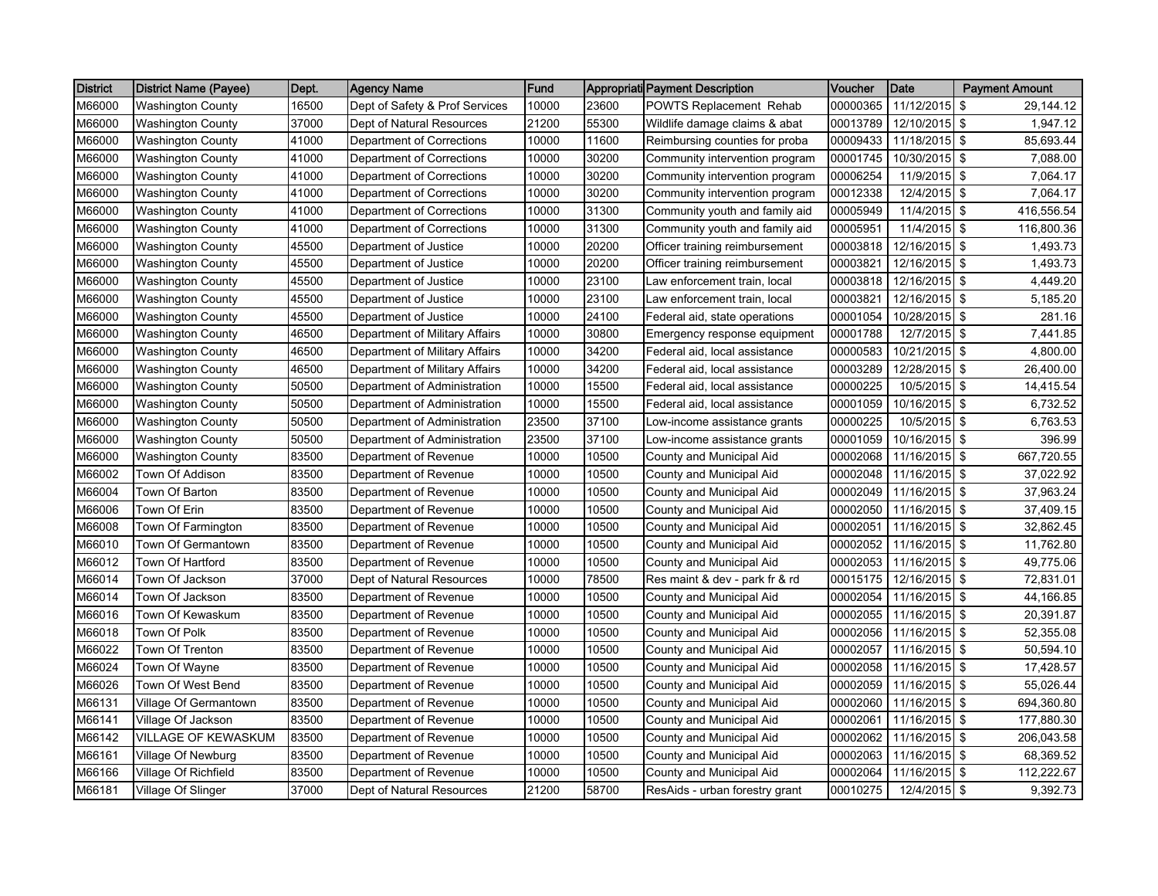| <b>District</b> | <b>District Name (Payee)</b> | Dept. | <b>Agency Name</b>             | <b>Fund</b> |       | Appropriati Payment Description | Voucher  | Date            | <b>Payment Amount</b> |
|-----------------|------------------------------|-------|--------------------------------|-------------|-------|---------------------------------|----------|-----------------|-----------------------|
| M66000          | <b>Washington County</b>     | 16500 | Dept of Safety & Prof Services | 10000       | 23600 | POWTS Replacement Rehab         | 00000365 | 11/12/2015      | \$<br>29,144.12       |
| M66000          | <b>Washington County</b>     | 37000 | Dept of Natural Resources      | 21200       | 55300 | Wildlife damage claims & abat   | 00013789 | 12/10/2015      | \$<br>1,947.12        |
| M66000          | <b>Washington County</b>     | 41000 | Department of Corrections      | 10000       | 11600 | Reimbursing counties for proba  | 00009433 | 11/18/2015      | \$<br>85,693.44       |
| M66000          | Washington County            | 41000 | Department of Corrections      | 10000       | 30200 | Community intervention program  | 00001745 | 10/30/2015      | \$<br>7,088.00        |
| M66000          | <b>Washington County</b>     | 41000 | Department of Corrections      | 10000       | 30200 | Community intervention program  | 00006254 | 11/9/2015 \$    | 7,064.17              |
| M66000          | Washington County            | 41000 | Department of Corrections      | 10000       | 30200 | Community intervention program  | 00012338 | 12/4/2015 \$    | 7,064.17              |
| M66000          | <b>Washington County</b>     | 41000 | Department of Corrections      | 10000       | 31300 | Community youth and family aid  | 00005949 | 11/4/2015       | \$<br>416,556.54      |
| M66000          | <b>Washington County</b>     | 41000 | Department of Corrections      | 10000       | 31300 | Community youth and family aid  | 00005951 | 11/4/2015       | \$<br>116,800.36      |
| M66000          | <b>Washington County</b>     | 45500 | Department of Justice          | 10000       | 20200 | Officer training reimbursement  | 00003818 | 12/16/2015      | -\$<br>1,493.73       |
| M66000          | Washington County            | 45500 | Department of Justice          | 10000       | 20200 | Officer training reimbursement  | 00003821 | 12/16/2015 \$   | 1,493.73              |
| M66000          | <b>Washington County</b>     | 45500 | Department of Justice          | 10000       | 23100 | Law enforcement train, local    | 00003818 | $12/16/2015$ \$ | 4,449.20              |
| M66000          | <b>Washington County</b>     | 45500 | Department of Justice          | 10000       | 23100 | Law enforcement train, local    | 00003821 | 12/16/2015      | \$<br>5,185.20        |
| M66000          | <b>Washington County</b>     | 45500 | Department of Justice          | 10000       | 24100 | Federal aid, state operations   | 00001054 | 10/28/2015      | \$<br>281.16          |
| M66000          | <b>Washington County</b>     | 46500 | Department of Military Affairs | 10000       | 30800 | Emergency response equipment    | 00001788 | 12/7/2015       | \$<br>7,441.85        |
| M66000          | Washington County            | 46500 | Department of Military Affairs | 10000       | 34200 | Federal aid, local assistance   | 00000583 | 10/21/2015      | \$<br>4,800.00        |
| M66000          | <b>Washington County</b>     | 46500 | Department of Military Affairs | 10000       | 34200 | Federal aid, local assistance   | 00003289 | 12/28/2015 \$   | 26,400.00             |
| M66000          | Washington County            | 50500 | Department of Administration   | 10000       | 15500 | Federal aid, local assistance   | 00000225 | 10/5/2015 \$    | 14,415.54             |
| M66000          | <b>Washington County</b>     | 50500 | Department of Administration   | 10000       | 15500 | Federal aid, local assistance   | 00001059 | 10/16/2015      | \$<br>6,732.52        |
| M66000          | <b>Washington County</b>     | 50500 | Department of Administration   | 23500       | 37100 | Low-income assistance grants    | 00000225 | 10/5/2015       | \$<br>6,763.53        |
| M66000          | <b>Washington County</b>     | 50500 | Department of Administration   | 23500       | 37100 | Low-income assistance grants    | 00001059 | 10/16/2015      | \$<br>396.99          |
| M66000          | Washington County            | 83500 | Department of Revenue          | 10000       | 10500 | County and Municipal Aid        | 00002068 | 11/16/2015      | \$<br>667,720.55      |
| M66002          | Town Of Addison              | 83500 | Department of Revenue          | 10000       | 10500 | County and Municipal Aid        | 00002048 | $11/16/2015$ \$ | 37,022.92             |
| M66004          | Town Of Barton               | 83500 | Department of Revenue          | 10000       | 10500 | County and Municipal Aid        | 00002049 | 11/16/2015 \$   | 37,963.24             |
| M66006          | Town Of Erin                 | 83500 | Department of Revenue          | 10000       | 10500 | County and Municipal Aid        | 00002050 | 11/16/2015      | \$<br>37,409.15       |
| M66008          | Town Of Farmington           | 83500 | Department of Revenue          | 10000       | 10500 | County and Municipal Aid        | 00002051 | 11/16/2015      | \$<br>32,862.45       |
| M66010          | Town Of Germantown           | 83500 | Department of Revenue          | 10000       | 10500 | County and Municipal Aid        | 00002052 | 11/16/2015      | \$<br>11,762.80       |
| M66012          | Town Of Hartford             | 83500 | Department of Revenue          | 10000       | 10500 | County and Municipal Aid        | 00002053 | 11/16/2015 \$   | 49,775.06             |
| M66014          | Town Of Jackson              | 37000 | Dept of Natural Resources      | 10000       | 78500 | Res maint & dev - park fr & rd  | 00015175 | 12/16/2015      | \$<br>72,831.01       |
| M66014          | Town Of Jackson              | 83500 | Department of Revenue          | 10000       | 10500 | County and Municipal Aid        | 00002054 | 11/16/2015      | \$<br>44,166.85       |
| M66016          | Town Of Kewaskum             | 83500 | Department of Revenue          | 10000       | 10500 | County and Municipal Aid        | 00002055 | 11/16/2015 \$   | 20,391.87             |
| M66018          | Town Of Polk                 | 83500 | Department of Revenue          | 10000       | 10500 | County and Municipal Aid        | 00002056 | 11/16/2015      | \$<br>52,355.08       |
| M66022          | Town Of Trenton              | 83500 | Department of Revenue          | 10000       | 10500 | County and Municipal Aid        | 00002057 | 11/16/2015 \$   | 50,594.10             |
| M66024          | Town Of Wayne                | 83500 | Department of Revenue          | 10000       | 10500 | County and Municipal Aid        | 00002058 | 11/16/2015 \$   | 17,428.57             |
| M66026          | Town Of West Bend            | 83500 | Department of Revenue          | 10000       | 10500 | County and Municipal Aid        | 00002059 | 11/16/2015      | \$<br>55,026.44       |
| M66131          | Village Of Germantown        | 83500 | Department of Revenue          | 10000       | 10500 | County and Municipal Aid        | 00002060 | 11/16/2015      | \$<br>694,360.80      |
| M66141          | Village Of Jackson           | 83500 | Department of Revenue          | 10000       | 10500 | County and Municipal Aid        | 00002061 | 11/16/2015      | \$<br>177,880.30      |
| M66142          | <b>VILLAGE OF KEWASKUM</b>   | 83500 | Department of Revenue          | 10000       | 10500 | County and Municipal Aid        | 00002062 | 11/16/2015      | \$<br>206,043.58      |
| M66161          | Village Of Newburg           | 83500 | Department of Revenue          | 10000       | 10500 | County and Municipal Aid        | 00002063 | 11/16/2015 \$   | 68,369.52             |
| M66166          | Village Of Richfield         | 83500 | Department of Revenue          | 10000       | 10500 | County and Municipal Aid        | 00002064 | 11/16/2015      | \$<br>112,222.67      |
| M66181          | Village Of Slinger           | 37000 | Dept of Natural Resources      | 21200       | 58700 | ResAids - urban forestry grant  | 00010275 | 12/4/2015       | \$<br>9,392.73        |